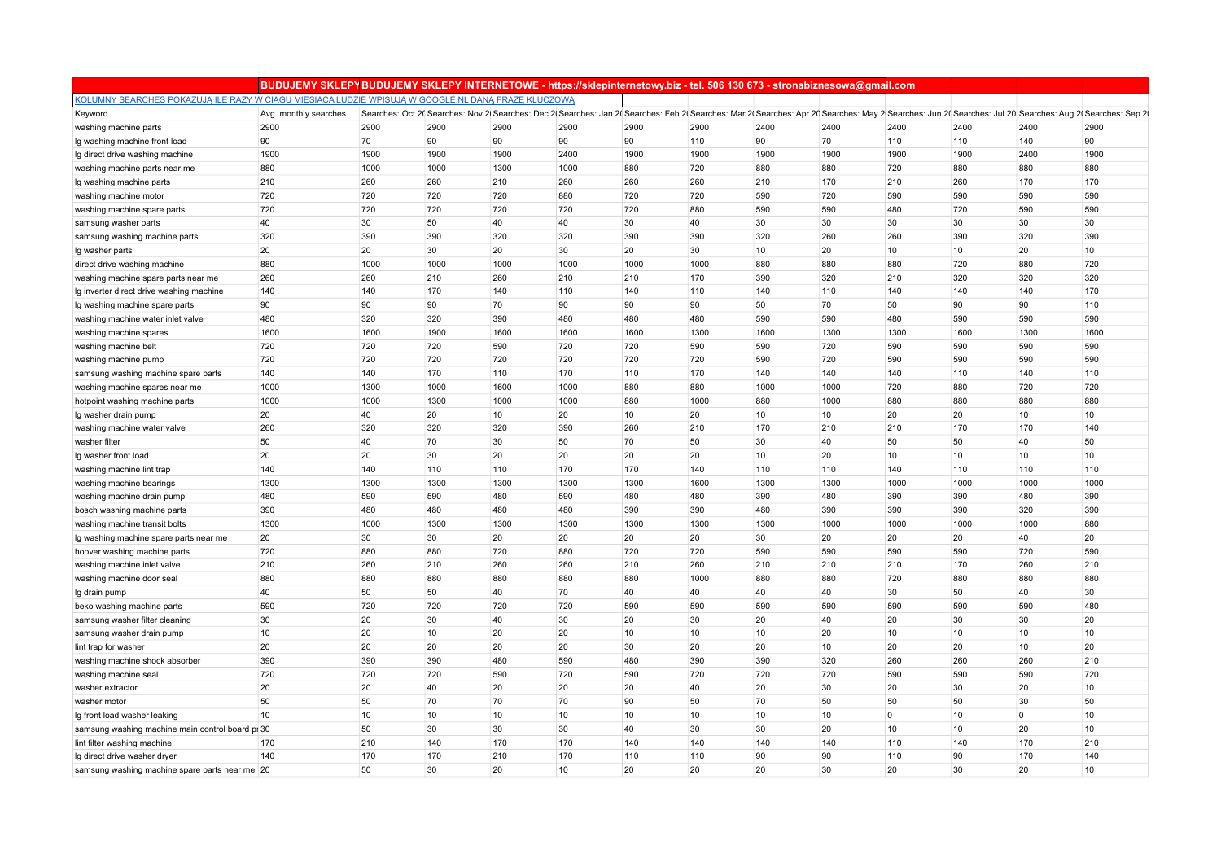|                                                                                                    | BUDUJEMY SKLEPYBUDUJEMY SKLEPY INTERNETOWE - https://sklepinternetowy.biz - tel. 506 130 673 - stronabiznesowa@gmail.com |      |      |      |      |      |      |      |      |                |      |                |                                                                                                                                                                                                      |
|----------------------------------------------------------------------------------------------------|--------------------------------------------------------------------------------------------------------------------------|------|------|------|------|------|------|------|------|----------------|------|----------------|------------------------------------------------------------------------------------------------------------------------------------------------------------------------------------------------------|
| KOLUMNY SEARCHES POKAZUJĄ ILE RAZY W CIAGU MIESIACA LUDZIE WPISUJĄ W GOOGLE.NL DANĄ FRAZE KLUCZOWĄ |                                                                                                                          |      |      |      |      |      |      |      |      |                |      |                |                                                                                                                                                                                                      |
| Keyword                                                                                            | Avg. monthly searches                                                                                                    |      |      |      |      |      |      |      |      |                |      |                | Searches: Oct 20 Searches: Nov 2 Searches: Dec 2 Searches: Jan 20 Searches: Feb 2 Searches: Mar 2 Searches: Apr 20 Searches: May 2 Searches: Jun 20 Searches: Jul 20 Searches: Ang 21 Searches 3ep 2 |
| washing machine parts                                                                              | 2900                                                                                                                     | 2900 | 2900 | 2900 | 2900 | 2900 | 2900 | 2400 | 2400 | 2400           | 2400 | 2400           | 2900                                                                                                                                                                                                 |
| Ig washing machine front load                                                                      | 90                                                                                                                       | 70   | 90   | 90   | 90   | 90   | 110  | 90   | 70   | 110            | 110  | 140            | 90                                                                                                                                                                                                   |
| Ig direct drive washing machine                                                                    | 1900                                                                                                                     | 1900 | 1900 | 1900 | 2400 | 1900 | 1900 | 1900 | 1900 | 1900           | 1900 | 2400           | 1900                                                                                                                                                                                                 |
| washing machine parts near me                                                                      | 880                                                                                                                      | 1000 | 1000 | 1300 | 1000 | 880  | 720  | 880  | 880  | 720            | 880  | 880            | 880                                                                                                                                                                                                  |
| Ig washing machine parts                                                                           | 210                                                                                                                      | 260  | 260  | 210  | 260  | 260  | 260  | 210  | 170  | 210            | 260  | 170            | 170                                                                                                                                                                                                  |
| washing machine motor                                                                              | 720                                                                                                                      | 720  | 720  | 720  | 880  | 720  | 720  | 590  | 720  | 590            | 590  | 590            | 590                                                                                                                                                                                                  |
| washing machine spare parts                                                                        | 720                                                                                                                      | 720  | 720  | 720  | 720  | 720  | 880  | 590  | 590  | 480            | 720  | 590            | 590                                                                                                                                                                                                  |
| samsung washer parts                                                                               | 40                                                                                                                       | 30   | 50   | 40   | 40   | 30   | 40   | 30   | 30   | 30             | 30   | 30             | 30                                                                                                                                                                                                   |
| samsung washing machine parts                                                                      | 320                                                                                                                      | 390  | 390  | 320  | 320  | 390  | 390  | 320  | 260  | 260            | 390  | 320            | 390                                                                                                                                                                                                  |
| lg washer parts                                                                                    | 20                                                                                                                       | 20   | 30   | 20   | 30   | 20   | 30   | 10   | 20   | 10             | 10   | 20             | 10                                                                                                                                                                                                   |
| direct drive washing machine                                                                       | 880                                                                                                                      | 1000 | 1000 | 1000 | 1000 | 1000 | 1000 | 880  | 880  | 880            | 720  | 880            | 720                                                                                                                                                                                                  |
| washing machine spare parts near me                                                                | 260                                                                                                                      | 260  | 210  | 260  | 210  | 210  | 170  | 390  | 320  | 210            | 320  | 320            | 320                                                                                                                                                                                                  |
| Ig inverter direct drive washing machine                                                           | 140                                                                                                                      | 140  | 170  | 140  | 110  | 140  | 110  | 140  | 110  | 140            | 140  | 140            | 170                                                                                                                                                                                                  |
| Ig washing machine spare parts                                                                     | 90                                                                                                                       | 90   | 90   | 70   | 90   | 90   | 90   | 50   | 70   | 50             | 90   | 90             | 110                                                                                                                                                                                                  |
| washing machine water inlet valve                                                                  | 480                                                                                                                      | 320  | 320  | 390  | 480  | 480  | 480  | 590  | 590  | 480            | 590  | 590            | 590                                                                                                                                                                                                  |
| washing machine spares                                                                             | 1600                                                                                                                     | 1600 | 1900 | 1600 | 1600 | 1600 | 1300 | 1600 | 1300 | 1300           | 1600 | 1300           | 1600                                                                                                                                                                                                 |
| washing machine belt                                                                               | 720                                                                                                                      | 720  | 720  | 590  | 720  | 720  | 590  | 590  | 720  | 590            | 590  | 590            | 590                                                                                                                                                                                                  |
| washing machine pump                                                                               | 720                                                                                                                      | 720  | 720  | 720  | 720  | 720  | 720  | 590  | 720  | 590            | 590  | 590            | 590                                                                                                                                                                                                  |
| samsung washing machine spare parts                                                                | 140                                                                                                                      | 140  | 170  | 110  | 170  | 110  | 170  | 140  | 140  | 140            | 110  | 140            | 110                                                                                                                                                                                                  |
| washing machine spares near me                                                                     | 1000                                                                                                                     | 1300 | 1000 | 1600 | 1000 | 880  | 880  | 1000 | 1000 | 720            | 880  | 720            | 720                                                                                                                                                                                                  |
| hotpoint washing machine parts                                                                     | 1000                                                                                                                     | 1000 | 1300 | 1000 | 1000 | 880  | 1000 | 880  | 1000 | 880            | 880  | 880            | 880                                                                                                                                                                                                  |
| Ig washer drain pump                                                                               | 20                                                                                                                       | 40   | 20   | 10   | 20   | 10   | 20   | 10   | 10   | 20             | 20   | 10             | 10                                                                                                                                                                                                   |
| washing machine water valve                                                                        | 260                                                                                                                      | 320  | 320  | 320  | 390  | 260  | 210  | 170  | 210  | 210            | 170  | 170            | 140                                                                                                                                                                                                  |
| washer filter                                                                                      | 50                                                                                                                       | 40   | 70   | 30   | 50   | 70   | 50   | 30   | 40   | 50             | 50   | 40             | 50                                                                                                                                                                                                   |
| Ig washer front load                                                                               | 20                                                                                                                       | 20   | 30   | 20   | 20   | 20   | 20   | 10   | 20   | 10             | 10   | 10             | 10                                                                                                                                                                                                   |
| washing machine lint trap                                                                          | 140                                                                                                                      | 140  | 110  | 110  | 170  | 170  | 140  | 110  | 110  | 140            | 110  | 110            | 110                                                                                                                                                                                                  |
| washing machine bearings                                                                           | 1300                                                                                                                     | 1300 | 1300 | 1300 | 1300 | 1300 | 1600 | 1300 | 1300 | 1000           | 1000 | 1000           | 1000                                                                                                                                                                                                 |
| washing machine drain pump                                                                         | 480                                                                                                                      | 590  | 590  | 480  | 590  | 480  | 480  | 390  | 480  | 390            | 390  | 480            | 390                                                                                                                                                                                                  |
| bosch washing machine parts                                                                        | 390                                                                                                                      | 480  | 480  | 480  | 480  | 390  | 390  | 480  | 390  | 390            | 390  | 320            | 390                                                                                                                                                                                                  |
| washing machine transit bolts                                                                      | 1300                                                                                                                     | 1000 | 1300 | 1300 | 1300 | 1300 | 1300 | 1300 | 1000 | 1000           | 1000 | 1000           | 880                                                                                                                                                                                                  |
| Ig washing machine spare parts near me                                                             | 20                                                                                                                       | 30   | 30   | 20   | 20   | 20   | 20   | 30   | 20   | 20             | 20   | 40             | 20                                                                                                                                                                                                   |
| hoover washing machine parts                                                                       | 720                                                                                                                      | 880  | 880  | 720  | 880  | 720  | 720  | 590  | 590  | 590            | 590  | 720            | 590                                                                                                                                                                                                  |
| washing machine inlet valve                                                                        | 210                                                                                                                      | 260  | 210  | 260  | 260  | 210  | 260  | 210  | 210  | 210            | 170  | 260            | 210                                                                                                                                                                                                  |
| washing machine door seal                                                                          | 880                                                                                                                      | 880  | 880  | 880  | 880  | 880  | 1000 | 880  | 880  | 720            | 880  | 880            | 880                                                                                                                                                                                                  |
| lg drain pump                                                                                      | 40                                                                                                                       | 50   | 50   | 40   | 70   | 40   | 40   | 40   | 40   | 30             | 50   | 40             | 30                                                                                                                                                                                                   |
| beko washing machine parts                                                                         | 590                                                                                                                      | 720  | 720  | 720  | 720  | 590  | 590  | 590  | 590  | 590            | 590  | 590            | 480                                                                                                                                                                                                  |
| samsung washer filter cleaning                                                                     | 30                                                                                                                       | 20   | 30   | 40   | 30   | 20   | 30   | 20   | 40   | 20             | 30   | 30             | 20                                                                                                                                                                                                   |
| samsung washer drain pump                                                                          | 10                                                                                                                       | 20   | 10   | 20   | 20   | 10   | 10   | 10   | 20   | 10             | 10   | 10             | 10                                                                                                                                                                                                   |
| lint trap for washer                                                                               | 20                                                                                                                       | 20   | 20   | 20   | 20   | 30   | 20   | 20   | 10   | 20             | 20   | 10             | 20                                                                                                                                                                                                   |
| washing machine shock absorber                                                                     | 390                                                                                                                      | 390  | 390  | 480  | 590  | 480  | 390  | 390  | 320  | 260            | 260  | 260            | 210                                                                                                                                                                                                  |
| washing machine seal                                                                               | 720                                                                                                                      | 720  | 720  | 590  | 720  | 590  | 720  | 720  | 720  | 590            | 590  | 590            | 720                                                                                                                                                                                                  |
| washer extractor                                                                                   | 20                                                                                                                       | 20   | 40   | 20   | 20   | 20   | 40   | 20   | 30   | 20             | 30   | 20             | 10                                                                                                                                                                                                   |
| washer motor                                                                                       | 50                                                                                                                       | 50   | 70   | 70   | 70   | 90   | 50   | 70   | 50   | 50             | 50   | 30             | 50                                                                                                                                                                                                   |
| Ig front load washer leaking                                                                       | 10                                                                                                                       | 10   | 10   | 10   | 10   | 10   | 10   | 10   | 10   | $\overline{0}$ | 10   | $\overline{0}$ | 10                                                                                                                                                                                                   |
| samsung washing machine main control board pr 30                                                   |                                                                                                                          | 50   | 30   | 30   | 30   | 40   | 30   | 30   | 20   | 10             | 10   | 20             | 10                                                                                                                                                                                                   |
| lint filter washing machine                                                                        | 170                                                                                                                      | 210  | 140  | 170  | 170  | 140  | 140  | 140  | 140  | 110            | 140  | 170            | 210                                                                                                                                                                                                  |
| Ig direct drive washer dryer                                                                       | 140                                                                                                                      | 170  | 170  | 210  | 170  | 110  | 110  | 90   | 90   | 110            | 90   | 170            | 140                                                                                                                                                                                                  |
| samsung washing machine spare parts near me 20                                                     |                                                                                                                          | 50   | 30   | 20   | 10   | 20   | 20   | 20   | 30   | 20             | 30   | 20             | 10                                                                                                                                                                                                   |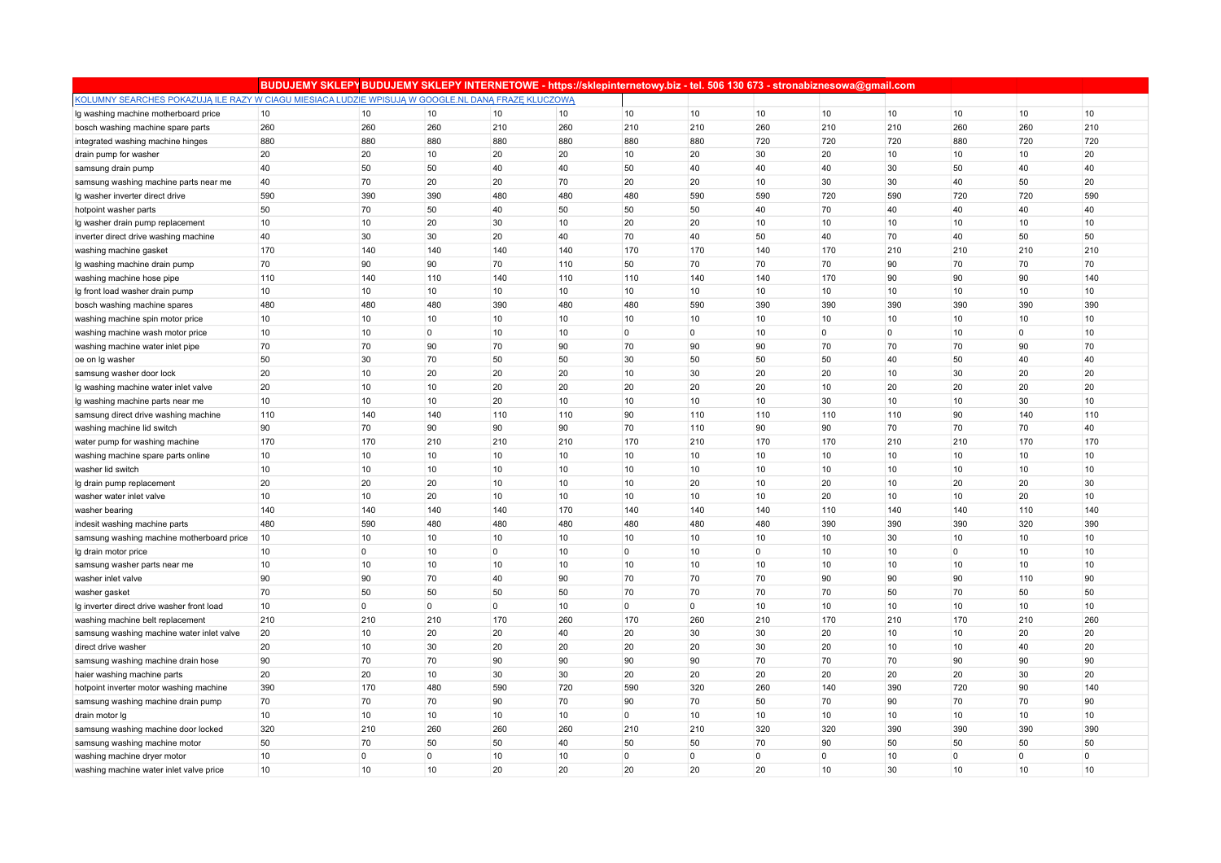|                                                                                                    | BUDUJEMY SKLEPY BUDUJEMY SKLEPY INTERNETOWE - https://sklepinternetowy.biz - tel. 506 130 673 - stronabiznesowa@gmail.com |                |                |                |     |             |             |          |                |     |          |             |                |
|----------------------------------------------------------------------------------------------------|---------------------------------------------------------------------------------------------------------------------------|----------------|----------------|----------------|-----|-------------|-------------|----------|----------------|-----|----------|-------------|----------------|
| KOLUMNY SEARCHES POKAZUJA ILE RAZY W CIAGU MIESIACA LUDZIE WPISUJA W GOOGLE.NL DANA FRAZE KLUCZOWA |                                                                                                                           |                |                |                |     |             |             |          |                |     |          |             |                |
| Ig washing machine motherboard price                                                               | 10                                                                                                                        | 10             | 10             | 10             | 10  | 10          | 10          | 10       | 10             | 10  | 10       | 10          | 10             |
| bosch washing machine spare parts                                                                  | 260                                                                                                                       | 260            | 260            | 210            | 260 | 210         | 210         | 260      | 210            | 210 | 260      | 260         | 210            |
| integrated washing machine hinges                                                                  | 880                                                                                                                       | 880            | 880            | 880            | 880 | 880         | 880         | 720      | 720            | 720 | 880      | 720         | 720            |
| drain pump for washer                                                                              | 20                                                                                                                        | 20             | 10             | 20             | 20  | 10          | 20          | 30       | 20             | 10  | 10       | 10          | 20             |
| samsung drain pump                                                                                 | 40                                                                                                                        | 50             | 50             | 40             | 40  | 50          | 40          | 40       | 40             | 30  | 50       | 40          | 40             |
| samsung washing machine parts near me                                                              | 40                                                                                                                        | 70             | 20             | 20             | 70  | 20          | 20          | 10       | 30             | 30  | 40       | 50          | 20             |
| Ig washer inverter direct drive                                                                    | 590                                                                                                                       | 390            | 390            | 480            | 480 | 480         | 590         | 590      | 720            | 590 | 720      | 720         | 590            |
| hotpoint washer parts                                                                              | 50                                                                                                                        | 70             | 50             | 40             | 50  | 50          | 50          | 40       | 70             | 40  | 40       | 40          | 40             |
| Ig washer drain pump replacement                                                                   | 10                                                                                                                        | 10             | 20             | 30             | 10  | 20          | 20          | 10       | 10             | 10  | 10       | 10          | 10             |
| inverter direct drive washing machine                                                              | 40                                                                                                                        | 30             | 30             | 20             | 40  | 70          | 40          | 50       | 40             | 70  | 40       | 50          | 50             |
| washing machine gasket                                                                             | 170                                                                                                                       | 140            | 140            | 140            | 140 | 170         | 170         | 140      | 170            | 210 | 210      | 210         | 210            |
| Ig washing machine drain pump                                                                      | 70                                                                                                                        | 90             | 90             | 70             | 110 | 50          | 70          | 70       | 70             | 90  | 70       | 70          | 70             |
| washing machine hose pipe                                                                          | 110                                                                                                                       | 140            | 110            | 140            | 110 | 110         | 140         | 140      | 170            | 90  | 90       | 90          | 140            |
| Ig front load washer drain pump                                                                    | 10                                                                                                                        | 10             | 10             | 10             | 10  | 10          | 10          | 10       | 10             | 10  | 10       | 10          | 10             |
| bosch washing machine spares                                                                       | 480                                                                                                                       | 480            | 480            | 390            | 480 | 480         | 590         | 390      | 390            | 390 | 390      | 390         | 390            |
| washing machine spin motor price                                                                   | 10                                                                                                                        | 10             | 10             | 10             | 10  | 10          | 10          | 10       | 10             | 10  | 10       | 10          | 10             |
| washing machine wash motor price                                                                   | 10                                                                                                                        | 10             | $\overline{0}$ | 10             | 10  | $\mathbf 0$ | 0           | 10       | $\overline{0}$ | 0   | 10       | $\mathbf 0$ | 10             |
| washing machine water inlet pipe                                                                   | 70                                                                                                                        | 70             | 90             | 70             | 90  | 70          | 90          | 90       | 70             | 70  | 70       | 90          | 70             |
| oe on Ig washer                                                                                    | 50                                                                                                                        | 30             | 70             | 50             | 50  | 30          | 50          | 50       | 50             | 40  | 50       | 40          | 40             |
| samsung washer door lock                                                                           | 20                                                                                                                        | 10             | 20             | 20             | 20  | 10          | 30          | 20       | 20             | 10  | 30       | 20          | 20             |
| Ig washing machine water inlet valve                                                               | 20                                                                                                                        | 10             | 10             | 20             | 20  | 20          | 20          | 20       | 10             | 20  | 20       | 20          | 20             |
| Ig washing machine parts near me                                                                   | 10                                                                                                                        | 10             | 10             | 20             | 10  | 10          | 10          | 10       | 30             | 10  | 10       | 30          | 10             |
| samsung direct drive washing machine                                                               | 110                                                                                                                       | 140            | 140            | 110            | 110 | 90          | 110         | 110      | 110            | 110 | 90       | 140         | 110            |
| washing machine lid switch                                                                         | 90                                                                                                                        | 70             | 90             | 90             | 90  | 70          | 110         | 90       | 90             | 70  | 70       | 70          | 40             |
| water pump for washing machine                                                                     | 170                                                                                                                       | 170            | 210            | 210            | 210 | 170         | 210         | 170      | 170            | 210 | 210      | 170         | 170            |
| washing machine spare parts online                                                                 | 10                                                                                                                        | 10             | 10             | 10             | 10  | 10          | 10          | 10       | 10             | 10  | 10       | 10          | 10             |
| washer lid switch                                                                                  | 10                                                                                                                        | 10             | 10             | 10             | 10  | 10          | 10          | 10       | 10             | 10  | 10       | 10          | 10             |
| Ig drain pump replacement                                                                          | 20                                                                                                                        | 20             | 20             | 10             | 10  | 10          | 20          | 10       | 20             | 10  | 20       | 20          | 30             |
| washer water inlet valve                                                                           | 10                                                                                                                        | 10             | 20             | 10             | 10  | 10          | 10          | 10       | 20             | 10  | 10       | 20          | 10             |
| washer bearing                                                                                     | 140                                                                                                                       | 140            | 140            | 140            | 170 | 140         | 140         | 140      | 110            | 140 | 140      | 110         | 140            |
| indesit washing machine parts                                                                      | 480                                                                                                                       | 590            | 480            | 480            | 480 | 480         | 480         | 480      | 390            | 390 | 390      | 320         | 390            |
| samsung washing machine motherboard price                                                          | 10                                                                                                                        | 10             | 10             | 10             | 10  | 10          | 10          | 10       | 10             | 30  | 10       | 10          | 10             |
| Ig drain motor price                                                                               | 10                                                                                                                        | $\overline{0}$ | 10             | $\overline{0}$ | 10  | 0           | 10          | $\Omega$ | 10             | 10  | $\Omega$ | 10          | 10             |
| samsung washer parts near me                                                                       | 10                                                                                                                        | 10             | 10             | 10             | 10  | 10          | 10          | 10       | 10             | 10  | 10       | 10          | 10             |
| washer inlet valve                                                                                 | 90                                                                                                                        | 90             | 70             | 40             | 90  | 70          | 70          | 70       | 90             | 90  | 90       | 110         | 90             |
| washer gasket                                                                                      | 70                                                                                                                        | 50             | 50             | 50             | 50  | 70          | 70          | 70       | 70             | 50  | 70       | 50          | 50             |
| Ig inverter direct drive washer front load                                                         | 10                                                                                                                        | $\overline{0}$ | $\mathbf 0$    | $\overline{0}$ | 10  | $\mathbf 0$ | $\mathbf 0$ | 10       | 10             | 10  | 10       | 10          | 10             |
| washing machine belt replacement                                                                   | 210                                                                                                                       | 210            | 210            | 170            | 260 | 170         | 260         | 210      | 170            | 210 | 170      | 210         | 260            |
| samsung washing machine water inlet valve                                                          | 20                                                                                                                        | 10             | 20             | 20             | 40  | 20          | 30          | 30       | 20             | 10  | 10       | 20          | 20             |
| direct drive washer                                                                                | 20                                                                                                                        | 10             | 30             | 20             | 20  | 20          | 20          | 30       | 20             | 10  | 10       | 40          | 20             |
| samsung washing machine drain hose                                                                 | 90                                                                                                                        | 70             | 70             | 90             | 90  | 90          | 90          | 70       | 70             | 70  | 90       | 90          | 90             |
| haier washing machine parts                                                                        | 20                                                                                                                        | 20             | 10             | 30             | 30  | 20          | 20          | 20       | 20             | 20  | 20       | 30          | 20             |
| hotpoint inverter motor washing machine                                                            | 390                                                                                                                       | 170            | 480            | 590            | 720 | 590         | 320         | 260      | 140            | 390 | 720      | 90          | 140            |
| samsung washing machine drain pump                                                                 | 70                                                                                                                        | 70             | 70             | 90             | 70  | 90          | 70          | 50       | 70             | 90  | 70       | 70          | 90             |
| drain motor Ig                                                                                     | 10                                                                                                                        | 10             | 10             | 10             | 10  | 0           | 10          | 10       | 10             | 10  | 10       | 10          | 10             |
| samsung washing machine door locked                                                                | 320                                                                                                                       | 210            | 260            | 260            | 260 | 210         | 210         | 320      | 320            | 390 | 390      | 390         | 390            |
| samsung washing machine motor                                                                      | 50                                                                                                                        | 70             | 50             | 50             | 40  | 50          | 50          | 70       | 90             | 50  | 50       | 50          | 50             |
| washing machine dryer motor                                                                        | 10                                                                                                                        | $\overline{0}$ | $\Omega$       | 10             | 10  | $\mathbf 0$ | $\Omega$    | $\Omega$ | $\overline{0}$ | 10  | $\Omega$ | 0           | $\overline{0}$ |
| washing machine water inlet valve price                                                            | 10                                                                                                                        | 10             | 10             | 20             | 20  | 20          | 20          | 20       | 10             | 30  | 10       | 10          | 10             |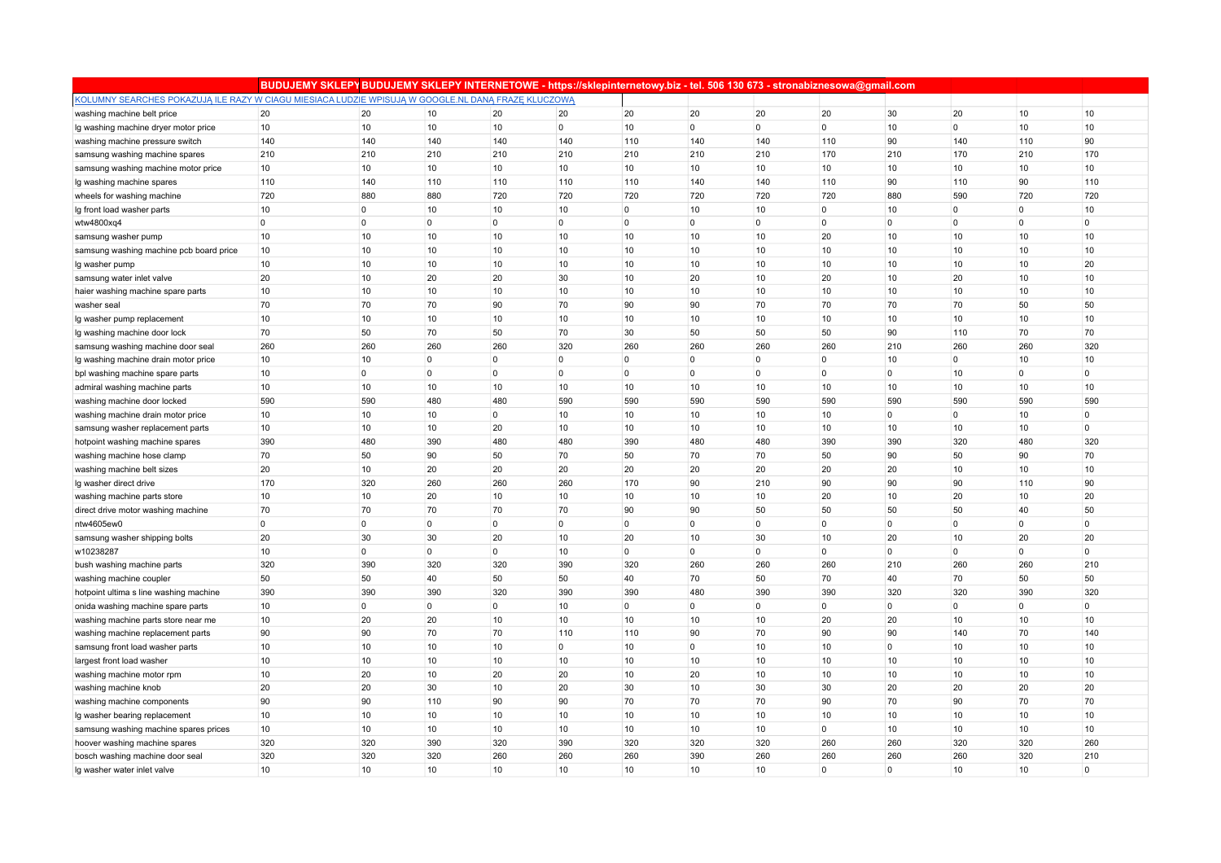|                                                                                                    | BUDUJEMY SKLEPYBUDUJEMY SKLEPY INTERNETOWE - https://sklepinternetowy.biz - tel. 506 130 673 - stronabiznesowa@gmail.com |                |                   |                |                 |             |                |                |                 |                |             |                |                |
|----------------------------------------------------------------------------------------------------|--------------------------------------------------------------------------------------------------------------------------|----------------|-------------------|----------------|-----------------|-------------|----------------|----------------|-----------------|----------------|-------------|----------------|----------------|
| KOLUMNY SEARCHES POKAZUJA ILE RAZY W CIAGU MIESIACA LUDZIE WPISUJA W GOOGLE.NL DANA FRAZE KLUCZOWA |                                                                                                                          |                |                   |                |                 |             |                |                |                 |                |             |                |                |
| washing machine belt price                                                                         | 20                                                                                                                       | 20             | 10                | 20             | 20              | 20          | 20             | 20             | 20              | 30             | 20          | 10             | 10             |
| Ig washing machine dryer motor price                                                               | 10                                                                                                                       | 10             | 10                | 10             | $\mathbf 0$     | 10          | $\mathbf 0$    | $\mathbf{0}$   | $\overline{0}$  | 10             | $\Omega$    | 10             | 10             |
| washing machine pressure switch                                                                    | 140                                                                                                                      | 140            | 140               | 140            | 140             | 110         | 140            | 140            | 110             | 90             | 140         | 110            | 90             |
| samsung washing machine spares                                                                     | 210                                                                                                                      | 210            | 210               | 210            | 210             | 210         | 210            | 210            | 170             | 210            | 170         | 210            | 170            |
| samsung washing machine motor price                                                                | 10                                                                                                                       | 10             | 10                | 10             | 10              | 10          | 10             | 10             | 10              | 10             | 10          | 10             | 10             |
| lg washing machine spares                                                                          | 110                                                                                                                      | 140            | 110               | 110            | 110             | 110         | 140            | 140            | 110             | 90             | 110         | 90             | 110            |
| wheels for washing machine                                                                         | 720                                                                                                                      | 880            | 880               | 720            | 720             | 720         | 720            | 720            | 720             | 880            | 590         | 720            | 720            |
| Ig front load washer parts                                                                         | 10                                                                                                                       | $\overline{0}$ | 10                | 10             | 10              | 0           | 10             | 10             | $\overline{0}$  | 10             | 0           | $\overline{0}$ | 10             |
| wtw4800xq4                                                                                         | $\overline{0}$                                                                                                           | 0              | 0                 | $\mathbf 0$    | $\overline{0}$  | 0           | 0              | $\overline{0}$ | $\overline{0}$  | 0              | 0           | 0              | $\overline{0}$ |
| samsung washer pump                                                                                | 10                                                                                                                       | 10             | 10                | 10             | 10              | 10          | 10             | 10             | 20              | 10             | 10          | 10             | 10             |
| samsung washing machine pcb board price                                                            | 10                                                                                                                       | 10             | 10                | 10             | 10              | 10          | 10             | 10             | 10              | 10             | 10          | 10             | 10             |
| Ig washer pump                                                                                     | 10                                                                                                                       | 10             | 10                | 10             | 10              | 10          | 10             | 10             | 10              | 10             | 10          | 10             | 20             |
| samsung water inlet valve                                                                          | 20                                                                                                                       | 10             | 20                | 20             | 30              | 10          | 20             | 10             | 20              | 10             | 20          | 10             | 10             |
| haier washing machine spare parts                                                                  | 10                                                                                                                       | 10             | 10                | 10             | 10              | 10          | 10             | 10             | 10              | 10             | 10          | 10             | 10             |
| washer seal                                                                                        | 70                                                                                                                       | 70             | 70                | 90             | 70              | 90          | 90             | 70             | 70              | 70             | 70          | 50             | 50             |
| Ig washer pump replacement                                                                         | 10                                                                                                                       | 10             | 10                | 10             | 10              | 10          | 10             | 10             | 10              | 10             | 10          | 10             | 10             |
| Ig washing machine door lock                                                                       | 70                                                                                                                       | 50             | 70                | 50             | 70              | 30          | 50             | 50             | 50              | 90             | 110         | 70             | 70             |
| samsung washing machine door seal                                                                  | 260                                                                                                                      | 260            | 260               | 260            | 320             | 260         | 260            | 260            | 260             | 210            | 260         | 260            | 320            |
| Ig washing machine drain motor price                                                               | 10                                                                                                                       | 10             | $\overline{0}$    | $\mathbf 0$    | $\overline{0}$  | 0           | $\mathbf 0$    | $\Omega$       | $\overline{0}$  | 10             | $\mathbf 0$ | 10             | 10             |
| bpl washing machine spare parts                                                                    | 10                                                                                                                       | $\overline{0}$ | $\overline{0}$    | $\overline{0}$ | $\mathbf 0$     | $\mathbf 0$ | $\Omega$       | $\Omega$       | $\overline{0}$  | $\Omega$       | 10          | 0              | $\overline{0}$ |
| admiral washing machine parts                                                                      | 10                                                                                                                       | 10             | 10                | 10             | 10              | 10          | 10             | 10             | 10              | 10             | 10          | 10             | 10             |
| washing machine door locked                                                                        | 590                                                                                                                      | 590            | 480               | 480            | 590             | 590         | 590            | 590            | 590             | 590            | 590         | 590            | 590            |
| washing machine drain motor price                                                                  | 10                                                                                                                       | 10             | 10                | $\overline{0}$ | 10              | 10          | 10             | 10             | 10              | $\mathbf 0$    | $\Omega$    | 10             | $\overline{0}$ |
| samsung washer replacement parts                                                                   | 10                                                                                                                       | 10             | 10                | 20             | 10              | 10          | 10             | 10             | 10              | 10             | 10          | 10             | $\overline{0}$ |
| hotpoint washing machine spares                                                                    | 390                                                                                                                      | 480            | 390               | 480            | 480             | 390         | 480            | 480            | 390             | 390            | 320         | 480            | 320            |
| washing machine hose clamp                                                                         | 70                                                                                                                       | 50             | 90                | 50             | 70              | 50          | 70             | 70             | 50              | 90             | 50          | 90             | 70             |
| washing machine belt sizes                                                                         | 20                                                                                                                       | 10             | 20                | 20             | 20              | 20          | 20             | 20             | 20              | 20             | 10          | 10             | 10             |
| lg washer direct drive                                                                             | 170                                                                                                                      | 320            | 260               | 260            | 260             | 170         | 90             | 210            | 90              | 90             | 90          | 110            | 90             |
| washing machine parts store                                                                        | 10                                                                                                                       | 10             | 20                | 10             | 10              | 10          | 10             | 10             | 20              | 10             | 20          | 10             | 20             |
| direct drive motor washing machine                                                                 | 70                                                                                                                       | 70             | 70                | 70             | 70              | 90          | 90             | 50             | 50              | 50             | 50          | 40             | 50             |
| ntw4605ew0                                                                                         | $\overline{0}$                                                                                                           | $\overline{0}$ | $\overline{0}$    | $\overline{0}$ | $\mathbf 0$     | $\mathbf 0$ | $\Omega$       | $\Omega$       | $\overline{0}$  | $\Omega$       | $\Omega$    | 0              | $\mathbf 0$    |
| samsung washer shipping bolts                                                                      | 20                                                                                                                       | 30             | 30                | 20             | 10              | 20          | 10             | 30             | 10              | 20             | 10          | 20             | 20             |
| w10238287                                                                                          | 10                                                                                                                       | 0              | 0                 | $\mathbf 0$    | 10              | 0           | $\Omega$       | $\Omega$       | $\overline{0}$  | $\Omega$       | $\Omega$    | 0              | $\overline{0}$ |
| bush washing machine parts                                                                         | 320                                                                                                                      | 390            | 320               | 320            | 390             | 320         | 260            | 260            | 260             | 210            | 260         | 260            | 210            |
| washing machine coupler                                                                            | 50                                                                                                                       | 50             | 40                | 50             | 50              | 40          | 70             | 50             | 70              | 40             | 70          | 50             | 50             |
| hotpoint ultima s line washing machine                                                             | 390                                                                                                                      | 390            | 390               | 320            | 390             | 390         | 480            | 390            | 390             | 320            | 320         | 390            | 320            |
| onida washing machine spare parts                                                                  | 10                                                                                                                       | $\overline{0}$ | $\mathbf 0$<br>20 | $\overline{0}$ | 10              | 0           | 0              | $\Omega$<br>10 | $\overline{0}$  | $\Omega$<br>20 | $\Omega$    | 0              | $\mathbf 0$    |
| washing machine parts store near me                                                                | 10                                                                                                                       | 20             |                   | 10             | 10              | 10          | 10             |                | 20              |                | 10          | 10             | 10             |
| washing machine replacement parts                                                                  | 90                                                                                                                       | 90             | 70                | 70             | 110             | 110         | 90<br>$\Omega$ | 70             | 90              | 90<br>$\Omega$ | 140         | 70             | 140            |
| samsung front load washer parts                                                                    | 10                                                                                                                       | 10             | 10                | 10             | $\overline{0}$  | 10          |                | 10             | 10              |                | 10          | 10             | 10             |
| largest front load washer                                                                          | 10                                                                                                                       | 10             | 10                | 10             | 10              | 10          | 10             | 10             | 10              | 10             | 10          | 10             | 10             |
| washing machine motor rpm                                                                          | 10                                                                                                                       | 20             | 10                | 20             | 20              | 10          | 20             | 10             | 10              | 10             | 10          | 10             | 10             |
| washing machine knob                                                                               | 20<br>90                                                                                                                 | 20             | 30                | 10<br>90       | 20              | 30<br>70    | 10<br>70       | 30             | 30<br>90        | 20<br>70       | 20          | 20             | 20<br>70       |
| washing machine components                                                                         |                                                                                                                          | 90<br>10       | 110               |                | 90<br>10        | 10          |                | 70             |                 |                | 90          | 70<br>10       | 10             |
| Ig washer bearing replacement                                                                      | 10                                                                                                                       |                | 10                | 10             |                 |             | 10             | 10             | 10              | 10             | 10          |                |                |
| samsung washing machine spares prices                                                              | 10                                                                                                                       | 10             | 10                | 10             | 10              | 10          | 10             | 10             | $\overline{0}$  | 10             | 10          | 10             | 10             |
| hoover washing machine spares                                                                      | 320                                                                                                                      | 320            | 390               | 320            | 390             | 320         | 320            | 320            | 260             | 260            | 320         | 320            | 260            |
| bosch washing machine door seal                                                                    | 320                                                                                                                      | 320            | 320               | 260            | 260             | 260         | 390            | 260            | 260<br>$\Omega$ | 260<br>0       | 260         | 320            | 210<br>0       |
| Ig washer water inlet valve                                                                        | 10                                                                                                                       | 10             | 10                | 10             | 10 <sup>1</sup> | 10          | 10             | 10             |                 |                | 10          | 10             |                |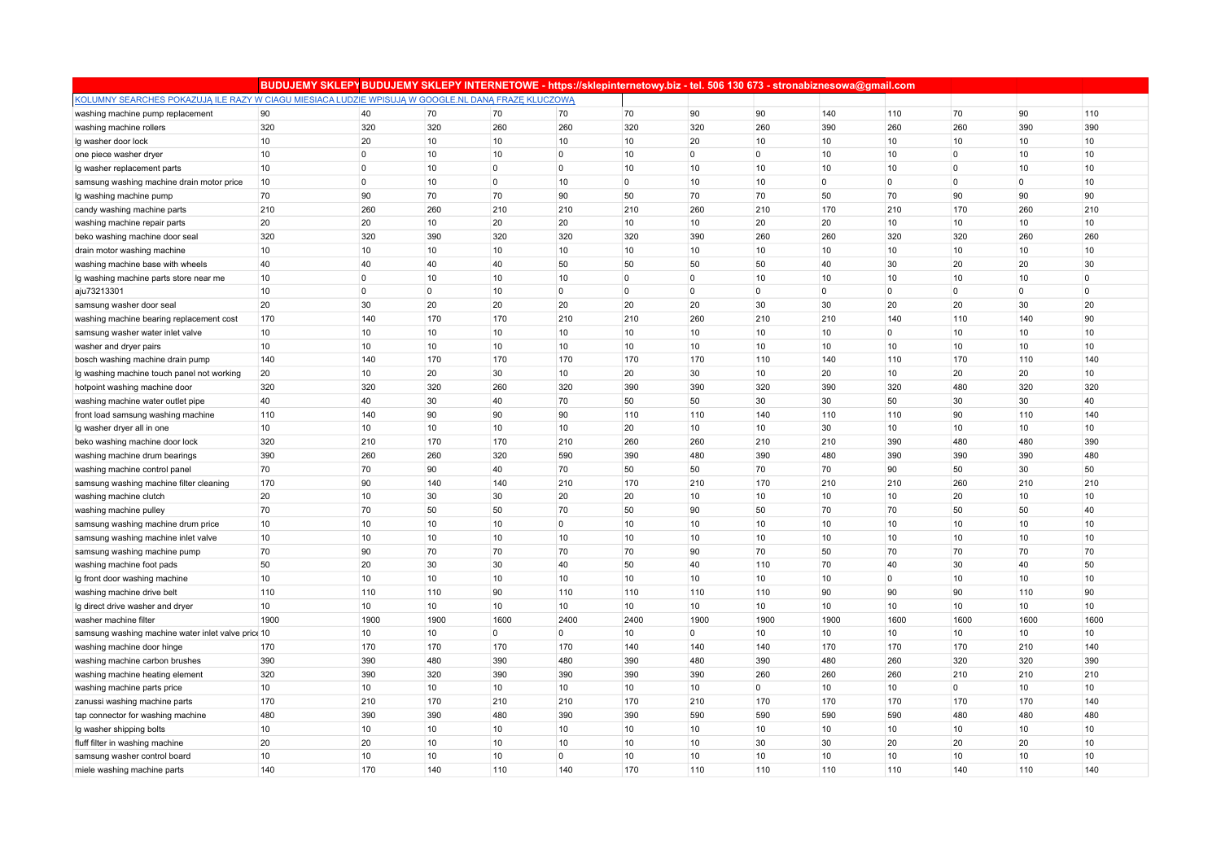|                                                                                                    | BUDUJEMY SKLEPYBUDUJEMY SKLEPY INTERNETOWE - https://sklepinternetowy.biz - tel. 506 130 673 - stronabiznesowa@gmail.com |                |          |                |                |             |             |             |                |          |                |                |                |
|----------------------------------------------------------------------------------------------------|--------------------------------------------------------------------------------------------------------------------------|----------------|----------|----------------|----------------|-------------|-------------|-------------|----------------|----------|----------------|----------------|----------------|
| KOLUMNY SEARCHES POKAZUJĄ ILE RAZY W CIAGU MIESIACA LUDZIE WPISUJĄ W GOOGLE.NL DANĄ FRAZE KLUCZOWĄ |                                                                                                                          |                |          |                |                |             |             |             |                |          |                |                |                |
| washing machine pump replacement                                                                   | 90                                                                                                                       | 40             | 70       | 70             | 70             | 70          | 90          | 90          | 140            | 110      | 70             | 90             | 110            |
| washing machine rollers                                                                            | 320                                                                                                                      | 320            | 320      | 260            | 260            | 320         | 320         | 260         | 390            | 260      | 260            | 390            | 390            |
| Ig washer door lock                                                                                | 10                                                                                                                       | 20             | 10       | 10             | 10             | 10          | 20          | 10          | 10             | 10       | 10             | 10             | 10             |
| one piece washer dryer                                                                             | 10                                                                                                                       | $\overline{0}$ | 10       | 10             | $\overline{0}$ | 10          | $\mathbf 0$ | $\Omega$    | 10             | 10       | $\mathbf 0$    | 10             | 10             |
| Ig washer replacement parts                                                                        | 10                                                                                                                       | $\overline{0}$ | 10       | $\overline{0}$ | $\mathbf 0$    | 10          | 10          | 10          | 10             | 10       | $\Omega$       | 10             | 10             |
| samsung washing machine drain motor price                                                          | 10                                                                                                                       | $\overline{0}$ | 10       | $\overline{0}$ | 10             | 0           | 10          | 10          | $\overline{0}$ | 0        | $\Omega$       | $\overline{0}$ | 10             |
| Ig washing machine pump                                                                            | 70                                                                                                                       | 90             | 70       | 70             | 90             | 50          | 70          | 70          | 50             | 70       | 90             | 90             | 90             |
| candy washing machine parts                                                                        | 210                                                                                                                      | 260            | 260      | 210            | 210            | 210         | 260         | 210         | 170            | 210      | 170            | 260            | 210            |
| washing machine repair parts                                                                       | 20                                                                                                                       | 20             | 10       | 20             | 20             | 10          | 10          | 20          | 20             | 10       | 10             | 10             | 10             |
| beko washing machine door seal                                                                     | 320                                                                                                                      | 320            | 390      | 320            | 320            | 320         | 390         | 260         | 260            | 320      | 320            | 260            | 260            |
| drain motor washing machine                                                                        | 10                                                                                                                       | 10             | 10       | 10             | 10             | 10          | 10          | 10          | 10             | 10       | 10             | 10             | 10             |
| washing machine base with wheels                                                                   | 40                                                                                                                       | 40             | 40       | 40             | 50             | 50          | 50          | 50          | 40             | 30       | 20             | 20             | 30             |
| Ig washing machine parts store near me                                                             | 10                                                                                                                       | $\overline{0}$ | 10       | 10             | 10             | $\mathbf 0$ | $\Omega$    | 10          | 10             | 10       | 10             | 10             | $\Omega$       |
| aju73213301                                                                                        | 10                                                                                                                       | $\overline{0}$ | $\Omega$ | 10             | $\mathbf 0$    | $\mathbf 0$ | $\Omega$    | $\Omega$    | $\mathbf 0$    | $\Omega$ | $\Omega$       | $\overline{0}$ | $\overline{0}$ |
| samsung washer door seal                                                                           | 20                                                                                                                       | 30             | 20       | 20             | 20             | 20          | 20          | 30          | 30             | 20       | 20             | 30             | 20             |
| washing machine bearing replacement cost                                                           | 170                                                                                                                      | 140            | 170      | 170            | 210            | 210         | 260         | 210         | 210            | 140      | 110            | 140            | 90             |
| samsung washer water inlet valve                                                                   | 10                                                                                                                       | 10             | 10       | 10             | 10             | 10          | 10          | 10          | 10             | 0        | 10             | 10             | 10             |
| washer and dryer pairs                                                                             | 10                                                                                                                       | 10             | 10       | 10             | 10             | 10          | 10          | 10          | 10             | 10       | 10             | 10             | 10             |
| bosch washing machine drain pump                                                                   | 140                                                                                                                      | 140            | 170      | 170            | 170            | 170         | 170         | 110         | 140            | 110      | 170            | 110            | 140            |
| Ig washing machine touch panel not working                                                         | 20                                                                                                                       | 10             | 20       | 30             | 10             | 20          | 30          | 10          | 20             | 10       | 20             | 20             | 10             |
| hotpoint washing machine door                                                                      | 320                                                                                                                      | 320            | 320      | 260            | 320            | 390         | 390         | 320         | 390            | 320      | 480            | 320            | 320            |
| washing machine water outlet pipe                                                                  | 40                                                                                                                       | 40             | 30       | 40             | 70             | 50          | 50          | 30          | 30             | 50       | 30             | 30             | 40             |
| front load samsung washing machine                                                                 | 110                                                                                                                      | 140            | 90       | 90             | 90             | 110         | 110         | 140         | 110            | 110      | 90             | 110            | 140            |
| Ig washer dryer all in one                                                                         | 10                                                                                                                       | 10             | 10       | 10             | 10             | 20          | 10          | 10          | 30             | 10       | 10             | 10             | 10             |
| beko washing machine door lock                                                                     | 320                                                                                                                      | 210            | 170      | 170            | 210            | 260         | 260         | 210         | 210            | 390      | 480            | 480            | 390            |
| washing machine drum bearings                                                                      | 390                                                                                                                      | 260            | 260      | 320            | 590            | 390         | 480         | 390         | 480            | 390      | 390            | 390            | 480            |
| washing machine control panel                                                                      | 70                                                                                                                       | 70             | 90       | 40             | 70             | 50          | 50          | 70          | 70             | 90       | 50             | 30             | 50             |
| samsung washing machine filter cleaning                                                            | 170                                                                                                                      | 90             | 140      | 140            | 210            | 170         | 210         | 170         | 210            | 210      | 260            | 210            | 210            |
| washing machine clutch                                                                             | 20                                                                                                                       | 10             | 30       | 30             | 20             | 20          | 10          | 10          | 10             | 10       | 20             | 10             | 10             |
| washing machine pulley                                                                             | 70                                                                                                                       | 70             | 50       | 50             | 70             | 50          | 90          | 50          | 70             | 70       | 50             | 50             | 40             |
| samsung washing machine drum price                                                                 | 10                                                                                                                       | 10             | 10       | 10             | 0              | 10          | 10          | 10          | 10             | 10       | 10             | 10             | 10             |
| samsung washing machine inlet valve                                                                | 10                                                                                                                       | 10             | 10       | 10             | 10             | 10          | 10          | 10          | 10             | 10       | 10             | 10             | 10             |
| samsung washing machine pump                                                                       | 70                                                                                                                       | 90             | 70       | 70             | 70             | 70          | 90          | 70          | 50             | 70       | 70             | 70             | 70             |
| washing machine foot pads                                                                          | 50                                                                                                                       | 20             | 30       | 30             | 40             | 50          | 40          | 110         | 70             | 40       | 30             | 40             | 50             |
| Ig front door washing machine                                                                      | 10                                                                                                                       | 10             | 10       | 10             | 10             | 10          | 10          | 10          | 10             | 0        | 10             | 10             | 10             |
| washing machine drive belt                                                                         | 110                                                                                                                      | 110            | 110      | 90             | 110            | 110         | 110         | 110         | 90             | 90       | 90             | 110            | 90             |
| Ig direct drive washer and dryer                                                                   | 10                                                                                                                       | 10             | 10       | 10             | 10             | 10          | 10          | 10          | 10             | 10       | 10             | 10             | 10             |
| washer machine filter                                                                              | 1900                                                                                                                     | 1900           | 1900     | 1600           | 2400           | 2400        | 1900        | 1900        | 1900           | 1600     | 1600           | 1600           | 1600           |
| samsung washing machine water inlet valve price 10                                                 |                                                                                                                          | 10             | 10       | $\mathbf 0$    | $\mathbf 0$    | 10          | $\mathbf 0$ | 10          | 10             | 10       | 10             | 10             | 10             |
| washing machine door hinge                                                                         | 170                                                                                                                      | 170            | 170      | 170            | 170            | 140         | 140         | 140         | 170            | 170      | 170            | 210            | 140            |
| washing machine carbon brushes                                                                     | 390                                                                                                                      | 390            | 480      | 390            | 480            | 390         | 480         | 390         | 480            | 260      | 320            | 320            | 390            |
| washing machine heating element                                                                    | 320                                                                                                                      | 390            | 320      | 390            | 390            | 390         | 390         | 260         | 260            | 260      | 210            | 210            | 210            |
| washing machine parts price                                                                        | 10                                                                                                                       | 10             | 10       | 10             | 10             | 10          | 10          | $\mathbf 0$ | 10             | 10       | $\overline{0}$ | 10             | 10             |
| zanussi washing machine parts                                                                      | 170                                                                                                                      | 210            | 170      | 210            | 210            | 170         | 210         | 170         | 170            | 170      | 170            | 170            | 140            |
| tap connector for washing machine                                                                  | 480                                                                                                                      | 390            | 390      | 480            | 390            | 390         | 590         | 590         | 590            | 590      | 480            | 480            | 480            |
| Ig washer shipping bolts                                                                           | 10                                                                                                                       | 10             | 10       | 10             | 10             | 10          | 10          | 10          | 10             | 10       | 10             | 10             | 10             |
| fluff filter in washing machine                                                                    | 20                                                                                                                       | 20             | 10       | 10             | 10             | 10          | 10          | 30          | 30             | 20       | 20             | 20             | 10             |
| samsung washer control board                                                                       | 10                                                                                                                       | 10             | 10       | 10             | $\overline{0}$ | 10          | 10          | 10          | 10             | 10       | 10             | 10             | 10             |
| miele washing machine parts                                                                        | 140                                                                                                                      | 170            | 140      | 110            | 140            | 170         | 110         | 110         | 110            | 110      | 140            | 110            | 140            |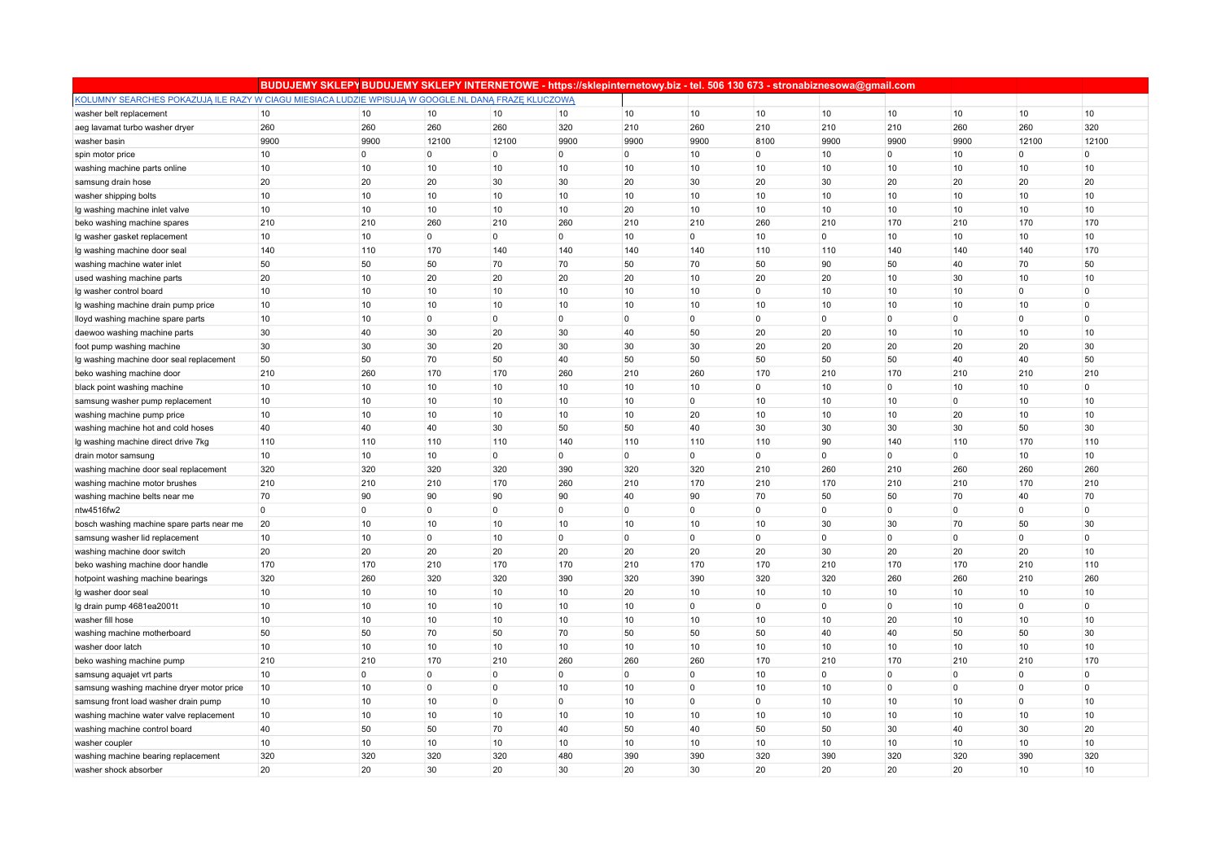|                                                                                                    | BUDUJEMY SKLEPY BUDUJEMY SKLEPY INTERNETOWE - https://sklepinternetowy.biz - tel. 506 130 673 - stronabiznesowa@gmail.com |                |                 |                |             |                |                |                |                |              |                |                |                |
|----------------------------------------------------------------------------------------------------|---------------------------------------------------------------------------------------------------------------------------|----------------|-----------------|----------------|-------------|----------------|----------------|----------------|----------------|--------------|----------------|----------------|----------------|
| KOLUMNY SEARCHES POKAZUJA ILE RAZY W CIAGU MIESIACA LUDZIE WPISUJA W GOOGLE.NL DANA FRAZE KLUCZOWA |                                                                                                                           |                |                 |                |             |                |                |                |                |              |                |                |                |
| washer belt replacement                                                                            | 10                                                                                                                        | 10             | 10              | 10             | 10          | 10             | 10             | 10             | 10             | 10           | 10             | 10             | 10             |
| aeg lavamat turbo washer dryer                                                                     | 260                                                                                                                       | 260            | 260             | 260            | 320         | 210            | 260            | 210            | 210            | 210          | 260            | 260            | 320            |
| washer basin                                                                                       | 9900                                                                                                                      | 9900           | 12100           | 12100          | 9900        | 9900           | 9900           | 8100           | 9900           | 9900         | 9900           | 12100          | 12100          |
| spin motor price                                                                                   | 10                                                                                                                        | $\mathbf 0$    | $\mathbf 0$     | $\mathbf 0$    | $\mathbf 0$ | $\mathbf 0$    | 10             | $\overline{0}$ | 10             | 0            | 10             | $\Omega$       | $\mathbf 0$    |
| washing machine parts online                                                                       | 10                                                                                                                        | 10             | 10              | 10             | 10          | 10             | 10             | 10             | 10             | 10           | 10             | 10             | 10             |
| samsung drain hose                                                                                 | 20                                                                                                                        | 20             | 20              | 30             | 30          | 20             | 30             | 20             | 30             | 20           | 20             | 20             | 20             |
| washer shipping bolts                                                                              | 10                                                                                                                        | 10             | 10              | $10$           | 10          | 10             | 10             | 10             | 10             | 10           | 10             | $10$           | 10             |
| Ig washing machine inlet valve                                                                     | 10                                                                                                                        | 10             | 10              | 10             | 10          | 20             | 10             | 10             | 10             | 10           | 10             | 10             | 10             |
| beko washing machine spares                                                                        | 210                                                                                                                       | 210            | 260             | 210            | 260         | 210            | 210            | 260            | 210            | 170          | 210            | 170            | 170            |
| Ig washer gasket replacement                                                                       | 10                                                                                                                        | 10             | $\overline{0}$  | $\mathbf 0$    | $\mathbf 0$ | 10             | $\mathbf 0$    | 10             | $\overline{0}$ | 10           | 10             | 10             | 10             |
| Ig washing machine door seal                                                                       | 140                                                                                                                       | 110            | 170             | 140            | 140         | 140            | 140            | 110            | 110            | 140          | 140            | 140            | 170            |
| washing machine water inlet                                                                        | 50                                                                                                                        | 50             | 50              | 70             | 70          | 50             | 70             | 50             | 90             | 50           | 40             | 70             | 50             |
| used washing machine parts                                                                         | 20                                                                                                                        | 10             | 20              | 20             | 20          | 20             | 10             | 20             | 20             | 10           | 30             | 10             | 10             |
| Ig washer control board                                                                            | 10                                                                                                                        | 10             | 10              | 10             | 10          | 10             | 10             | $\overline{0}$ | 10             | 10           | 10             | $\Omega$       | $\Omega$       |
| Ig washing machine drain pump price                                                                | 10                                                                                                                        | 10             | 10              | 10             | 10          | 10             | 10             | 10             | 10             | 10           | 10             | 10             | $\Omega$       |
| lloyd washing machine spare parts                                                                  | 10                                                                                                                        | 10             | $\mathbf 0$     | $\overline{0}$ | $\mathbf 0$ | $\overline{0}$ | $\Omega$       | $\overline{0}$ | $\overline{0}$ | $\mathbf 0$  | $\Omega$       | $\overline{0}$ | $\overline{0}$ |
| daewoo washing machine parts                                                                       | 30                                                                                                                        | 40             | 30              | 20             | 30          | 40             | 50             | 20             | 20             | 10           | 10             | 10             | 10             |
| foot pump washing machine                                                                          | 30                                                                                                                        | 30             | 30              | 20             | 30          | 30             | 30             | 20             | 20             | 20           | 20             | 20             | 30             |
| Ig washing machine door seal replacement                                                           | 50                                                                                                                        | 50             | 70              | 50             | 40          | 50             | 50             | 50             | 50             | 50           | 40             | 40             | 50             |
| beko washing machine door                                                                          | 210                                                                                                                       | 260            | 170             | 170            | 260         | 210            | 260            | 170            | 210            | 170          | 210            | 210            | 210            |
| black point washing machine                                                                        | 10                                                                                                                        | 10             | 10              | 10             | 10          | 10             | 10             | $\overline{0}$ | 10             | 0            | 10             | 10             | $\overline{0}$ |
| samsung washer pump replacement                                                                    | 10                                                                                                                        | 10             | 10              | 10             | 10          | 10             | $\mathbf 0$    | 10             | 10             | 10           | $\Omega$       | 10             | 10             |
| washing machine pump price                                                                         | 10                                                                                                                        | 10             | 10              | 10             | 10          | 10             | 20             | 10             | 10             | 10           | 20             | 10             | 10             |
| washing machine hot and cold hoses                                                                 | 40                                                                                                                        | 40             | 40              | 30             | 50          | 50             | 40             | 30             | 30             | 30           | 30             | 50             | 30             |
| Ig washing machine direct drive 7kg                                                                | 110                                                                                                                       | 110            | 110             | 110            | 140         | 110            | 110            | 110            | 90             | 140          | 110            | 170            | 110            |
| drain motor samsung                                                                                | 10                                                                                                                        | 10             | 10 <sup>1</sup> | $\overline{0}$ | $\mathbf 0$ | $\mathbf 0$    | $\mathbf 0$    | $\overline{0}$ | $\overline{0}$ | $\mathbf{0}$ | $\overline{0}$ | 10             | 10             |
| washing machine door seal replacement                                                              | 320                                                                                                                       | 320            | 320             | 320            | 390         | 320            | 320            | 210            | 260            | 210          | 260            | 260            | 260            |
| washing machine motor brushes                                                                      | 210                                                                                                                       | 210            | 210             | 170            | 260         | 210            | 170            | 210            | 170            | 210          | 210            | 170            | 210            |
| washing machine belts near me                                                                      | 70                                                                                                                        | 90             | 90              | 90             | 90          | 40             | 90             | 70             | 50             | 50           | 70             | 40             | 70             |
| ntw4516fw2                                                                                         | $\Omega$                                                                                                                  | $\overline{0}$ | $\mathbf 0$     | $\overline{0}$ | $\mathbf 0$ | $\mathbf 0$    | $\overline{0}$ | $\overline{0}$ | $\overline{0}$ | $\mathbf{0}$ | $\overline{0}$ | $\overline{0}$ | $\overline{0}$ |
| bosch washing machine spare parts near me                                                          | 20                                                                                                                        | 10             | 10              | 10             | 10          | 10             | 10             | 10             | 30             | 30           | 70             | 50             | 30             |
| samsung washer lid replacement                                                                     | 10                                                                                                                        | 10             | $\mathbf 0$     | 10             | $\mathbf 0$ | $\mathbf 0$    | $\mathbf 0$    | $\overline{0}$ | $\overline{0}$ | 0            | 0              | $\overline{0}$ | $\overline{0}$ |
| washing machine door switch                                                                        | 20                                                                                                                        | 20             | 20              | 20             | 20          | 20             | 20             | 20             | 30             | 20           | 20             | 20             | 10             |
| beko washing machine door handle                                                                   | 170                                                                                                                       | 170            | 210             | 170            | 170         | 210            | 170            | 170            | 210            | 170          | 170            | 210            | 110            |
| hotpoint washing machine bearings                                                                  | 320                                                                                                                       | 260            | 320             | 320            | 390         | 320            | 390            | 320            | 320            | 260          | 260            | 210            | 260            |
| Ig washer door seal                                                                                | 10                                                                                                                        | 10             | 10              | $10$           | 10          | 20             | 10             | 10             | 10             | 10           | 10             | 10             | 10             |
| Ig drain pump 4681ea2001t                                                                          | 10                                                                                                                        | 10             | 10              | 10             | 10          | 10             | $\mathbf 0$    | $\overline{0}$ | $\overline{0}$ | $\mathbf{0}$ | 10             | $\Omega$       | $\Omega$       |
| washer fill hose                                                                                   | 10                                                                                                                        | 10             | 10              | 10             | 10          | 10             | 10             | 10             | 10             | 20           | 10             | 10             | 10             |
| washing machine motherboard                                                                        | 50                                                                                                                        | 50             | 70              | 50             | 70          | 50             | 50             | 50             | 40             | 40           | 50             | 50             | 30             |
| washer door latch                                                                                  | 10                                                                                                                        | 10             | 10              | 10             | 10          | 10             | 10             | 10             | 10             | 10           | 10             | 10             | 10             |
| beko washing machine pump                                                                          | 210                                                                                                                       | 210            | 170             | 210            | 260         | 260            | 260            | 170            | 210            | 170          | 210            | 210            | 170            |
| samsung aquajet vrt parts                                                                          | 10                                                                                                                        | $\overline{0}$ | $\mathbf 0$     | $\mathbf 0$    | $\mathbf 0$ | $\mathbf 0$    | $\Omega$       | 10             | $\overline{0}$ | $\mathbf{0}$ | 0              | $\overline{0}$ | $\mathbf 0$    |
| samsung washing machine dryer motor price                                                          | 10                                                                                                                        | 10             | $\overline{0}$  | 0              | 10          | 10             | $\Omega$       | 10             | 10             | 0            | 0              | $\Omega$       | $\overline{0}$ |
| samsung front load washer drain pump                                                               | 10                                                                                                                        | 10             | 10              | $\overline{0}$ | $\mathbf 0$ | 10             | $\Omega$       | $\overline{0}$ | 10             | 10           | 10             | $\overline{0}$ | 10             |
| washing machine water valve replacement                                                            | 10                                                                                                                        | 10             | 10              | 10             | 10          | 10             | 10             | 10             | 10             | 10           | 10             | 10             | 10             |
| washing machine control board                                                                      | 40                                                                                                                        | 50             | 50              | 70             | 40          | 50             | 40             | 50             | 50             | 30           | 40             | 30             | 20             |
| washer coupler                                                                                     | 10                                                                                                                        | 10             | 10              | 10             | 10          | 10             | 10             | 10             | 10             | 10           | 10             | 10             | 10             |
| washing machine bearing replacement                                                                | 320                                                                                                                       | 320            | 320             | 320            | 480         | 390            | 390            | 320            | 390            | 320          | 320            | 390            | 320            |
| washer shock absorber                                                                              | 20                                                                                                                        | 20             | 30              | 20             | 30          | 20             | 30             | 20             | 20             | 20           | 20             | 10             | 10             |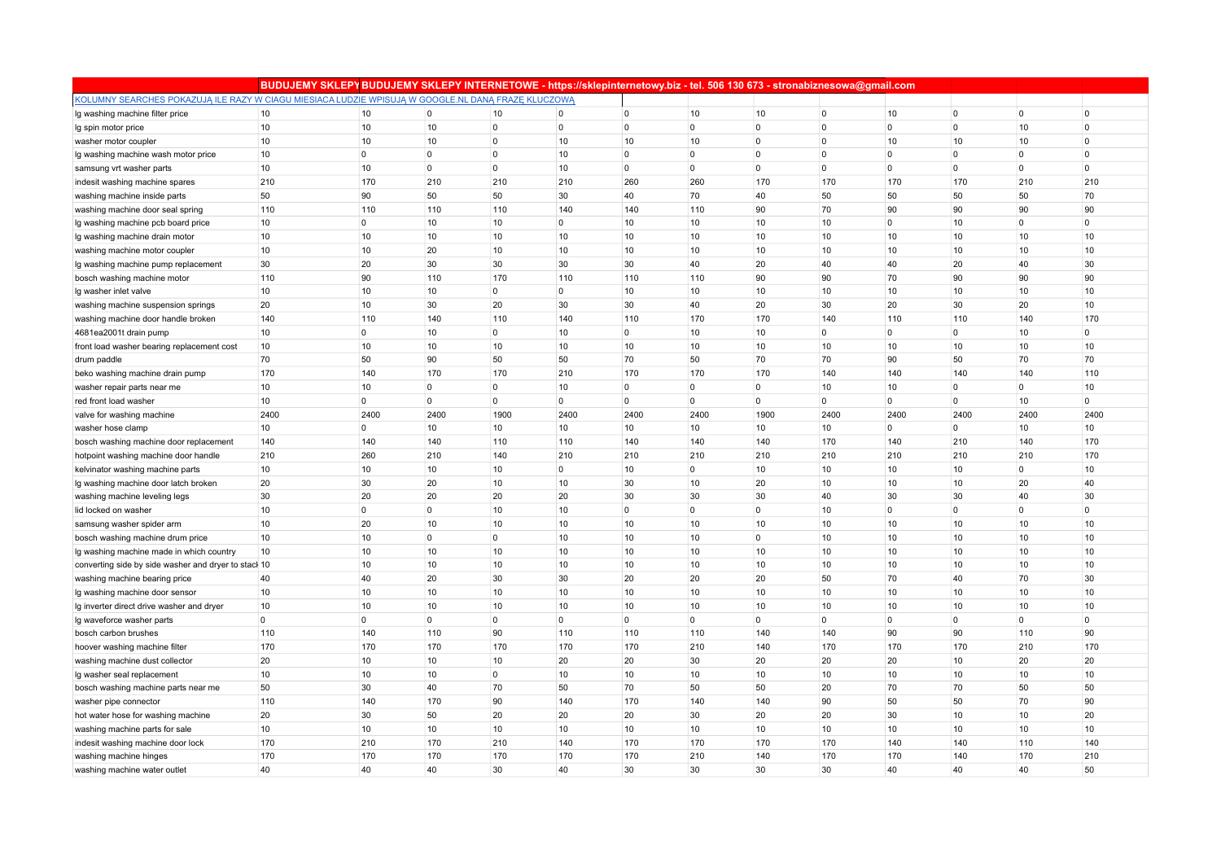|                                                                                                    | BUDUJEMY SKLEPYBUDUJEMY SKLEPY INTERNETOWE - https://sklepinternetowy.biz - tel. 506 130 673 - stronabiznesowa@gmail.com |                |                |                |                |                     |             |                |                 |          |                |                |                |
|----------------------------------------------------------------------------------------------------|--------------------------------------------------------------------------------------------------------------------------|----------------|----------------|----------------|----------------|---------------------|-------------|----------------|-----------------|----------|----------------|----------------|----------------|
| KOLUMNY SEARCHES POKAZUJA ILE RAZY W CIAGU MIESIACA LUDZIE WPISUJA W GOOGLE.NL DANA FRAZE KLUCZOWA |                                                                                                                          |                |                |                |                |                     |             |                |                 |          |                |                |                |
| Ig washing machine filter price                                                                    | 10                                                                                                                       | 10             | $\mathbf 0$    | 10             | $\mathbf 0$    | $\mathbf 0$         | 10          | 10             | $\overline{0}$  | 10       | $\mathbf 0$    | $\overline{0}$ | $\overline{0}$ |
| Ig spin motor price                                                                                | 10                                                                                                                       | 10             | 10             | $\overline{0}$ | $\mathbf 0$    | 0                   | $\mathbf 0$ | $\Omega$       | $\overline{0}$  | $\Omega$ | $\Omega$       | 10             | $\mathbf 0$    |
| washer motor coupler                                                                               | 10                                                                                                                       | 10             | 10             | $\mathbf 0$    | 10             | 10                  | 10          | $\overline{0}$ | $\overline{0}$  | 10       | 10             | 10             | $\mathbf 0$    |
| Ig washing machine wash motor price                                                                | 10                                                                                                                       | $\overline{0}$ | $\overline{0}$ | $\overline{0}$ | 10             | $\mathsf 0$         | $\Omega$    | $\Omega$       | $\overline{0}$  | $\Omega$ | $\overline{0}$ | $\overline{0}$ | $\overline{0}$ |
| samsung vrt washer parts                                                                           | 10                                                                                                                       | 10             | $\overline{0}$ | $\overline{0}$ | 10             | $\mathbf 0$         | $\mathbf 0$ | $\Omega$       | $\overline{0}$  | $\Omega$ | $\Omega$       | $\overline{0}$ | $\overline{0}$ |
| indesit washing machine spares                                                                     | 210                                                                                                                      | 170            | 210            | 210            | 210            | 260                 | 260         | 170            | 170             | 170      | 170            | 210            | 210            |
| washing machine inside parts                                                                       | 50                                                                                                                       | 90             | 50             | 50             | 30             | 40                  | 70          | 40             | 50              | 50       | 50             | 50             | 70             |
| washing machine door seal spring                                                                   | 110                                                                                                                      | 110            | 110            | 110            | 140            | 140                 | 110         | 90             | 70              | 90       | 90             | 90             | 90             |
| Ig washing machine pcb board price                                                                 | 10                                                                                                                       | 0              | 10             | 10             | $\mathbf{0}$   | 10                  | 10          | 10             | 10              | $\Omega$ | 10             | $\Omega$       | $\overline{0}$ |
| Ig washing machine drain motor                                                                     | 10                                                                                                                       | 10             | 10             | 10             | 10             | 10                  | 10          | 10             | 10              | 10       | 10             | 10             | 10             |
| washing machine motor coupler                                                                      | 10                                                                                                                       | 10             | 20             | 10             | 10             | 10                  | 10          | 10             | 10              | 10       | 10             | 10             | 10             |
| lg washing machine pump replacement                                                                | 30                                                                                                                       | 20             | 30             | 30             | 30             | 30                  | 40          | 20             | 40              | 40       | 20             | 40             | 30             |
| bosch washing machine motor                                                                        | 110                                                                                                                      | 90             | 110            | 170            | 110            | 110                 | 110         | 90             | 90              | 70       | 90             | 90             | 90             |
| Ig washer inlet valve                                                                              | 10                                                                                                                       | 10             | 10             | $\mathbf 0$    | $\mathbf 0$    | 10                  | 10          | 10             | 10              | 10       | 10             | 10             | 10             |
| washing machine suspension springs                                                                 | 20                                                                                                                       | 10             | 30             | 20             | 30             | 30                  | 40          | 20             | 30              | 20       | 30             | 20             | 10             |
| washing machine door handle broken                                                                 | 140                                                                                                                      | 110            | 140            | 110            | 140            | 110                 | 170         | 170            | 140             | 110      | 110            | 140            | 170            |
| 4681ea2001t drain pump                                                                             | 10                                                                                                                       | $\overline{0}$ | 10             | $\mathbf 0$    | 10             | $\mathbf 0$         | 10          | 10             | $\overline{0}$  | 0        | $\mathbf 0$    | 10             | $\overline{0}$ |
| front load washer bearing replacement cost                                                         | 10                                                                                                                       | 10             | 10             | 10             | 10             | 10                  | 10          | 10             | 10              | 10       | 10             | 10             | 10             |
| drum paddle                                                                                        | 70                                                                                                                       | 50             | 90             | 50             | 50             | 70                  | 50          | 70             | 70              | 90       | 50             | 70             | 70             |
| beko washing machine drain pump                                                                    | 170                                                                                                                      | 140            | 170            | 170            | 210            | 170                 | 170         | 170            | 140             | 140      | 140            | 140            | 110            |
| washer repair parts near me                                                                        | 10                                                                                                                       | 10             | $\mathbf 0$    | $\overline{0}$ | 10             | 0                   | $\mathbf 0$ | $\Omega$       | 10              | 10       | $\Omega$       | $\mathbf{0}$   | 10             |
| red front load washer                                                                              | 10                                                                                                                       | $\overline{0}$ | $\mathbf 0$    | $\mathbf 0$    | $\overline{0}$ | 0                   | $\mathbf 0$ | $\Omega$       | $\overline{0}$  | 0        | $\mathbf 0$    | 10             | $\overline{0}$ |
| valve for washing machine                                                                          | 2400                                                                                                                     | 2400           | 2400           | 1900           | 2400           | 2400                | 2400        | 1900           | 2400            | 2400     | 2400           | 2400           | 2400           |
| washer hose clamp                                                                                  | 10                                                                                                                       | $\overline{0}$ | 10             | 10             | 10             | 10                  | 10          | 10             | 10              | 0        | $\mathbf 0$    | 10             | 10             |
| bosch washing machine door replacement                                                             | 140                                                                                                                      | 140            | 140            | 110            | 110            | 140                 | 140         | 140            | 170             | 140      | 210            | 140            | 170            |
| hotpoint washing machine door handle                                                               | 210                                                                                                                      | 260            | 210            | 140            | 210            | 210                 | 210         | 210            | 210             | 210      | 210            | 210            | 170            |
| kelvinator washing machine parts                                                                   | 10                                                                                                                       | 10             | 10             | 10             | $\mathbf 0$    | 10                  | $\Omega$    | 10             | 10              | 10       | 10             | $\overline{0}$ | 10             |
| Ig washing machine door latch broken                                                               | 20                                                                                                                       | 30             | 20             | 10             | 10             | 30                  | 10          | 20             | 10              | 10       | 10             | 20             | 40             |
| washing machine leveling legs                                                                      | 30                                                                                                                       | 20             | 20             | 20             | 20             | 30                  | 30          | 30             | 40              | 30       | 30             | 40             | 30             |
| lid locked on washer                                                                               | 10                                                                                                                       | $\overline{0}$ | $\overline{0}$ | 10             | 10             | $\mathsf{O}\xspace$ | $\mathbf 0$ | $\Omega$       | 10              | 0        | $\overline{0}$ | 0              | $\overline{0}$ |
| samsung washer spider arm                                                                          | 10                                                                                                                       | 20             | 10             | 10             | 10             | 10                  | 10          | 10             | 10              | 10       | 10             | 10             | 10             |
| bosch washing machine drum price                                                                   | 10                                                                                                                       | 10             | $\overline{0}$ | $\overline{0}$ | 10             | 10                  | 10          | $\Omega$       | 10              | 10       | 10             | 10             | 10             |
| Ig washing machine made in which country                                                           | 10                                                                                                                       | 10             | 10             | 10             | 10             | 10                  | 10          | 10             | 10              | 10       | 10             | 10             | 10             |
| converting side by side washer and dryer to stack 10                                               |                                                                                                                          | 10             | 10             | 10             | 10             | 10                  | 10          | 10             | 10              | 10       | 10             | 10             | 10             |
| washing machine bearing price                                                                      | 40                                                                                                                       | 40             | 20             | 30             | 30             | 20                  | 20          | 20             | 50              | 70       | 40             | 70             | 30             |
| Ig washing machine door sensor                                                                     | 10                                                                                                                       | 10             | 10             | 10             | 10             | 10                  | 10          | 10             | 10              | 10       | 10             | 10             | 10             |
| Ig inverter direct drive washer and dryer                                                          | 10                                                                                                                       | 10             | 10             | 10             | 10             | 10                  | 10          | 10             | 10              | 10       | 10             | 10             | 10             |
| Ig waveforce washer parts                                                                          | $\overline{0}$                                                                                                           | $\overline{0}$ | $\overline{0}$ | $\overline{0}$ | $\overline{0}$ | 0                   | $\mathbf 0$ | $\Omega$       | $\mathbf 0$     | $\Omega$ | $\Omega$       | $\overline{0}$ | $\mathbf 0$    |
| bosch carbon brushes                                                                               | 110                                                                                                                      | 140            | 110            | 90             | 110            | 110                 | 110         | 140            | 140             | 90       | 90             | 110            | 90             |
| hoover washing machine filter                                                                      | 170                                                                                                                      | 170            | 170            | 170            | 170            | 170                 | 210         | 140            | 170             | 170      | 170            | 210            | 170            |
| washing machine dust collector                                                                     | 20                                                                                                                       | 10             | 10             | 10             | 20             | 20                  | 30          | 20             | 20              | 20       | 10             | 20             | 20             |
| Ig washer seal replacement                                                                         | 10                                                                                                                       | 10             | 10             | $\overline{0}$ | 10             | 10                  | 10          | 10             | 10              | 10       | 10             | 10             | 10             |
| bosch washing machine parts near me                                                                | 50                                                                                                                       | 30             | 40             | 70             | 50             | 70                  | 50          | 50             | 20              | 70       | 70             | 50             | 50             |
| washer pipe connector                                                                              | 110                                                                                                                      | 140            | 170            | 90             | 140            | 170                 | 140         | 140            | 90              | 50       | 50             | 70             | 90             |
| hot water hose for washing machine                                                                 | 20                                                                                                                       | 30             | 50             | 20             | 20             | 20                  | 30          | 20             | 20              | 30       | 10             | 10             | 20             |
| washing machine parts for sale                                                                     | 10                                                                                                                       | 10             | 10             | 10             | 10             | 10                  | 10          | 10             | 10 <sup>°</sup> | 10       | 10             | 10             | 10             |
| indesit washing machine door lock                                                                  | 170                                                                                                                      | 210            | 170            | 210            | 140            | 170                 | 170         | 170            | 170             | 140      | 140            | 110            | 140            |
| washing machine hinges                                                                             | 170                                                                                                                      | 170            | 170            | 170            | 170            | 170                 | 210         | 140            | 170             | 170      | 140            | 170            | 210            |
| washing machine water outlet                                                                       | 40                                                                                                                       | 40             | 40             | 30             | 40             | 30                  | 30          | 30             | 30              | 40       | 40             | 40             | 50             |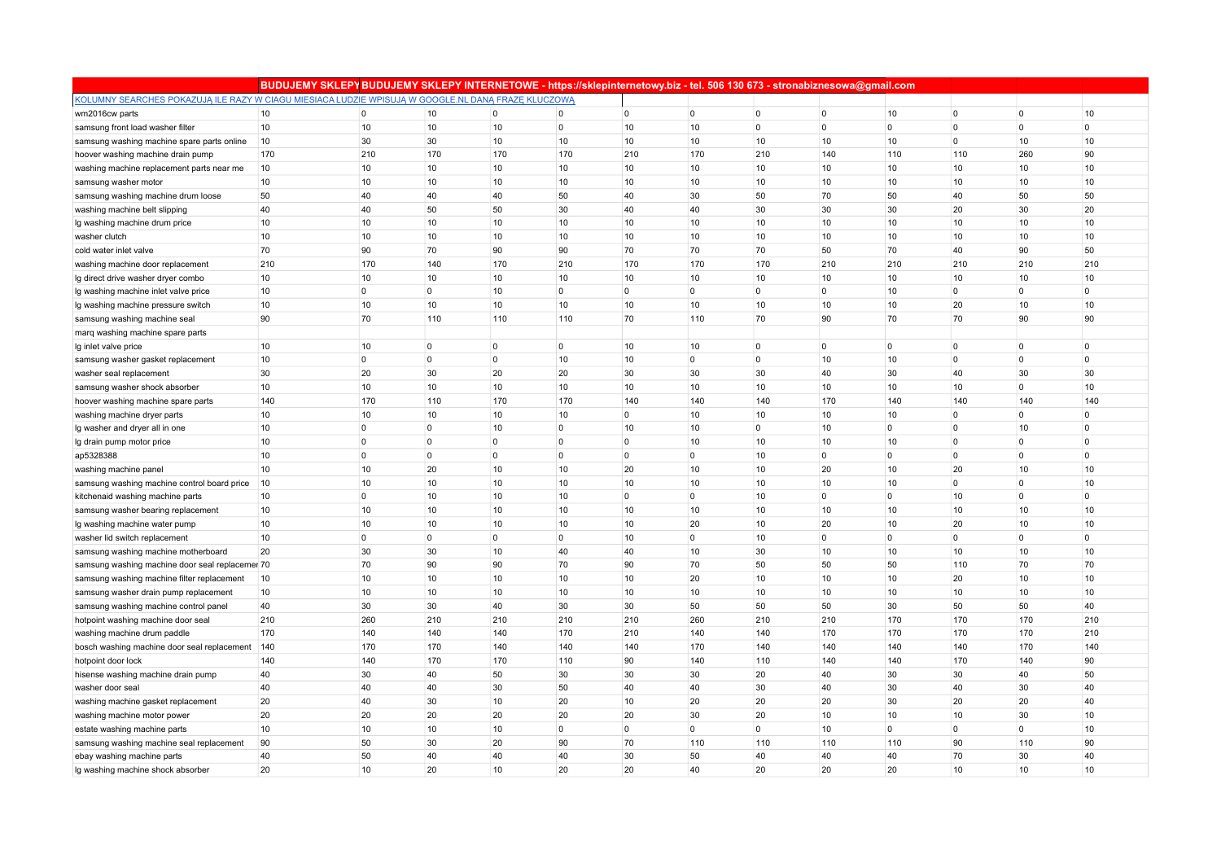|                                                                                                    | BUDUJEMY SKLEPY BUDUJEMY SKLEPY INTERNETOWE - https://sklepinternetowy.biz - tel. 506 130 673 - stronabiznesowa@gmail.com |                |                |                |                |                |             |                |                |                |              |                |                |
|----------------------------------------------------------------------------------------------------|---------------------------------------------------------------------------------------------------------------------------|----------------|----------------|----------------|----------------|----------------|-------------|----------------|----------------|----------------|--------------|----------------|----------------|
| KOLUMNY SEARCHES POKAZUJĄ ILE RAZY W CIAGU MIESIACA LUDZIE WPISUJĄ W GOOGLE.NL DANĄ FRAZE KLUCZOWĄ |                                                                                                                           |                |                |                |                |                |             |                |                |                |              |                |                |
| wm2016cw parts                                                                                     | 10                                                                                                                        | $\overline{0}$ | 10             | $\overline{0}$ | 0              | $\overline{0}$ | $\mathbf 0$ | $\overline{0}$ | $\overline{0}$ | 10             | $\mathbf{0}$ | $\Omega$       | 10             |
| samsung front load washer filter                                                                   | 10                                                                                                                        | 10             | 10             | 10             | $\overline{0}$ | 10             | 10          | $\overline{0}$ | $\overline{0}$ | $\overline{0}$ | $\mathbf 0$  | $\overline{0}$ | $\overline{0}$ |
| samsung washing machine spare parts online                                                         | 10                                                                                                                        | 30             | 30             | 10             | 10             | 10             | 10          | 10             | 10             | 10             | 0            | 10             | 10             |
| hoover washing machine drain pump                                                                  | 170                                                                                                                       | 210            | 170            | 170            | 170            | 210            | 170         | 210            | 140            | 110            | 110          | 260            | 90             |
| washing machine replacement parts near me                                                          | 10                                                                                                                        | 10             | 10             | 10             | 10             | 10             | 10          | 10             | 10             | 10             | 10           | 10             | 10             |
| samsung washer motor                                                                               | 10                                                                                                                        | 10             | 10             | 10             | 10             | 10             | 10          | 10             | 10             | 10             | 10           | 10             | 10             |
| samsung washing machine drum loose                                                                 | 50                                                                                                                        | 40             | 40             | 40             | 50             | 40             | 30          | 50             | 70             | 50             | 40           | 50             | 50             |
| washing machine belt slipping                                                                      | 40                                                                                                                        | 40             | 50             | 50             | 30             | 40             | 40          | 30             | 30             | 30             | 20           | 30             | 20             |
| Ig washing machine drum price                                                                      | 10                                                                                                                        | 10             | 10             | 10             | 10             | 10             | 10          | 10             | 10             | 10             | 10           | 10             | 10             |
| washer clutch                                                                                      | 10                                                                                                                        | 10             | 10             | 10             | 10             | 10             | 10          | 10             | 10             | 10             | 10           | 10             | 10             |
| cold water inlet valve                                                                             | 70                                                                                                                        | 90             | 70             | 90             | 90             | 70             | 70          | 70             | 50             | 70             | 40           | 90             | 50             |
| washing machine door replacement                                                                   | 210                                                                                                                       | 170            | 140            | 170            | 210            | 170            | 170         | 170            | 210            | 210            | 210          | 210            | 210            |
| Ig direct drive washer dryer combo                                                                 | 10                                                                                                                        | 10             | 10             | 10             | 10             | 10             | 10          | 10             | 10             | 10             | 10           | 10             | 10             |
| Ig washing machine inlet valve price                                                               | 10                                                                                                                        | $\overline{0}$ | $\mathbf 0$    | 10             | 0              | 0              | 0           | $\overline{0}$ | $\overline{0}$ | 10             | 0            | $\mathbf 0$    | $\mathbf 0$    |
| Ig washing machine pressure switch                                                                 | 10                                                                                                                        | 10             | 10             | 10             | 10             | 10             | 10          | 10             | 10             | 10             | 20           | 10             | 10             |
| samsung washing machine seal                                                                       | 90                                                                                                                        | 70             | 110            | 110            | 110            | 70             | 110         | 70             | 90             | 70             | 70           | 90             | 90             |
| marq washing machine spare parts                                                                   |                                                                                                                           |                |                |                |                |                |             |                |                |                |              |                |                |
| Ig inlet valve price                                                                               | 10                                                                                                                        | 10             | $\mathbf 0$    | $\overline{0}$ | $\overline{0}$ | 10             | 10          | $\Omega$       | $\overline{0}$ | $\overline{0}$ | $\mathbf 0$  | $\Omega$       | $\overline{0}$ |
| samsung washer gasket replacement                                                                  | 10                                                                                                                        | $\overline{0}$ | $\mathbf 0$    | $\overline{0}$ | 10             | 10             | $\mathbf 0$ | $\Omega$       | 10             | 10             | $\mathbf 0$  | $\Omega$       | $\overline{0}$ |
| washer seal replacement                                                                            | 30                                                                                                                        | 20             | 30             | 20             | 20             | 30             | 30          | 30             | 40             | 30             | 40           | 30             | 30             |
| samsung washer shock absorber                                                                      | 10                                                                                                                        | 10             | 10             | 10             | 10             | 10             | 10          | 10             | 10             | 10             | 10           | 0              | 10             |
| hoover washing machine spare parts                                                                 | 140                                                                                                                       | 170            | 110            | 170            | 170            | 140            | 140         | 140            | 170            | 140            | 140          | 140            | 140            |
| washing machine dryer parts                                                                        | 10                                                                                                                        | 10             | 10             | 10             | 10             | $\overline{0}$ | 10          | 10             | 10             | 10             | $\mathbf 0$  | $\mathbf 0$    | $\overline{0}$ |
| Ig washer and dryer all in one                                                                     | 10                                                                                                                        | $\overline{0}$ | $\overline{0}$ | 10             | $\overline{0}$ | 10             | 10          | $\Omega$       | 10             | $\Omega$       | $\mathbf 0$  | 10             | $\mathbf{0}$   |
| Ig drain pump motor price                                                                          | 10                                                                                                                        | $\overline{0}$ | $\mathbf 0$    | $\overline{0}$ | $\overline{0}$ | 0              | 10          | 10             | 10             | 10             | 0            | $\Omega$       | $\overline{0}$ |
| ap5328388                                                                                          | 10                                                                                                                        | $\overline{0}$ | 0              | $\overline{0}$ | $\overline{0}$ | $\overline{0}$ | 0           | 10             | $\overline{0}$ | $\overline{0}$ | 0            | $\overline{0}$ | $\overline{0}$ |
| washing machine panel                                                                              | 10                                                                                                                        | 10             | 20             | 10             | 10             | 20             | 10          | 10             | 20             | 10             | 20           | 10             | 10             |
| samsung washing machine control board price                                                        | 10                                                                                                                        | 10             | 10             | 10             | 10             | 10             | 10          | 10             | 10             | 10             | $\mathbf 0$  | $\mathbf 0$    | 10             |
| kitchenaid washing machine parts                                                                   | 10                                                                                                                        | $\overline{0}$ | 10             | 10             | 10             | $\overline{0}$ | $\mathbf 0$ | 10             | $\overline{0}$ | $\overline{0}$ | 10           | $\Omega$       | $\overline{0}$ |
| samsung washer bearing replacement                                                                 | 10                                                                                                                        | 10             | 10             | 10             | 10             | 10             | 10          | 10             | 10             | 10             | 10           | 10             | 10             |
| Ig washing machine water pump                                                                      | 10                                                                                                                        | 10             | 10             | 10             | 10             | 10             | 20          | 10             | 20             | 10             | 20           | 10             | 10             |
| washer lid switch replacement                                                                      | 10                                                                                                                        | $\overline{0}$ | 0              | 0              | $\overline{0}$ | 10             | $\mathbf 0$ | 10             | $\overline{0}$ | $\overline{0}$ | 0            | 0              | $\overline{0}$ |
| samsung washing machine motherboard                                                                | 20                                                                                                                        | 30             | 30             | 10             | 40             | 40             | 10          | 30             | 10             | 10             | 10           | 10             | 10             |
| samsung washing machine door seal replacemer 70                                                    |                                                                                                                           | 70             | 90             | 90             | 70             | 90             | 70          | 50             | 50             | 50             | 110          | 70             | 70             |
| samsung washing machine filter replacement                                                         | 10                                                                                                                        | 10             | 10             | 10             | 10             | 10             | 20          | 10             | 10             | 10             | 20           | 10             | 10             |
| samsung washer drain pump replacement                                                              | 10                                                                                                                        | 10             | 10             | 10             | 10             | 10             | 10          | 10             | 10             | 10             | 10           | 10             | 10             |
| samsung washing machine control panel                                                              | 40                                                                                                                        | 30             | 30             | 40             | 30             | 30             | 50          | 50             | 50             | 30             | 50           | 50             | 40             |
| hotpoint washing machine door seal                                                                 | 210                                                                                                                       | 260            | 210            | 210            | 210            | 210            | 260         | 210            | 210            | 170            | 170          | 170            | 210            |
| washing machine drum paddle                                                                        | 170                                                                                                                       | 140            | 140            | 140            | 170            | 210            | 140         | 140            | 170            | 170            | 170          | 170            | 210            |
| bosch washing machine door seal replacement                                                        | 140                                                                                                                       | 170            | 170            | 140            | 140            | 140            | 170         | 140            | 140            | 140            | 140          | 170            | 140            |
| hotpoint door lock                                                                                 | 140                                                                                                                       | 140            | 170            | 170            | 110            | 90             | 140         | 110            | 140            | 140            | 170          | 140            | 90             |
| hisense washing machine drain pump                                                                 | 40                                                                                                                        | 30             | 40             | 50             | 30             | 30             | 30          | 20             | 40             | 30             | 30           | 40             | 50             |
| washer door seal                                                                                   | 40                                                                                                                        | 40             | 40             | 30             | 50             | 40             | 40          | 30             | 40             | 30             | 40           | 30             | 40             |
| washing machine gasket replacement                                                                 | 20                                                                                                                        | 40             | 30             | 10             | 20             | 10             | 20          | 20             | 20             | 30             | 20           | 20             | 40             |
| washing machine motor power                                                                        | 20                                                                                                                        | 20             | 20             | 20             | 20             | 20             | 30          | 20             | 10             | 10             | 10           | 30             | 10             |
| estate washing machine parts                                                                       | 10                                                                                                                        | 10             | 10             | 10             | $\overline{0}$ | $\overline{0}$ | $\mathbf 0$ | $\overline{0}$ | 10             | $\overline{0}$ | $\mathbf{0}$ | $\overline{0}$ | 10             |
| samsung washing machine seal replacement                                                           | 90                                                                                                                        | 50             | 30             | 20             | 90             | 70             | 110         | 110            | 110            | 110            | 90           | 110            | 90             |
| ebay washing machine parts                                                                         | 40                                                                                                                        | 50             | 40             | 40             | 40             | 30             | 50          | 40             | 40             | 40             | 70           | 30             | 40             |
| Ig washing machine shock absorber                                                                  | 20                                                                                                                        | 10             | 20             | 10             | 20             | 20             | 40          | 20             | 20             | 20             | 10           | 10             | 10             |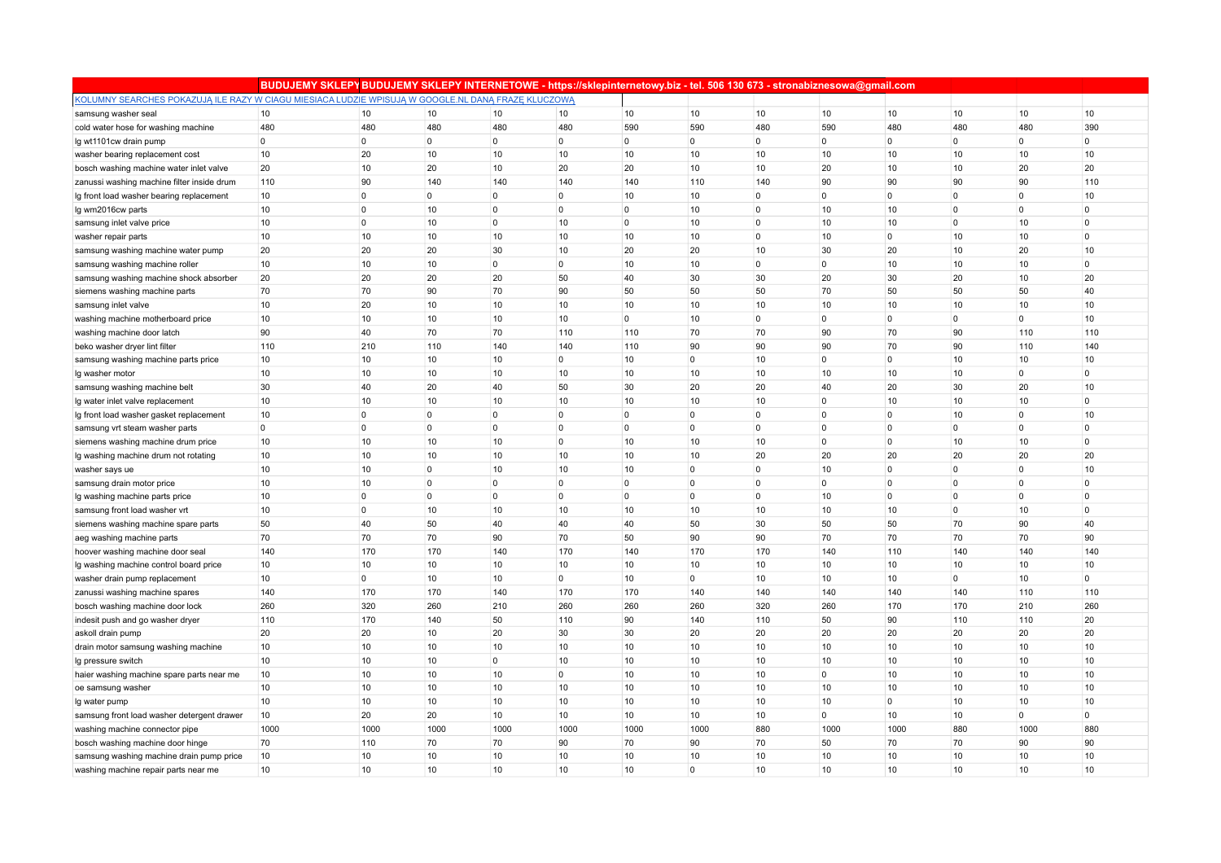|                                                                                                    | BUDUJEMY SKLEPY BUDUJEMY SKLEPY INTERNETOWE - https://sklepinternetowy.biz - tel. 506 130 673 - stronabiznesowa@gmail.com |                |                |                |                |             |             |                |                |                 |                |                |                |
|----------------------------------------------------------------------------------------------------|---------------------------------------------------------------------------------------------------------------------------|----------------|----------------|----------------|----------------|-------------|-------------|----------------|----------------|-----------------|----------------|----------------|----------------|
| KOLUMNY SEARCHES POKAZUJĄ ILE RAZY W CIAGU MIESIACA LUDZIE WPISUJĄ W GOOGLE.NL DANĄ FRAZE KLUCZOWĄ |                                                                                                                           |                |                |                |                |             |             |                |                |                 |                |                |                |
| samsung washer seal                                                                                | 10                                                                                                                        | 10             | 10             | 10             | 10             | 10          | 10          | 10             | 10             | 10              | 10             | 10             | 10             |
| cold water hose for washing machine                                                                | 480                                                                                                                       | 480            | 480            | 480            | 480            | 590         | 590         | 480            | 590            | 480             | 480            | 480            | 390            |
| Ig wt1101cw drain pump                                                                             | $\overline{0}$                                                                                                            | 0              | $\mathbf 0$    | $\mathbf 0$    | 0              | 0           | $\mathbf 0$ | $\overline{0}$ | $\overline{0}$ | $\overline{0}$  | 0              | $\overline{0}$ | $\overline{0}$ |
| washer bearing replacement cost                                                                    | 10                                                                                                                        | 20             | 10             | 10             | 10             | 10          | 10          | 10             | 10             | 10              | 10             | 10             | 10             |
| bosch washing machine water inlet valve                                                            | 20                                                                                                                        | 10             | 20             | 10             | 20             | 20          | 10          | 10             | 20             | 10              | 10             | 20             | 20             |
| zanussi washing machine filter inside drum                                                         | 110                                                                                                                       | 90             | 140            | 140            | 140            | 140         | 110         | 140            | 90             | 90              | 90             | 90             | 110            |
| Ig front load washer bearing replacement                                                           | 10                                                                                                                        | $\overline{0}$ | $\overline{0}$ | $\mathbf 0$    | $\mathbf 0$    | 10          | 10          | $\overline{0}$ | $\overline{0}$ | $\overline{0}$  | $\mathbf 0$    | $\overline{0}$ | 10             |
| Ig wm2016cw parts                                                                                  | 10                                                                                                                        | $\overline{0}$ | 10             | 0              | $\mathbf 0$    | 0           | 10          | $\Omega$       | 10             | 10              | 0              | $\Omega$       | $\overline{0}$ |
| samsung inlet valve price                                                                          | 10                                                                                                                        | 0              | 10             | 0              | 10             | $\mathbf 0$ | 10          | $\Omega$       | 10             | 10 <sup>°</sup> | $\Omega$       | 10             | $\overline{0}$ |
| washer repair parts                                                                                | 10                                                                                                                        | 10             | 10             | 10             | 10             | 10          | 10          | $\Omega$       | 10             | $\overline{0}$  | 10             | 10             | $\overline{0}$ |
| samsung washing machine water pump                                                                 | 20                                                                                                                        | 20             | 20             | 30             | 10             | 20          | 20          | 10             | 30             | 20              | 10             | 20             | 10             |
| samsung washing machine roller                                                                     | 10                                                                                                                        | 10             | 10             | $\mathbf 0$    | $\mathbf 0$    | 10          | 10          | $\overline{0}$ | $\overline{0}$ | 10              | 10             | 10             | $\overline{0}$ |
| samsung washing machine shock absorber                                                             | 20                                                                                                                        | 20             | 20             | 20             | 50             | 40          | 30          | 30             | 20             | 30              | 20             | 10             | 20             |
| siemens washing machine parts                                                                      | 70                                                                                                                        | 70             | 90             | 70             | 90             | 50          | 50          | 50             | 70             | 50              | 50             | 50             | 40             |
| samsung inlet valve                                                                                | 10                                                                                                                        | 20             | 10             | 10             | 10             | 10          | 10          | 10             | 10             | 10              | 10             | 10             | 10             |
| washing machine motherboard price                                                                  | 10                                                                                                                        | 10             | 10             | 10             | 10             | 0           | 10          | $\Omega$       | $\overline{0}$ | $\overline{0}$  | $\mathbf 0$    | $\mathbf 0$    | 10             |
| washing machine door latch                                                                         | 90                                                                                                                        | 40             | 70             | 70             | 110            | 110         | 70          | 70             | 90             | 70              | 90             | 110            | 110            |
| beko washer dryer lint filter                                                                      | 110                                                                                                                       | 210            | 110            | 140            | 140            | 110         | 90          | 90             | 90             | 70              | 90             | 110            | 140            |
| samsung washing machine parts price                                                                | 10                                                                                                                        | 10             | 10             | 10             | $\overline{0}$ | 10          | $\pmb{0}$   | 10             | $\overline{0}$ | $\overline{0}$  | 10             | 10             | 10             |
| lg washer motor                                                                                    | 10                                                                                                                        | 10             | 10             | 10             | 10             | 10          | 10          | 10             | 10             | 10              | 10             | $\mathbf{0}$   | $\overline{0}$ |
| samsung washing machine belt                                                                       | 30                                                                                                                        | 40             | 20             | 40             | 50             | 30          | 20          | 20             | 40             | 20              | 30             | 20             | 10             |
| Ig water inlet valve replacement                                                                   | 10                                                                                                                        | 10             | 10             | 10             | 10             | 10          | 10          | 10             | $\overline{0}$ | 10              | 10             | 10             | $\overline{0}$ |
| lg front load washer gasket replacement                                                            | 10                                                                                                                        | 0              | $\overline{0}$ | $\mathbf 0$    | $\mathbf 0$    | 0           | $\mathbf 0$ | $\overline{0}$ | $\overline{0}$ | $\overline{0}$  | 10             | $\overline{0}$ | 10             |
| samsung vrt steam washer parts                                                                     | $\overline{0}$                                                                                                            | $\mathbf 0$    | $\overline{0}$ | $\mathbf 0$    | 0              | 0           | $\mathbf 0$ | $\overline{0}$ | $\overline{0}$ | $\overline{0}$  | $\mathbf 0$    | $\overline{0}$ | $\overline{0}$ |
| siemens washing machine drum price                                                                 | 10                                                                                                                        | 10             | 10             | 10             | 0              | 10          | 10          | 10             | $\overline{0}$ | $\overline{0}$  | 10             | 10             | $\overline{0}$ |
| Ig washing machine drum not rotating                                                               | 10                                                                                                                        | 10             | 10             | 10             | 10             | 10          | 10          | 20             | 20             | 20              | 20             | 20             | 20             |
| washer says ue                                                                                     | 10                                                                                                                        | 10             | $\overline{0}$ | 10             | 10             | 10          | $\Omega$    | $\Omega$       | 10             | $\Omega$        | $\mathbf{0}$   | $\Omega$       | 10             |
| samsung drain motor price                                                                          | 10                                                                                                                        | 10             | $\mathbf 0$    | $\mathbf 0$    | 0              | 0           | $\mathbf 0$ | $\overline{0}$ | $\overline{0}$ | $\overline{0}$  | 0              | $\Omega$       | $\overline{0}$ |
| lg washing machine parts price                                                                     | 10                                                                                                                        | $\overline{0}$ | $\overline{0}$ | $\mathbf 0$    | $\mathbf 0$    | 0           | $\mathbf 0$ | $\overline{0}$ | 10             | $\overline{0}$  | $\overline{0}$ | $\overline{0}$ | $\overline{0}$ |
| samsung front load washer vrt                                                                      | 10                                                                                                                        | $\overline{0}$ | 10             | 10             | 10             | 10          | 10          | 10             | 10             | 10              | $\overline{0}$ | 10             | $\overline{0}$ |
| siemens washing machine spare parts                                                                | 50                                                                                                                        | 40             | 50             | 40             | 40             | 40          | 50          | 30             | 50             | 50              | 70             | 90             | 40             |
| aeg washing machine parts                                                                          | 70                                                                                                                        | 70             | 70             | 90             | 70             | 50          | 90          | 90             | 70             | 70              | 70             | 70             | 90             |
| hoover washing machine door seal                                                                   | 140                                                                                                                       | 170            | 170            | 140            | 170            | 140         | 170         | 170            | 140            | 110             | 140            | 140            | 140            |
| Ig washing machine control board price                                                             | 10                                                                                                                        | 10             | 10             | 10             | 10             | 10          | 10          | 10             | 10             | 10              | 10             | 10             | 10             |
| washer drain pump replacement                                                                      | 10                                                                                                                        | 0              | 10             | 10             | $\mathbf 0$    | 10          | 0           | 10             | 10             | 10              | 0              | 10             | $\overline{0}$ |
| zanussi washing machine spares                                                                     | 140                                                                                                                       | 170            | 170            | 140            | 170            | 170         | 140         | 140            | 140            | 140             | 140            | 110            | 110            |
| bosch washing machine door lock                                                                    | 260                                                                                                                       | 320            | 260            | 210            | 260            | 260         | 260         | 320            | 260            | 170             | 170            | 210            | 260            |
| indesit push and go washer dryer                                                                   | 110                                                                                                                       | 170            | 140            | 50             | 110            | 90          | 140         | 110            | 50             | 90              | 110            | 110            | 20             |
| askoll drain pump                                                                                  | 20                                                                                                                        | 20             | 10             | 20             | 30             | 30          | 20          | 20             | 20             | 20              | 20             | 20             | 20             |
| drain motor samsung washing machine                                                                | 10                                                                                                                        | 10             | 10             | 10             | 10             | 10          | 10          | 10             | 10             | 10              | 10             | 10             | 10             |
| Ig pressure switch                                                                                 | 10                                                                                                                        | 10             | 10             | $\overline{0}$ | 10             | 10          | 10          | 10             | 10             | 10              | 10             | 10             | 10             |
| haier washing machine spare parts near me                                                          | 10                                                                                                                        | 10             | 10             | 10             | $\mathbf 0$    | 10          | 10          | 10             | $\overline{0}$ | 10              | 10             | 10             | 10             |
| oe samsung washer                                                                                  | 10                                                                                                                        | 10             | 10             | 10             | 10             | 10          | 10          | 10             | 10             | 10              | 10             | 10             | 10             |
| Ig water pump                                                                                      | 10                                                                                                                        | 10             | 10             | 10             | 10             | 10          | 10          | 10             | 10             | $\overline{0}$  | 10             | 10             | 10             |
| samsung front load washer detergent drawer                                                         | 10                                                                                                                        | 20             | 20             | 10             | 10             | 10          | 10          | 10             | $\overline{0}$ | 10              | 10             | 0              | $\overline{0}$ |
| washing machine connector pipe                                                                     | 1000                                                                                                                      | 1000           | 1000           | 1000           | 1000           | 1000        | 1000        | 880            | 1000           | 1000            | 880            | 1000           | 880            |
| bosch washing machine door hinge                                                                   | 70                                                                                                                        | 110            | 70             | 70             | 90             | 70          | 90          | 70             | 50             | 70              | 70             | 90             | 90             |
| samsung washing machine drain pump price                                                           | 10                                                                                                                        | 10             | 10             | 10             | 10             | 10          | 10          | 10             | 10             | 10              | 10             | 10             | 10             |
| washing machine repair parts near me                                                               | 10                                                                                                                        | 10             | 10             | 10             | 10             | 10          | $\Omega$    | 10             | 10             | 10              | 10             | 10             | 10             |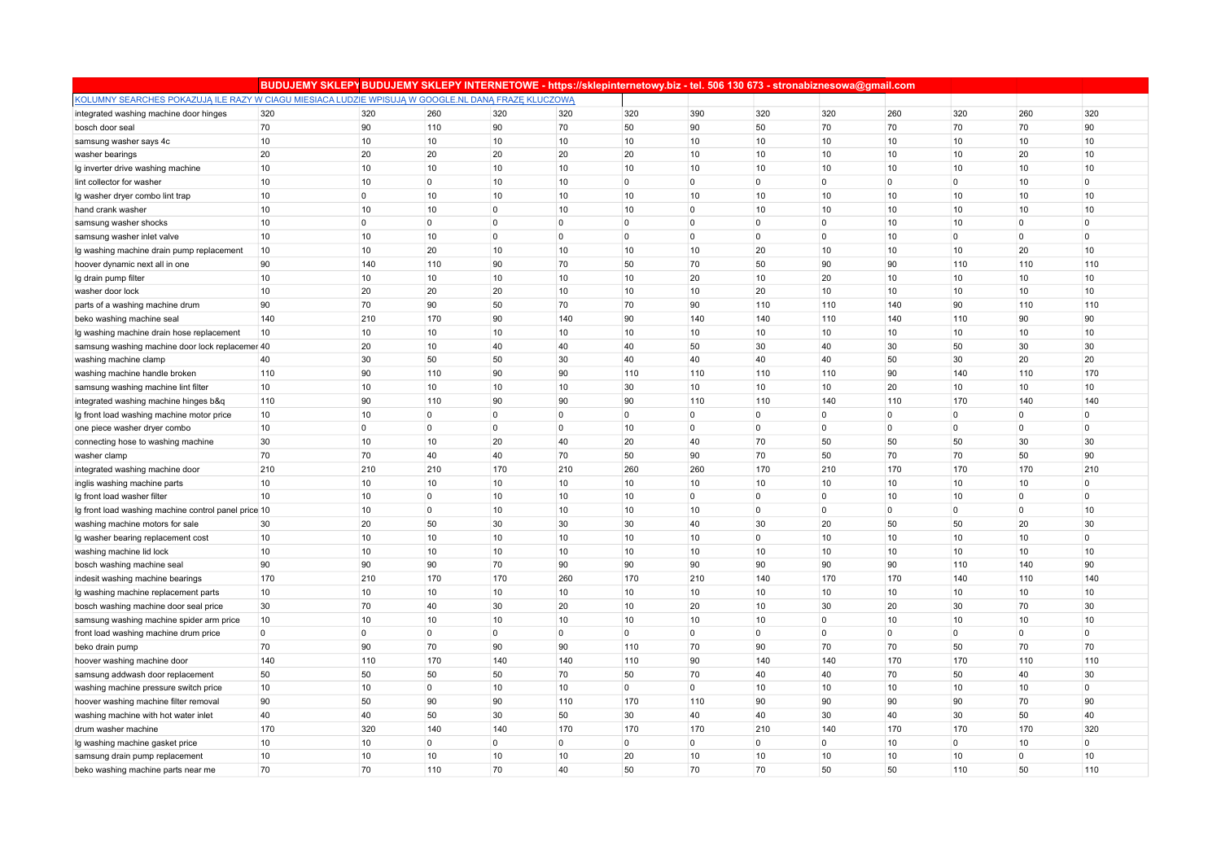|                                                                                                    | BUDUJEMY SKLEPYBUDUJEMY SKLEPY INTERNETOWE - https://sklepinternetowy.biz - tel. 506 130 673 - stronabiznesowa@gmail.com |             |                |                |             |             |             |                |                |                |                |                |                |
|----------------------------------------------------------------------------------------------------|--------------------------------------------------------------------------------------------------------------------------|-------------|----------------|----------------|-------------|-------------|-------------|----------------|----------------|----------------|----------------|----------------|----------------|
| KOLUMNY SEARCHES POKAZUJA ILE RAZY W CIAGU MIESIACA LUDZIE WPISUJA W GOOGLE.NL DANA FRAZE KLUCZOWA |                                                                                                                          |             |                |                |             |             |             |                |                |                |                |                |                |
| integrated washing machine door hinges                                                             | 320                                                                                                                      | 320         | 260            | 320            | 320         | 320         | 390         | 320            | 320            | 260            | 320            | 260            | 320            |
| bosch door seal                                                                                    | 70                                                                                                                       | 90          | 110            | 90             | 70          | 50          | 90          | 50             | 70             | 70             | 70             | 70             | 90             |
| samsung washer says 4c                                                                             | 10                                                                                                                       | 10          | 10             | 10             | 10          | 10          | 10          | 10             | 10             | 10             | 10             | 10             | 10             |
| washer bearings                                                                                    | 20                                                                                                                       | 20          | 20             | 20             | 20          | 20          | 10          | 10             | 10             | 10             | 10             | 20             | 10             |
| Ig inverter drive washing machine                                                                  | 10                                                                                                                       | 10          | 10             | 10             | 10          | 10          | 10          | 10             | 10             | 10             | 10             | 10             | 10             |
| lint collector for washer                                                                          | 10                                                                                                                       | 10          | $\overline{0}$ | 10             | 10          | $\mathbf 0$ | $\mathbf 0$ | $\Omega$       | $\overline{0}$ | $\overline{0}$ | $\overline{0}$ | 10             | $\overline{0}$ |
| Ig washer dryer combo lint trap                                                                    | 10                                                                                                                       | $\mathbf 0$ | 10             | 10             | 10          | 10          | 10          | 10             | 10             | 10             | 10             | 10             | 10             |
| hand crank washer                                                                                  | 10                                                                                                                       | 10          | 10             | $\overline{0}$ | 10          | 10          | $\Omega$    | 10             | 10             | 10             | 10             | 10             | 10             |
| samsung washer shocks                                                                              | 10                                                                                                                       | 0           | $\mathbf 0$    | $\overline{0}$ | 0           | 0           | $\mathbf 0$ | $\Omega$       | $\overline{0}$ | 10             | 10             | $\overline{0}$ | $\overline{0}$ |
| samsung washer inlet valve                                                                         | 10                                                                                                                       | 10          | 10             | 0              | $\mathbf 0$ | 0           | $\mathbf 0$ | $\overline{0}$ | $\overline{0}$ | 10             | $\overline{0}$ | $\overline{0}$ | $\overline{0}$ |
| Ig washing machine drain pump replacement                                                          | 10                                                                                                                       | 10          | 20             | 10             | 10          | 10          | 10          | 20             | 10             | 10             | 10             | 20             | 10             |
| hoover dynamic next all in one                                                                     | 90                                                                                                                       | 140         | 110            | 90             | 70          | 50          | 70          | 50             | 90             | 90             | 110            | 110            | 110            |
| Ig drain pump filter                                                                               | 10                                                                                                                       | 10          | 10             | 10             | 10          | 10          | 20          | 10             | 20             | 10             | 10             | 10             | 10             |
| washer door lock                                                                                   | 10                                                                                                                       | 20          | 20             | 20             | 10          | 10          | 10          | 20             | 10             | 10             | 10             | 10             | 10             |
| parts of a washing machine drum                                                                    | 90                                                                                                                       | 70          | 90             | 50             | 70          | 70          | 90          | 110            | 110            | 140            | 90             | 110            | 110            |
| beko washing machine seal                                                                          | 140                                                                                                                      | 210         | 170            | 90             | 140         | 90          | 140         | 140            | 110            | 140            | 110            | 90             | 90             |
| Ig washing machine drain hose replacement                                                          | 10                                                                                                                       | 10          | 10             | 10             | 10          | 10          | 10          | 10             | 10             | 10             | 10             | 10             | 10             |
| samsung washing machine door lock replacemer 40                                                    |                                                                                                                          | 20          | 10             | 40             | 40          | 40          | 50          | 30             | 40             | 30             | 50             | 30             | 30             |
| washing machine clamp                                                                              | 40                                                                                                                       | 30          | 50             | 50             | 30          | 40          | 40          | 40             | 40             | 50             | 30             | 20             | 20             |
| washing machine handle broken                                                                      | 110                                                                                                                      | 90          | 110            | 90             | 90          | 110         | 110         | 110            | 110            | 90             | 140            | 110            | 170            |
| samsung washing machine lint filter                                                                | 10                                                                                                                       | 10          | 10             | 10             | 10          | 30          | 10          | 10             | 10             | 20             | 10             | 10             | 10             |
| integrated washing machine hinges b&q                                                              | 110                                                                                                                      | 90          | 110            | 90             | 90          | 90          | 110         | 110            | 140            | 110            | 170            | 140            | 140            |
| Ig front load washing machine motor price                                                          | 10                                                                                                                       | 10          | $\mathbf 0$    | 0              | $\mathbf 0$ | 0           | $\mathbf 0$ | $\mathbf 0$    | $\overline{0}$ | $\overline{0}$ | $\mathbf 0$    | $\Omega$       | $\overline{0}$ |
| one piece washer dryer combo                                                                       | 10                                                                                                                       | $\mathbf 0$ | $\Omega$       | $\overline{0}$ | 0           | 10          | $\Omega$    | $\Omega$       | $\overline{0}$ | $\Omega$       | $\Omega$       | $\Omega$       | $\overline{0}$ |
| connecting hose to washing machine                                                                 | 30                                                                                                                       | 10          | 10             | 20             | 40          | 20          | 40          | 70             | 50             | 50             | 50             | 30             | 30             |
| washer clamp                                                                                       | 70                                                                                                                       | 70          | 40             | 40             | 70          | 50          | 90          | 70             | 50             | 70             | 70             | 50             | 90             |
| integrated washing machine door                                                                    | 210                                                                                                                      | 210         | 210            | 170            | 210         | 260         | 260         | 170            | 210            | 170            | 170            | 170            | 210            |
| inglis washing machine parts                                                                       | 10                                                                                                                       | 10          | 10             | 10             | 10          | 10          | 10          | 10             | 10             | 10             | 10             | 10             | $\overline{0}$ |
| Ig front load washer filter                                                                        | 10                                                                                                                       | 10          | $\mathbf 0$    | 10             | 10          | 10          | $\mathbf 0$ | $\overline{0}$ | $\overline{0}$ | 10             | 10             | $\overline{0}$ | $\overline{0}$ |
| Ig front load washing machine control panel price 10                                               |                                                                                                                          | 10          | 0              | 10             | 10          | 10          | 10          | $\Omega$       | $\overline{0}$ | $\overline{0}$ | 0              | $\Omega$       | 10             |
| washing machine motors for sale                                                                    | 30                                                                                                                       | 20          | 50             | 30             | 30          | 30          | 40          | 30             | 20             | 50             | 50             | 20             | 30             |
| Ig washer bearing replacement cost                                                                 | 10                                                                                                                       | 10          | 10             | 10             | 10          | 10          | 10          | $\Omega$       | 10             | 10             | 10             | 10             | $\overline{0}$ |
| washing machine lid lock                                                                           | 10                                                                                                                       | 10          | 10             | 10             | 10          | 10          | 10          | 10             | 10             | 10             | 10             | 10             | 10             |
| bosch washing machine seal                                                                         | 90                                                                                                                       | 90          | 90             | 70             | 90          | 90          | 90          | 90             | 90             | 90             | 110            | 140            | 90             |
| indesit washing machine bearings                                                                   | 170                                                                                                                      | 210         | 170            | 170            | 260         | 170         | 210         | 140            | 170            | 170            | 140            | 110            | 140            |
| Ig washing machine replacement parts                                                               | 10                                                                                                                       | 10          | 10             | 10             | 10          | 10          | 10          | 10             | 10             | 10             | 10             | 10             | 10             |
| bosch washing machine door seal price                                                              | 30                                                                                                                       | 70          | 40             | 30             | 20          | 10          | 20          | 10             | 30             | 20             | 30             | 70             | 30             |
| samsung washing machine spider arm price                                                           | 10                                                                                                                       | 10          | 10             | 10             | 10          | 10          | 10          | 10             | $\overline{0}$ | 10             | 10             | 10             | 10             |
| front load washing machine drum price                                                              | $\overline{0}$                                                                                                           | $\mathbf 0$ | $\mathbf 0$    | $\mathbf 0$    | $\mathbf 0$ | $\mathbf 0$ | $\mathbf 0$ | $\Omega$       | $\overline{0}$ | $\overline{0}$ | $\mathbf 0$    | $\mathbf 0$    | $\overline{0}$ |
| beko drain pump                                                                                    | 70                                                                                                                       | 90          | 70             | 90             | 90          | 110         | 70          | 90             | 70             | 70             | 50             | 70             | 70             |
| hoover washing machine door                                                                        | 140                                                                                                                      | 110         | 170            | 140            | 140         | 110         | 90          | 140            | 140            | 170            | 170            | 110            | 110            |
| samsung addwash door replacement                                                                   | 50                                                                                                                       | 50          | 50             | 50             | 70          | 50          | 70          | 40             | 40             | 70             | 50             | 40             | 30             |
| washing machine pressure switch price                                                              | 10                                                                                                                       | 10          | 0              | 10             | 10          | 0           | $\mathbf 0$ | 10             | 10             | 10             | 10             | 10             | $\overline{0}$ |
| hoover washing machine filter removal                                                              | 90                                                                                                                       | 50          | 90             | 90             | 110         | 170         | 110         | 90             | 90             | 90             | 90             | 70             | 90             |
| washing machine with hot water inlet                                                               | 40                                                                                                                       | 40          | 50             | 30             | 50          | 30          | 40          | 40             | 30             | 40             | 30             | 50             | 40             |
| drum washer machine                                                                                | 170                                                                                                                      | 320         | 140            | 140            | 170         | 170         | 170         | 210            | 140            | 170            | 170            | 170            | 320            |
| Ig washing machine gasket price                                                                    | 10                                                                                                                       | 10          | 0              | $\mathbf 0$    | $\mathbf 0$ | 0           | 0           | $\Omega$       | $\overline{0}$ | 10             | $\mathbf 0$    | 10             | $\overline{0}$ |
| samsung drain pump replacement                                                                     | 10                                                                                                                       | 10          | 10             | 10             | 10          | 20          | 10          | 10             | 10             | 10             | 10             | $\Omega$       | 10             |
| beko washing machine parts near me                                                                 | 70                                                                                                                       | 70          | 110            | 70             | 40          | 50          | 70          | 70             | 50             | 50             | 110            | 50             | 110            |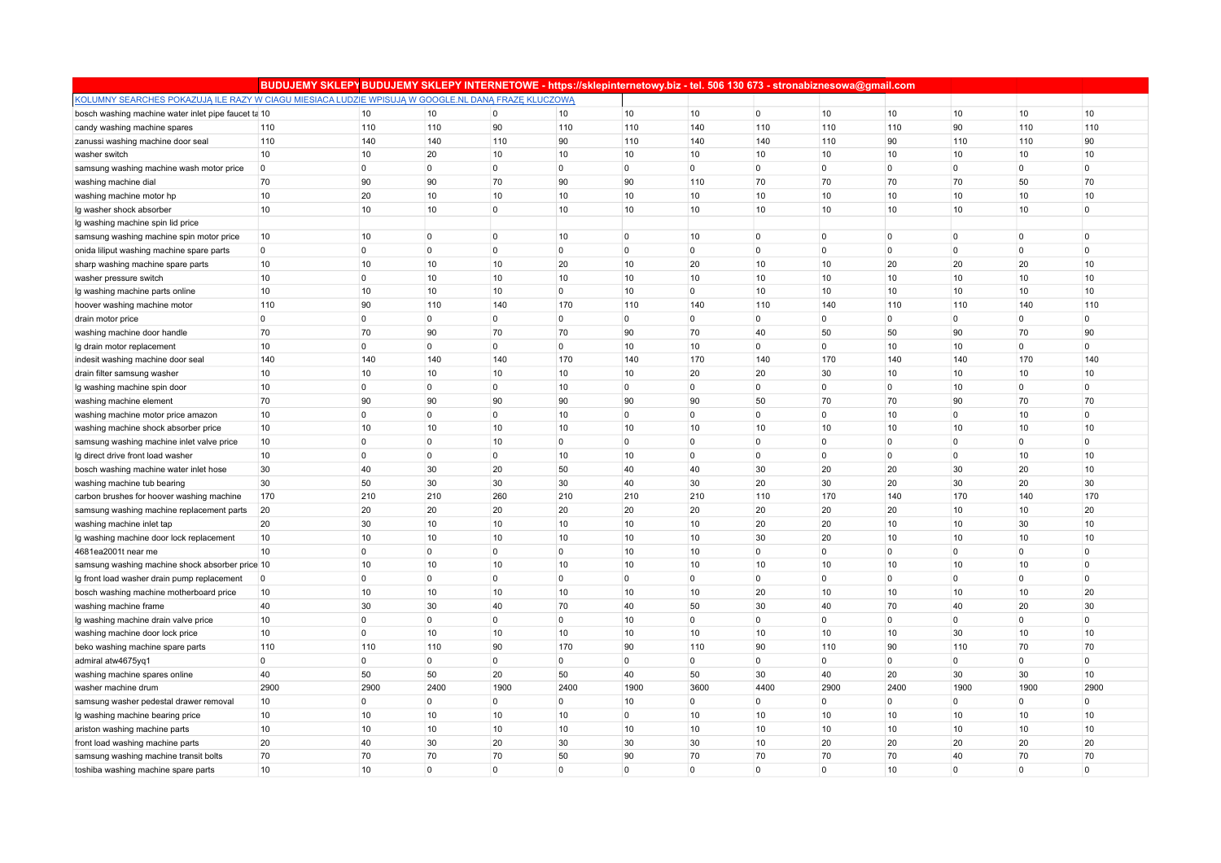|                                                                                                    | BUDUJEMY SKLEPYBUDUJEMY SKLEPY INTERNETOWE - https://sklepinternetowy.biz - tel. 506 130 673 - stronabiznesowa@gmail.com |                |                |                |                |             |             |                |                |                |                |                |                |
|----------------------------------------------------------------------------------------------------|--------------------------------------------------------------------------------------------------------------------------|----------------|----------------|----------------|----------------|-------------|-------------|----------------|----------------|----------------|----------------|----------------|----------------|
| KOLUMNY SEARCHES POKAZUJA ILE RAZY W CIAGU MIESIACA LUDZIE WPISUJA W GOOGLE.NL DANA FRAZE KLUCZOWA |                                                                                                                          |                |                |                |                |             |             |                |                |                |                |                |                |
| bosch washing machine water inlet pipe faucet ta 10                                                |                                                                                                                          | 10             | 10             | 0              | 10             | 10          | 10          | $\mathbf 0$    | 10             | 10             | 10             | 10             | 10             |
| candy washing machine spares                                                                       | 110                                                                                                                      | 110            | 110            | 90             | 110            | 110         | 140         | 110            | 110            | 110            | 90             | 110            | 110            |
| zanussi washing machine door seal                                                                  | 110                                                                                                                      | 140            | 140            | 110            | 90             | 110         | 140         | 140            | 110            | 90             | 110            | 110            | 90             |
| washer switch                                                                                      | $10$                                                                                                                     | $10$           | 20             | 10             | 10             | 10          | 10          | 10             | 10             | 10             | 10             | 10             | 10             |
| samsung washing machine wash motor price                                                           | $\mathbf 0$                                                                                                              | $\mathbf 0$    | $\overline{0}$ | $\mathbf 0$    | $\mathbf 0$    | 0           | $\mathbf 0$ | $\Omega$       | $\overline{0}$ | $\overline{0}$ | $\mathbf 0$    | $\mathbf 0$    | $\overline{0}$ |
| washing machine dial                                                                               | 70                                                                                                                       | 90             | 90             | 70             | 90             | 90          | 110         | 70             | 70             | 70             | 70             | 50             | 70             |
| washing machine motor hp                                                                           | 10                                                                                                                       | 20             | 10             | 10             | 10             | 10          | 10          | 10             | 10             | 10             | 10             | 10             | 10             |
| Ig washer shock absorber                                                                           | 10                                                                                                                       | 10             | 10             | $\mathbf 0$    | 10             | 10          | 10          | 10             | 10             | 10             | 10             | 10             | $\overline{0}$ |
| Ig washing machine spin lid price                                                                  |                                                                                                                          |                |                |                |                |             |             |                |                |                |                |                |                |
| samsung washing machine spin motor price                                                           | 10                                                                                                                       | 10             | $\overline{0}$ | $\overline{0}$ | 10             | 0           | 10          | $\Omega$       | $\overline{0}$ | $\overline{0}$ | $\overline{0}$ | $\Omega$       | $\overline{0}$ |
| onida liliput washing machine spare parts                                                          | $\mathbf 0$                                                                                                              | $\mathbf 0$    | $\mathbf 0$    | $\overline{0}$ | $\mathbf 0$    | $\mathbf 0$ | $\mathbf 0$ | $\Omega$       | $\overline{0}$ | $\overline{0}$ | $\mathbf 0$    | $\Omega$       | $\overline{0}$ |
| sharp washing machine spare parts                                                                  | 10                                                                                                                       | 10             | 10             | 10             | 20             | 10          | 20          | 10             | 10             | 20             | 20             | 20             | 10             |
| washer pressure switch                                                                             | 10                                                                                                                       | $\mathbf 0$    | 10             | 10             | 10             | 10          | 10          | 10             | 10             | 10             | 10             | 10             | 10             |
| Ig washing machine parts online                                                                    | 10                                                                                                                       | 10             | 10             | 10             | 0              | 10          | 0           | 10             | 10             | 10             | 10             | 10             | 10             |
| hoover washing machine motor                                                                       | 110                                                                                                                      | 90             | 110            | 140            | 170            | 110         | 140         | 110            | 140            | 110            | 110            | 140            | 110            |
| drain motor price                                                                                  | $\mathbf{0}$                                                                                                             | $\mathbf 0$    | $\overline{0}$ | $\mathbf 0$    | $\overline{0}$ | 0           | $\mathbf 0$ | $\Omega$       | $\overline{0}$ | $\Omega$       | $\mathbf 0$    | $\mathbf 0$    | $\overline{0}$ |
| washing machine door handle                                                                        | 70                                                                                                                       | 70             | 90             | 70             | 70             | 90          | 70          | 40             | 50             | 50             | 90             | 70             | 90             |
| Ig drain motor replacement                                                                         | 10                                                                                                                       | $\mathbf 0$    | $\mathbf 0$    | $\overline{0}$ | $\mathbf 0$    | 10          | 10          | $\Omega$       | $\overline{0}$ | 10             | 10             | $\overline{0}$ | $\overline{0}$ |
| indesit washing machine door seal                                                                  | 140                                                                                                                      | 140            | 140            | 140            | 170            | 140         | 170         | 140            | 170            | 140            | 140            | 170            | 140            |
| drain filter samsung washer                                                                        | 10                                                                                                                       | 10             | 10             | 10             | 10             | 10          | 20          | 20             | 30             | 10             | 10             | 10             | 10             |
| Ig washing machine spin door                                                                       | 10                                                                                                                       | $\overline{0}$ | $\overline{0}$ | $\overline{0}$ | 10             | $\mathbf 0$ | $\Omega$    | $\Omega$       | $\overline{0}$ | $\overline{0}$ | 10             | $\mathbf 0$    | $\overline{0}$ |
| washing machine element                                                                            | 70                                                                                                                       | 90             | 90             | 90             | 90             | 90          | 90          | 50             | 70             | 70             | 90             | 70             | 70             |
| washing machine motor price amazon                                                                 | 10                                                                                                                       | 0              | $\mathbf 0$    | 0              | 10             | 0           | $\mathbf 0$ | $\overline{0}$ | $\overline{0}$ | 10             | 0              | 10             | $\overline{0}$ |
| washing machine shock absorber price                                                               | 10                                                                                                                       | 10             | 10             | 10             | 10             | 10          | 10          | 10             | 10             | 10             | 10             | 10             | 10             |
| samsung washing machine inlet valve price                                                          | 10                                                                                                                       | $\overline{0}$ | $\overline{0}$ | 10             | $\mathbf{0}$   | $\mathbf 0$ | $\Omega$    | $\Omega$       | $\overline{0}$ | $\overline{0}$ | $\mathbf{0}$   | $\Omega$       | $\overline{0}$ |
| Ig direct drive front load washer                                                                  | 10                                                                                                                       | $\overline{0}$ | $\overline{0}$ | $\overline{0}$ | 10             | 10          | $\Omega$    | $\Omega$       | $\overline{0}$ | $\overline{0}$ | $\mathbf{0}$   | 10             | 10             |
| bosch washing machine water inlet hose                                                             | 30                                                                                                                       | 40             | 30             | 20             | 50             | 40          | 40          | 30             | 20             | 20             | 30             | 20             | 10             |
| washing machine tub bearing                                                                        | 30                                                                                                                       | 50             | 30             | 30             | 30             | 40          | 30          | 20             | 30             | 20             | 30             | 20             | 30             |
| carbon brushes for hoover washing machine                                                          | 170                                                                                                                      | 210            | 210            | 260            | 210            | 210         | 210         | 110            | 170            | 140            | 170            | 140            | 170            |
| samsung washing machine replacement parts                                                          | 20                                                                                                                       | 20             | 20             | 20             | 20             | 20          | 20          | 20             | 20             | 20             | 10             | 10             | 20             |
| washing machine inlet tap                                                                          | 20                                                                                                                       | 30             | 10             | 10             | 10             | 10          | 10          | 20             | 20             | 10             | 10             | 30             | 10             |
| Ig washing machine door lock replacement                                                           | 10                                                                                                                       | 10             | 10             | 10             | 10             | 10          | 10          | 30             | 20             | 10             | 10             | 10             | 10             |
| 4681ea2001t near me                                                                                | 10                                                                                                                       | $\mathbf 0$    | $\overline{0}$ | $\overline{0}$ | $\mathbf 0$    | 10          | 10          | $\Omega$       | $\overline{0}$ | $\overline{0}$ | 0              | $\Omega$       | $\overline{0}$ |
| samsung washing machine shock absorber price 10                                                    |                                                                                                                          | 10             | 10             | 10             | 10             | 10          | 10          | 10             | 10             | 10             | 10             | 10             | $\overline{0}$ |
| Ig front load washer drain pump replacement                                                        | $\overline{0}$                                                                                                           | 0              | 0              | 0              | $\overline{0}$ | 0           | $\Omega$    | $\Omega$       | $\overline{0}$ | $\overline{0}$ | 0              | 0              | $\overline{0}$ |
| bosch washing machine motherboard price                                                            | 10                                                                                                                       | 10             | 10             | 10             | 10             | 10          | 10          | 20             | 10             | 10             | 10             | 10             | 20             |
| washing machine frame                                                                              | 40                                                                                                                       | 30             | 30             | 40             | 70             | 40          | 50          | 30             | 40             | 70             | 40             | 20             | 30             |
| Ig washing machine drain valve price                                                               | 10                                                                                                                       | $\mathbf 0$    | $\overline{0}$ | $\overline{0}$ | $\mathbf 0$    | 10          | $\Omega$    | $\Omega$       | $\overline{0}$ | $\Omega$       | $\mathbf{0}$   | $\Omega$       | $\overline{0}$ |
| washing machine door lock price                                                                    | 10                                                                                                                       | $\mathbf 0$    | 10             | 10             | 10             | 10          | 10          | 10             | 10             | 10             | 30             | 10             | 10             |
| beko washing machine spare parts                                                                   | 110                                                                                                                      | 110            | 110            | 90             | 170            | 90          | 110         | 90             | 110            | 90             | 110            | 70             | 70             |
| admiral atw4675yq1                                                                                 | $\overline{0}$                                                                                                           | $\overline{0}$ | $\overline{0}$ | $\overline{0}$ | $\overline{0}$ | $\mathbf 0$ | $\mathbf 0$ | $\Omega$       | $\overline{0}$ | $\overline{0}$ | $\overline{0}$ | $\overline{0}$ | $\overline{0}$ |
| washing machine spares online                                                                      | 40                                                                                                                       | 50             | 50             | 20             | 50             | 40          | 50          | 30             | 40             | 20             | 30             | 30             | 10             |
| washer machine drum                                                                                | 2900                                                                                                                     | 2900           | 2400           | 1900           | 2400           | 1900        | 3600        | 4400           | 2900           | 2400           | 1900           | 1900           | 2900           |
| samsung washer pedestal drawer removal                                                             | 10                                                                                                                       | $\mathbf 0$    | 0              | $\overline{0}$ | 0              | 10          | $\mathbf 0$ | $\Omega$       | $\overline{0}$ | $\overline{0}$ | $\mathbf{0}$   | $\Omega$       | $\overline{0}$ |
| Ig washing machine bearing price                                                                   | 10                                                                                                                       | 10             | 10             | 10             | 10             | 0           | 10          | 10             | 10             | 10             | 10             | 10             | 10             |
| ariston washing machine parts                                                                      | 10                                                                                                                       | 10             | 10             | 10             | 10             | 10          | 10          | 10             | 10             | 10             | 10             | 10             | 10             |
| front load washing machine parts                                                                   | 20                                                                                                                       | 40             | 30             | 20             | 30             | 30          | 30          | 10             | 20             | 20             | 20             | 20             | 20             |
| samsung washing machine transit bolts                                                              | 70                                                                                                                       | 70             | 70             | 70             | 50             | 90          | 70          | 70             | 70             | 70             | 40             | 70             | 70             |
| toshiba washing machine spare parts                                                                | 10                                                                                                                       | 10             | $\overline{0}$ | $\overline{0}$ | $\mathbf 0$    | $\mathbf 0$ | $\Omega$    | $\Omega$       | $\overline{0}$ | 10             | $\mathbf{0}$   | $\Omega$       | $\overline{0}$ |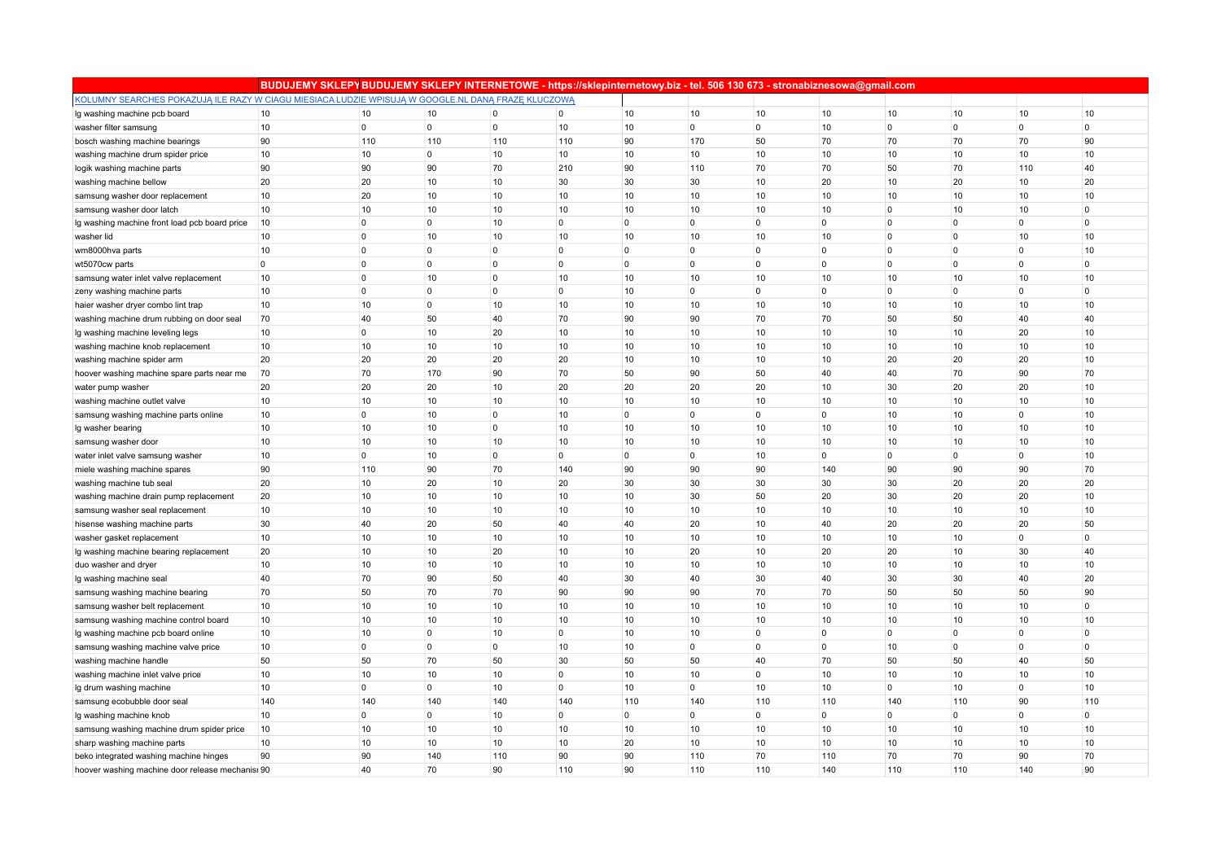|                                                                                                    | BUDUJEMY SKLEPYBUDUJEMY SKLEPY INTERNETOWE - https://sklepinternetowy.biz - tel. 506 130 673 - stronabiznesowa@gmail.com |                |                |                |                 |             |                |                |                |                |                |                |                |
|----------------------------------------------------------------------------------------------------|--------------------------------------------------------------------------------------------------------------------------|----------------|----------------|----------------|-----------------|-------------|----------------|----------------|----------------|----------------|----------------|----------------|----------------|
| KOLUMNY SEARCHES POKAZUJA ILE RAZY W CIAGU MIESIACA LUDZIE WPISUJA W GOOGLE.NL DANA FRAZE KLUCZOWA |                                                                                                                          |                |                |                |                 |             |                |                |                |                |                |                |                |
| Ig washing machine pcb board                                                                       | 10                                                                                                                       | 10             | 10             | $\overline{0}$ | $\mathbf 0$     | 10          | 10             | 10             | 10             | 10             | 10             | 10             | 10             |
| washer filter samsung                                                                              | 10                                                                                                                       | $\overline{0}$ | $\mathbf 0$    | $\overline{0}$ | 10 <sub>1</sub> | 10          | $\overline{0}$ | $\Omega$       | 10             | $\overline{0}$ | $\mathbf 0$    | $\mathbf 0$    | $\overline{0}$ |
| bosch washing machine bearings                                                                     | 90                                                                                                                       | 110            | 110            | 110            | 110             | 90          | 170            | 50             | 70             | 70             | 70             | 70             | 90             |
| washing machine drum spider price                                                                  | 10                                                                                                                       | 10             | $\mathbf 0$    | 10             | 10 <sub>1</sub> | 10          | 10             | 10             | 10             | 10             | 10             | 10             | 10             |
| logik washing machine parts                                                                        | 90                                                                                                                       | 90             | 90             | 70             | 210             | 90          | 110            | 70             | 70             | 50             | 70             | 110            | 40             |
| washing machine bellow                                                                             | 20                                                                                                                       | 20             | 10             | 10             | 30              | 30          | 30             | 10             | 20             | 10             | 20             | 10             | 20             |
| samsung washer door replacement                                                                    | 10                                                                                                                       | 20             | 10             | 10             | 10              | 10          | 10             | 10             | 10             | 10             | 10             | 10             | 10             |
| samsung washer door latch                                                                          | 10                                                                                                                       | 10             | 10             | 10             | 10              | 10          | 10             | 10             | 10             | $\mathbf{0}$   | 10             | 10             | $\overline{0}$ |
| Ig washing machine front load pcb board price                                                      | 10                                                                                                                       | $\mathbf 0$    | $\mathbf 0$    | 10             | $\overline{0}$  | $\mathbf 0$ | $\mathbf 0$    | $\overline{0}$ | $\overline{0}$ | $\overline{0}$ | $\overline{0}$ | $\mathbf 0$    | $\overline{0}$ |
| washer lid                                                                                         | 10                                                                                                                       | $\mathbf 0$    | 10             | 10             | 10              | 10          | 10             | 10             | 10             | 0              | $\overline{0}$ | 10             | 10             |
| wm8000hva parts                                                                                    | $10$                                                                                                                     | $\mathbf{0}$   | $\overline{0}$ | $\Omega$       | 0               | $\mathbf 0$ | $\Omega$       | $\Omega$       | 0              | $\Omega$       | $\Omega$       | $\Omega$       | 10             |
| wt5070cw parts                                                                                     | $\mathbf{0}$                                                                                                             | $\mathbf 0$    | $\overline{0}$ | $\overline{0}$ | 0               | $\mathbf 0$ | $\Omega$       | $\Omega$       | $\overline{0}$ | $\mathbf{0}$   | $\mathbf 0$    | $\Omega$       | $\overline{0}$ |
| samsung water inlet valve replacement                                                              | 10                                                                                                                       | $\Omega$       | 10             | $\Omega$       | 10              | 10          | 10             | 10             | 10             | 10             | 10             | 10             | 10             |
| zeny washing machine parts                                                                         | 10                                                                                                                       | $\mathbf 0$    | $\mathbf 0$    | $\overline{0}$ | $\mathbf 0$     | 10          | $\mathbf 0$    | $\overline{0}$ | $\overline{0}$ | $\mathbf 0$    | $\mathbf 0$    | $\mathbf 0$    | $\overline{0}$ |
| haier washer dryer combo lint trap                                                                 | 10                                                                                                                       | 10             | 0              | 10             | 10              | 10          | 10             | 10             | 10             | 10             | 10             | 10             | 10             |
| washing machine drum rubbing on door seal                                                          | 70                                                                                                                       | 40             | 50             | 40             | 70              | 90          | 90             | 70             | 70             | 50             | 50             | 40             | 40             |
| Ig washing machine leveling legs                                                                   | 10                                                                                                                       | $\overline{0}$ | 10             | 20             | 10              | 10          | 10             | 10             | 10             | 10             | 10             | 20             | 10             |
| washing machine knob replacement                                                                   | 10                                                                                                                       | 10             | 10             | 10             | 10              | 10          | 10             | 10             | 10             | 10             | 10             | 10             | 10             |
| washing machine spider arm                                                                         | 20                                                                                                                       | 20             | 20             | 20             | 20              | 10          | 10             | 10             | 10             | 20             | 20             | 20             | 10             |
| hoover washing machine spare parts near me                                                         | 70                                                                                                                       | 70             | 170            | 90             | 70              | 50          | 90             | 50             | 40             | 40             | 70             | 90             | 70             |
| water pump washer                                                                                  | 20                                                                                                                       | 20             | 20             | 10             | 20              | 20          | 20             | 20             | 10             | 30             | 20             | 20             | 10             |
| washing machine outlet valve                                                                       | 10                                                                                                                       | 10             | 10             | 10             | 10              | 10          | 10             | 10             | 10             | 10             | 10             | 10             | 10             |
| samsung washing machine parts online                                                               | 10                                                                                                                       | 0              | 10             | $\overline{0}$ | 10              | 0           | $\mathbf 0$    | $\overline{0}$ | $\overline{0}$ | 10             | 10             | 0              | 10             |
| Ig washer bearing                                                                                  | 10                                                                                                                       | 10             | 10             | 0              | 10              | 10          | 10             | 10             | 10             | 10             | 10             | 10             | 10             |
| samsung washer door                                                                                | 10                                                                                                                       | 10             | 10             | 10             | 10              | 10          | 10             | 10             | 10             | 10             | 10             | 10             | 10             |
| water inlet valve samsung washer                                                                   | 10                                                                                                                       | $\mathbf 0$    | 10             | $\overline{0}$ | 0               | 0           | $\Omega$       | 10             | $\overline{0}$ | $\Omega$       | $\mathbf 0$    | $\mathbf 0$    | 10             |
| miele washing machine spares                                                                       | 90                                                                                                                       | 110            | 90             | 70             | 140             | 90          | 90             | 90             | 140            | 90             | 90             | 90             | 70             |
| washing machine tub seal                                                                           | 20                                                                                                                       | 10             | 20             | 10             | 20              | 30          | 30             | 30             | 30             | 30             | 20             | 20             | 20             |
| washing machine drain pump replacement                                                             | 20                                                                                                                       | $10$           | 10             | 10             | 10              | 10          | 30             | 50             | 20             | 30             | 20             | 20             | $10$           |
| samsung washer seal replacement                                                                    | 10                                                                                                                       | 10             | 10             | 10             | 10              | 10          | 10             | 10             | 10             | 10             | 10             | 10             | 10             |
| hisense washing machine parts                                                                      | 30                                                                                                                       | 40             | 20             | 50             | 40              | 40          | 20             | 10             | 40             | 20             | 20             | 20             | 50             |
| washer gasket replacement                                                                          | 10                                                                                                                       | 10             | 10             | 10             | 10              | 10          | 10             | 10             | 10             | 10             | 10             | 0              | $\overline{0}$ |
| Ig washing machine bearing replacement                                                             | 20                                                                                                                       | 10             | 10             | 20             | 10              | 10          | 20             | 10             | 20             | 20             | 10             | 30             | 40             |
| duo washer and dryer                                                                               | 10                                                                                                                       | 10             | 10             | 10             | 10              | 10          | 10             | 10             | 10             | 10             | 10             | 10             | 10             |
| Ig washing machine seal                                                                            | 40                                                                                                                       | 70             | 90             | 50             | 40              | 30          | 40             | 30             | 40             | 30             | 30             | 40             | 20             |
| samsung washing machine bearing                                                                    | 70                                                                                                                       | 50             | 70             | 70             | 90              | 90          | 90             | 70             | 70             | 50             | 50             | 50             | 90             |
| samsung washer belt replacement                                                                    | 10                                                                                                                       | 10             | 10             | 10             | 10              | 10          | 10             | 10             | 10             | 10             | 10             | 10             | $\overline{0}$ |
| samsung washing machine control board                                                              | 10                                                                                                                       | 10             | 10             | 10             | 10              | 10          | 10             | 10             | 10             | 10             | 10             | 10             | 10             |
| Ig washing machine pcb board online                                                                | 10                                                                                                                       | 10             | $\Omega$       | 10             | 0               | 10          | 10             | $\Omega$       | $\overline{0}$ | $\Omega$       | $\Omega$       | $\mathbf 0$    | $\mathbf 0$    |
| samsung washing machine valve price                                                                | 10                                                                                                                       | 0              | $\mathbf 0$    | $\overline{0}$ | 10              | 10          | $\mathbf 0$    | $\overline{0}$ | $\overline{0}$ | 10             | 0              | $\mathbf 0$    | $\overline{0}$ |
| washing machine handle                                                                             | 50                                                                                                                       | 50             | 70             | 50             | 30              | 50          | 50             | 40             | 70             | 50             | 50             | 40             | 50             |
| washing machine inlet valve price                                                                  | $10$                                                                                                                     | 10             | 10             | 10             | $\mathbf 0$     | 10          | 10             | $\Omega$       | 10             | 10             | 10             | 10             | 10             |
| Ig drum washing machine                                                                            | 10                                                                                                                       | $\overline{0}$ | $\Omega$       | 10             | $\mathbf 0$     | 10          | 0              | 10             | 10             | $\mathbf 0$    | 10             | $\mathbf 0$    | 10             |
| samsung ecobubble door seal                                                                        | 140                                                                                                                      | 140            | 140            | 140            | 140             | 110         | 140            | 110            | 110            | 140            | 110            | 90             | 110            |
| Ig washing machine knob                                                                            | 10                                                                                                                       | 0              | $\mathbf 0$    | 10             | $\mathbf 0$     | 0           | 0              | $\overline{0}$ | $\overline{0}$ | 0              | 0              | $\overline{0}$ | $\overline{0}$ |
| samsung washing machine drum spider price                                                          | 10                                                                                                                       | 10             | 10             | 10             | 10              | 10          | 10             | 10             | 10             | 10             | 10             | 10             | 10             |
| sharp washing machine parts                                                                        | 10                                                                                                                       | 10             | 10             | 10             | 10              | 20          | 10             | 10             | 10             | 10             | 10             | 10             | 10             |
| beko integrated washing machine hinges                                                             | 90                                                                                                                       | 90             | 140            | 110            | 90              | 90          | 110            | 70             | 110            | 70             | 70             | 90             | 70             |
| hoover washing machine door release mechanisi 90                                                   |                                                                                                                          | 40             | 70             | 90             | 110             | 90          | 110            | 110            | 140            | 110            | 110            | 140            | 90             |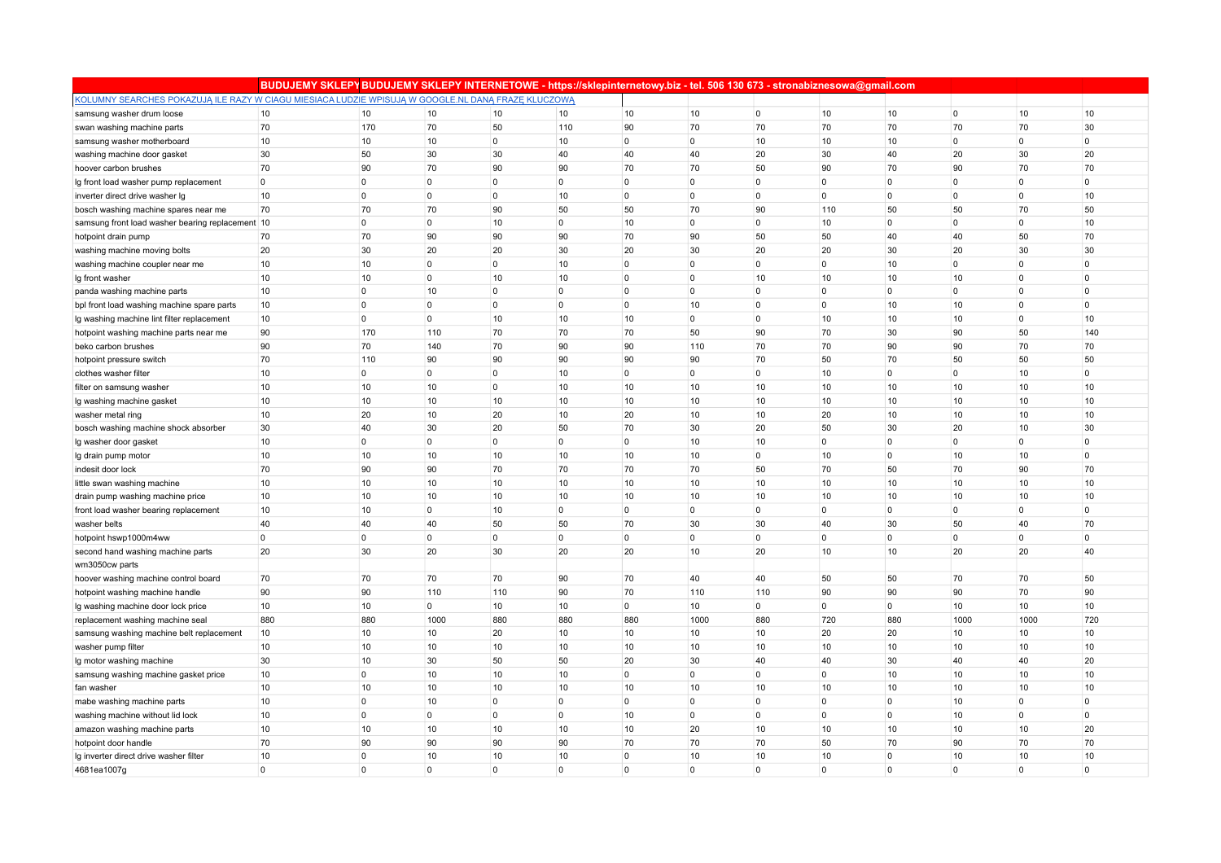|                                                                                                    | BUDUJEMY SKLEPYBUDUJEMY SKLEPY INTERNETOWE - https://sklepinternetowy.biz - tel. 506 130 673 - stronabiznesowa@gmail.com |                |                |                |                |              |                |                |                |             |                |                |                |
|----------------------------------------------------------------------------------------------------|--------------------------------------------------------------------------------------------------------------------------|----------------|----------------|----------------|----------------|--------------|----------------|----------------|----------------|-------------|----------------|----------------|----------------|
| KOLUMNY SEARCHES POKAZUJA ILE RAZY W CIAGU MIESIACA LUDZIE WPISUJA W GOOGLE.NL DANA FRAZE KLUCZOWA |                                                                                                                          |                |                |                |                |              |                |                |                |             |                |                |                |
| samsung washer drum loose                                                                          | 10                                                                                                                       | 10             | 10             | 10             | 10             | 10           | 10             | $\overline{0}$ | 10             | 10          | $\overline{0}$ | 10             | 10             |
| swan washing machine parts                                                                         | 70                                                                                                                       | 170            | 70             | 50             | 110            | 90           | 70             | 70             | 70             | 70          | 70             | 70             | 30             |
| samsung washer motherboard                                                                         | 10                                                                                                                       | 10             | 10             | 0              | 10             | 0            | $\mathbf 0$    | 10             | 10             | 10          | 0              | 0              | $\overline{0}$ |
| washing machine door gasket                                                                        | 30                                                                                                                       | 50             | 30             | 30             | 40             | 40           | 40             | 20             | 30             | 40          | 20             | 30             | 20             |
| hoover carbon brushes                                                                              | 70                                                                                                                       | 90             | 70             | 90             | 90             | 70           | 70             | 50             | 90             | 70          | 90             | 70             | 70             |
| Ig front load washer pump replacement                                                              | $\overline{0}$                                                                                                           | 0              | $\overline{0}$ | $\mathbf 0$    | $\mathbf 0$    | 0            | $\overline{0}$ | $\Omega$       | $\overline{0}$ | 0           | 0              | $\overline{0}$ | $\overline{0}$ |
| inverter direct drive washer Ig                                                                    | 10                                                                                                                       | $\overline{0}$ | $\overline{0}$ | $\mathbf 0$    | 10             | 0            | $\mathbf 0$    | $\overline{0}$ | $\overline{0}$ | $\mathbf 0$ | 0              | 0              | 10             |
| bosch washing machine spares near me                                                               | 70                                                                                                                       | 70             | 70             | 90             | 50             | 50           | 70             | 90             | 110            | 50          | 50             | 70             | 50             |
| samsung front load washer bearing replacement 10                                                   |                                                                                                                          | $\overline{0}$ | $\overline{0}$ | 10             | $\mathbf 0$    | $10$         | $\mathbf{0}$   | $\Omega$       | 10             | $\Omega$    | $\overline{0}$ | $\overline{0}$ | 10             |
| hotpoint drain pump                                                                                | 70                                                                                                                       | 70             | 90             | 90             | 90             | 70           | 90             | 50             | 50             | 40          | 40             | 50             | 70             |
| washing machine moving bolts                                                                       | 20                                                                                                                       | 30             | 20             | 20             | 30             | 20           | 30             | 20             | 20             | 30          | 20             | 30             | 30             |
| washing machine coupler near me                                                                    | 10                                                                                                                       | 10             | 0              | 0              | 10             | 0            | $\mathbf 0$    | $\overline{0}$ | $\overline{0}$ | 10          | 0              | 0              | $\overline{0}$ |
| Ig front washer                                                                                    | 10                                                                                                                       | 10             | $\overline{0}$ | 10             | 10             | 0            | $\mathbf 0$    | 10             | 10             | 10          | 10             | $\Omega$       | $\overline{0}$ |
| panda washing machine parts                                                                        | 10                                                                                                                       | $\overline{0}$ | 10             | $\overline{0}$ | $\overline{0}$ | $\mathbf 0$  | $\overline{0}$ | $\Omega$       | $\overline{0}$ | $\mathbf 0$ | $\mathbf 0$    | $\overline{0}$ | $\overline{0}$ |
| bpl front load washing machine spare parts                                                         | 10                                                                                                                       | $\overline{0}$ | $\overline{0}$ | $\overline{0}$ | $\mathbf 0$    | $\mathbf 0$  | 10             | $\Omega$       | $\overline{0}$ | 10          | 10             | $\overline{0}$ | $\overline{0}$ |
| Ig washing machine lint filter replacement                                                         | 10                                                                                                                       | $\overline{0}$ | $\overline{0}$ | 10             | 10             | 10           | $\mathbf 0$    | $\Omega$       | 10             | 10          | 10             | $\overline{0}$ | 10             |
| hotpoint washing machine parts near me                                                             | 90                                                                                                                       | 170            | 110            | 70             | 70             | 70           | 50             | 90             | 70             | 30          | 90             | 50             | 140            |
| beko carbon brushes                                                                                | 90                                                                                                                       | 70             | 140            | 70             | 90             | 90           | 110            | 70             | 70             | 90          | 90             | 70             | 70             |
| hotpoint pressure switch                                                                           | 70                                                                                                                       | 110            | 90             | 90             | 90             | 90           | 90             | 70             | 50             | 70          | 50             | 50             | 50             |
| clothes washer filter                                                                              | 10                                                                                                                       | $\overline{0}$ | $\overline{0}$ | $\overline{0}$ | 10             | $\mathbf 0$  | $\mathbf 0$    | $\Omega$       | 10             | $\mathbf 0$ | $\mathbf 0$    | 10             | $\overline{0}$ |
| filter on samsung washer                                                                           | 10                                                                                                                       | 10             | 10             | $\mathbf 0$    | 10             | 10           | 10             | 10             | 10             | 10          | 10             | 10             | 10             |
| Ig washing machine gasket                                                                          | 10                                                                                                                       | 10             | 10             | 10             | 10             | 10           | 10             | 10             | 10             | 10          | 10             | 10             | 10             |
| washer metal ring                                                                                  | 10                                                                                                                       | 20             | 10             | 20             | 10             | 20           | 10             | 10             | 20             | 10          | 10             | 10             | 10             |
| bosch washing machine shock absorber                                                               | 30                                                                                                                       | 40             | 30             | 20             | 50             | 70           | 30             | 20             | 50             | 30          | 20             | 10             | 30             |
| Ig washer door gasket                                                                              | 10                                                                                                                       | $\overline{0}$ | $\overline{0}$ | $\mathbf 0$    | $\overline{0}$ | 0            | 10             | 10             | $\overline{0}$ | $\mathbf 0$ | $\mathbf 0$    | $\overline{0}$ | $\overline{0}$ |
| Ig drain pump motor                                                                                | 10                                                                                                                       | 10             | 10             | 10             | 10             | 10           | 10             | $\overline{0}$ | 10             | 0           | 10             | 10             | $\overline{0}$ |
| indesit door lock                                                                                  | 70                                                                                                                       | 90             | 90             | 70             | 70             | 70           | 70             | 50             | 70             | 50          | 70             | 90             | 70             |
| little swan washing machine                                                                        | 10                                                                                                                       | 10             | 10             | 10             | 10             | 10           | 10             | 10             | 10             | 10          | 10             | 10             | 10             |
| drain pump washing machine price                                                                   | 10                                                                                                                       | 10             | 10             | 10             | 10             | 10           | 10             | 10             | 10             | 10          | 10             | 10             | 10             |
| front load washer bearing replacement                                                              | 10                                                                                                                       | 10             | $\overline{0}$ | 10             | $\mathbf 0$    | 0            | $\mathbf 0$    | $\Omega$       | $\overline{0}$ | 0           | $\overline{0}$ | $\overline{0}$ | $\overline{0}$ |
| washer belts                                                                                       | 40                                                                                                                       | 40             | 40             | 50             | 50             | 70           | 30             | 30             | 40             | 30          | 50             | 40             | 70             |
| hotpoint hswp1000m4ww                                                                              | $\overline{0}$                                                                                                           | $\overline{0}$ | $\overline{0}$ | $\overline{0}$ | $\overline{0}$ | 0            | $\overline{0}$ | $\Omega$       | $\overline{0}$ | 0           | $\mathbf 0$    | 0              | $\overline{0}$ |
| second hand washing machine parts                                                                  | 20                                                                                                                       | 30             | 20             | 30             | 20             | 20           | 10             | 20             | 10             | 10          | 20             | 20             | 40             |
| wm3050cw parts                                                                                     |                                                                                                                          |                |                |                |                |              |                |                |                |             |                |                |                |
| hoover washing machine control board                                                               | 70                                                                                                                       | 70             | 70             | 70             | 90             | 70           | 40             | 40             | 50             | 50          | 70             | 70             | 50             |
| hotpoint washing machine handle                                                                    | 90                                                                                                                       | 90             | 110            | 110            | 90             | 70           | 110            | 110            | 90             | 90          | 90             | 70             | 90             |
| Ig washing machine door lock price                                                                 | 10                                                                                                                       | 10             | $\overline{0}$ | 10             | 10             | $\mathbf 0$  | 10             | 0              | $\overline{0}$ | $\Omega$    | 10             | 10             | 10             |
| replacement washing machine seal                                                                   | 880                                                                                                                      | 880            | 1000           | 880            | 880            | 880          | 1000           | 880            | 720            | 880         | 1000           | 1000           | 720            |
| samsung washing machine belt replacement                                                           | 10                                                                                                                       | 10             | 10             | 20             | 10             | 10           | 10             | 10             | 20             | 20          | 10             | 10             | 10             |
| washer pump filter                                                                                 | 10                                                                                                                       | 10             | 10             | 10             | 10             | 10           | 10             | 10             | 10             | 10          | 10             | 10             | 10             |
| Ig motor washing machine                                                                           | 30                                                                                                                       | 10             | 30             | 50             | 50             | 20           | 30             | 40             | 40             | 30          | 40             | 40             | 20             |
| samsung washing machine gasket price                                                               | 10                                                                                                                       | 0              | 10             | 10             | 10             | $\mathbf{0}$ | $\Omega$       | $\Omega$       | $\overline{0}$ | 10          | 10             | 10             | 10             |
| fan washer                                                                                         | 10                                                                                                                       | 10             | 10             | 10             | 10             | 10           | 10             | 10             | 10             | 10          | 10             | 10             | 10             |
| mabe washing machine parts                                                                         | 10                                                                                                                       | $\overline{0}$ | 10             | $\mathbf 0$    | $\mathbf 0$    | $\mathbf 0$  | $\mathbf 0$    | $\Omega$       | $\overline{0}$ | $\mathbf 0$ | 10             | $\overline{0}$ | $\overline{0}$ |
| washing machine without lid lock                                                                   | 10                                                                                                                       | $\overline{0}$ | $\overline{0}$ | $\mathbf 0$    | $\overline{0}$ | 10           | $\mathbf 0$    | $\Omega$       | $\overline{0}$ | $\mathbf 0$ | 10             | 0              | $\overline{0}$ |
| amazon washing machine parts                                                                       | 10                                                                                                                       | 10             | 10             | 10             | 10             | 10           | 20             | 10             | 10             | 10          | 10             | 10             | 20             |
| hotpoint door handle                                                                               | 70                                                                                                                       | 90             | 90             | 90             | 90             | 70           | 70             | 70             | 50             | 70          | 90             | 70             | 70             |
| Ig inverter direct drive washer filter                                                             | 10                                                                                                                       | $\overline{0}$ | 10             | 10             | 10             | $\mathbf 0$  | 10             | 10             | 10             | $\Omega$    | 10             | 10             | 10             |
| 4681ea1007g                                                                                        | $\overline{0}$                                                                                                           | $\overline{0}$ | $\Omega$       | $\overline{0}$ | $\mathbf 0$    | $\mathbf 0$  | $\Omega$       | $\Omega$       | $\Omega$       | $\Omega$    | $\Omega$       | $\overline{0}$ | $\overline{0}$ |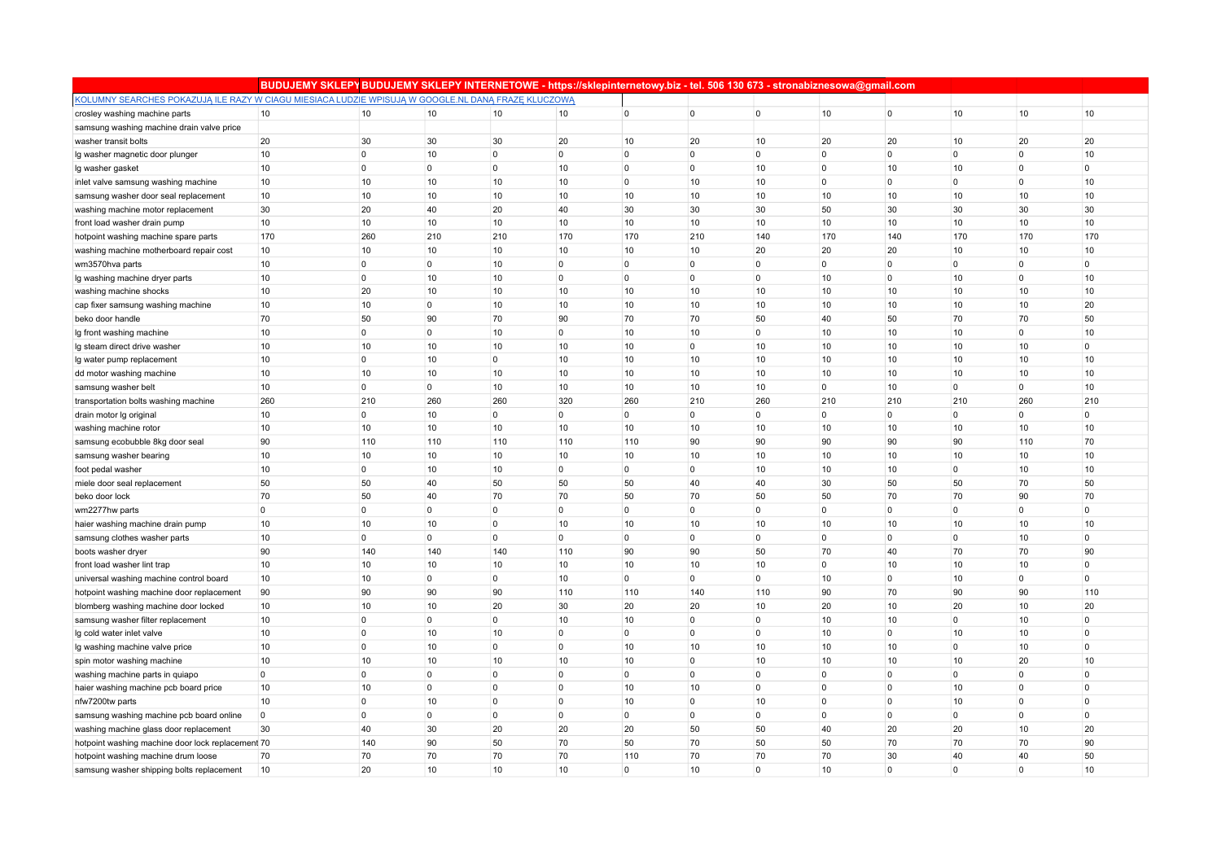|                                                                                                    | BUDUJEMY SKLEPY BUDUJEMY SKLEPY INTERNETOWE - https://sklepinternetowy.biz - tel. 506 130 673 - stronabiznesowa@gmail.com |                |                |                |                |                     |                         |                |                |                |                |                |                |
|----------------------------------------------------------------------------------------------------|---------------------------------------------------------------------------------------------------------------------------|----------------|----------------|----------------|----------------|---------------------|-------------------------|----------------|----------------|----------------|----------------|----------------|----------------|
| KOLUMNY SEARCHES POKAZUJA ILE RAZY W CIAGU MIESIACA LUDZIE WPISUJA W GOOGLE.NL DANA FRAZE KLUCZOWA |                                                                                                                           |                |                |                |                |                     |                         |                |                |                |                |                |                |
| crosley washing machine parts                                                                      | 10                                                                                                                        | 10             | 10             | 10             | 10             | $\mathbf 0$         | $\overline{0}$          | $\mathbf 0$    | 10             | $\overline{0}$ | 10             | 10             | 10             |
| samsung washing machine drain valve price                                                          |                                                                                                                           |                |                |                |                |                     |                         |                |                |                |                |                |                |
| washer transit bolts                                                                               | 20                                                                                                                        | 30             | 30             | 30             | 20             | 10                  | 20                      | 10             | 20             | 20             | 10             | 20             | 20             |
| Ig washer magnetic door plunger                                                                    | 10                                                                                                                        | $\overline{0}$ | 10             | $\mathbf 0$    | $\overline{0}$ | 0                   | $\overline{\mathbf{0}}$ | $\Omega$       | $\overline{0}$ | $\overline{0}$ | $\mathbf 0$    | $\mathbf 0$    | 10             |
| Ig washer gasket                                                                                   | 10                                                                                                                        | $\overline{0}$ | $\overline{0}$ | $\overline{0}$ | 10             | $\mathsf{O}\xspace$ | $\overline{0}$          | 10             | $\overline{0}$ | 10             | 10             | $\overline{0}$ | $\overline{0}$ |
| inlet valve samsung washing machine                                                                | 10                                                                                                                        | 10             | 10             | 10             | 10             | $\mathbf 0$         | 10                      | 10             | $\overline{0}$ | 0              | $\mathbf 0$    | $\overline{0}$ | 10             |
| samsung washer door seal replacement                                                               | 10                                                                                                                        | 10             | 10             | 10             | 10             | 10                  | 10                      | 10             | 10             | 10             | 10             | 10             | 10             |
| washing machine motor replacement                                                                  | 30                                                                                                                        | 20             | 40             | 20             | 40             | 30                  | 30                      | 30             | 50             | 30             | 30             | 30             | 30             |
| front load washer drain pump                                                                       | 10                                                                                                                        | 10             | 10             | 10             | 10             | 10                  | 10                      | 10             | 10             | 10             | 10             | 10             | 10             |
| hotpoint washing machine spare parts                                                               | 170                                                                                                                       | 260            | 210            | 210            | 170            | 170                 | 210                     | 140            | 170            | 140            | 170            | 170            | 170            |
| washing machine motherboard repair cost                                                            | 10                                                                                                                        | 10             | 10             | 10             | 10             | 10                  | 10                      | 20             | 20             | 20             | 10             | 10             | 10             |
| wm3570hva parts                                                                                    | 10                                                                                                                        | $\overline{0}$ | $\overline{0}$ | 10             | $\overline{0}$ | 0                   | $\Omega$                | $\Omega$       | $\overline{0}$ | $\mathbf 0$    | $\mathbf 0$    | $\overline{0}$ | $\overline{0}$ |
| Ig washing machine dryer parts                                                                     | 10                                                                                                                        | $\overline{0}$ | 10             | 10             | $\mathbf 0$    | $\mathbf 0$         | $\mathbf 0$             | $\Omega$       | 10             | $\Omega$       | 10             | $\overline{0}$ | 10             |
| washing machine shocks                                                                             | 10                                                                                                                        | 20             | 10             | 10             | 10             | 10                  | 10                      | 10             | 10             | 10             | 10             | 10             | 10             |
| cap fixer samsung washing machine                                                                  | 10                                                                                                                        | 10             | $\overline{0}$ | 10             | 10             | 10                  | 10                      | 10             | 10             | 10             | 10             | 10             | 20             |
| beko door handle                                                                                   | 70                                                                                                                        | 50             | 90             | 70             | 90             | 70                  | 70                      | 50             | 40             | 50             | 70             | 70             | 50             |
| Ig front washing machine                                                                           | 10                                                                                                                        | $\overline{0}$ | $\overline{0}$ | 10             | $\overline{0}$ | 10                  | 10                      | $\Omega$       | 10             | 10             | 10             | $\overline{0}$ | 10             |
| Ig steam direct drive washer                                                                       | 10                                                                                                                        | 10             | 10             | 10             | 10             | 10                  | $\mathbf 0$             | 10             | 10             | 10             | 10             | 10             | $\overline{0}$ |
| Ig water pump replacement                                                                          | 10                                                                                                                        | $\overline{0}$ | 10             | $\overline{0}$ | 10             | 10                  | 10                      | 10             | 10             | 10             | 10             | 10             | 10             |
| dd motor washing machine                                                                           | 10                                                                                                                        | 10             | 10             | 10             | 10             | 10                  | 10                      | 10             | 10             | 10             | 10             | 10             | 10             |
| samsung washer belt                                                                                | 10                                                                                                                        | 0              | $\mathbf 0$    | 10             | 10             | 10                  | 10                      | 10             | $\overline{0}$ | 10             | 0              | $\mathbf 0$    | 10             |
| transportation bolts washing machine                                                               | 260                                                                                                                       | 210            | 260            | 260            | 320            | 260                 | 210                     | 260            | 210            | 210            | 210            | 260            | 210            |
| drain motor Ig original                                                                            | 10                                                                                                                        | $\overline{0}$ | 10             | $\mathbf 0$    | $\overline{0}$ | $\mathbf 0$         | $\mathbf 0$             | $\mathbf 0$    | $\overline{0}$ | $\mathbf 0$    | $\mathbf 0$    | $\overline{0}$ | $\overline{0}$ |
| washing machine rotor                                                                              | 10                                                                                                                        | 10             | 10             | 10             | 10             | 10                  | 10                      | 10             | 10             | 10             | 10             | 10             | 10             |
| samsung ecobubble 8kg door seal                                                                    | 90                                                                                                                        | 110            | 110            | 110            | 110            | 110                 | 90                      | 90             | 90             | 90             | 90             | 110            | 70             |
| samsung washer bearing                                                                             | 10                                                                                                                        | 10             | 10             | 10             | 10             | 10                  | 10                      | 10             | 10             | 10             | 10             | 10             | 10             |
| foot pedal washer                                                                                  | 10                                                                                                                        | 0              | 10             | 10             | $\mathbf 0$    | 0                   | $\mathbf 0$             | 10             | 10             | 10             | 0              | 10             | 10             |
| miele door seal replacement                                                                        | 50                                                                                                                        | 50             | 40             | 50             | 50             | 50                  | 40                      | 40             | 30             | 50             | 50             | 70             | 50             |
| beko door lock                                                                                     | 70                                                                                                                        | 50             | 40             | 70             | 70             | 50                  | 70                      | 50             | 50             | 70             | 70             | 90             | 70             |
| wm2277hw parts                                                                                     | $\overline{0}$                                                                                                            | $\overline{0}$ | $\overline{0}$ | $\overline{0}$ | $\mathbf 0$    | $\mathbf 0$         | $\mathbf 0$             | $\Omega$       | $\overline{0}$ | 0              | $\overline{0}$ | $\overline{0}$ | $\overline{0}$ |
| haier washing machine drain pump                                                                   | 10                                                                                                                        | 10             | 10             | $\overline{0}$ | 10             | 10                  | 10                      | 10             | 10             | 10             | 10             | 10             | 10             |
| samsung clothes washer parts                                                                       | 10                                                                                                                        | 0              | $\overline{0}$ | $\overline{0}$ | $\overline{0}$ | 0                   | $\mathbf 0$             | $\overline{0}$ | $\overline{0}$ | 0              | 0              | 10             | $\overline{0}$ |
| boots washer dryer                                                                                 | 90                                                                                                                        | 140            | 140            | 140            | 110            | 90                  | 90                      | 50             | 70             | 40             | 70             | 70             | 90             |
| front load washer lint trap                                                                        | 10                                                                                                                        | 10             | 10             | 10             | 10             | 10                  | 10                      | 10             | $\overline{0}$ | 10             | 10             | 10             | $\overline{0}$ |
| universal washing machine control board                                                            | 10                                                                                                                        | 10             | $\overline{0}$ | $\overline{0}$ | 10             | $\mathbf 0$         | 0                       | $\mathbf 0$    | 10             | $\mathbf 0$    | 10             | $\overline{0}$ | $\overline{0}$ |
| hotpoint washing machine door replacement                                                          | 90                                                                                                                        | 90             | 90             | 90             | 110            | 110                 | 140                     | 110            | 90             | 70             | 90             | 90             | 110            |
| blomberg washing machine door locked                                                               | 10                                                                                                                        | 10             | 10             | 20             | 30             | 20                  | 20                      | 10             | 20             | 10             | 20             | 10             | 20             |
| samsung washer filter replacement                                                                  | 10                                                                                                                        | 0              | $\overline{0}$ | $\overline{0}$ | 10             | 10                  | $\mathbf 0$             | $\overline{0}$ | 10             | 10             | 0              | 10             | $\mathbf 0$    |
| Ig cold water inlet valve                                                                          | 10                                                                                                                        | 0              | 10             | 10             | $\mathbf 0$    | 0                   | $\Omega$                | $\Omega$       | 10             | $\Omega$       | 10             | 10             | $\Omega$       |
| Ig washing machine valve price                                                                     | 10                                                                                                                        | $\overline{0}$ | 10             | $\overline{0}$ | $\overline{0}$ | 10                  | 10                      | 10             | 10             | 10             | $\Omega$       | 10             | $\overline{0}$ |
| spin motor washing machine                                                                         | 10                                                                                                                        | 10             | 10             | 10             | 10             | 10                  | $\overline{0}$          | 10             | 10             | 10             | 10             | 20             | 10             |
| washing machine parts in quiapo                                                                    | $\overline{0}$                                                                                                            | $\overline{0}$ | $\overline{0}$ | $\overline{0}$ | $\mathbf 0$    | $\mathbf 0$         | $\mathbf 0$             | $\Omega$       | $\overline{0}$ | $\mathbf 0$    | $\Omega$       | $\overline{0}$ | $\mathbf 0$    |
| haier washing machine pcb board price                                                              | 10                                                                                                                        | 10             | $\overline{0}$ | $\mathbf 0$    | $\mathbf 0$    | 10                  | 10                      | $\Omega$       | $\overline{0}$ | $\mathbf 0$    | 10             | 0              | $\overline{0}$ |
| nfw7200tw parts                                                                                    | 10                                                                                                                        | 0              | 10             | 0              | 0              | 10                  | 0                       | 10             | $\overline{0}$ | $\mathbf 0$    | 10             | $\Omega$       | $\overline{0}$ |
| samsung washing machine pcb board online                                                           | $\overline{0}$                                                                                                            | $\overline{0}$ | $\overline{0}$ | $\overline{0}$ | $\overline{0}$ | 0                   | $\overline{0}$          | $\Omega$       | $\overline{0}$ | $\Omega$       | $\overline{0}$ | $\overline{0}$ | $\overline{0}$ |
| washing machine glass door replacement                                                             | 30                                                                                                                        | 40             | 30             | 20             | 20             | 20                  | 50                      | 50             | 40             | 20             | 20             | 10             | 20             |
| hotpoint washing machine door lock replacement 70                                                  |                                                                                                                           | 140            | 90             | 50             | 70             | 50                  | 70                      | 50             | 50             | 70             | 70             | 70             | 90             |
| hotpoint washing machine drum loose                                                                | 70                                                                                                                        | 70             | 70             | 70             | 70             | 110                 | 70                      | 70             | 70             | 30             | 40             | 40             | 50             |
| samsung washer shipping bolts replacement                                                          | 10                                                                                                                        | 20             | 10             | 10             | 10             | $\mathbf 0$         | 10                      | $\Omega$       | 10             | $\Omega$       | $\Omega$       | $\overline{0}$ | 10             |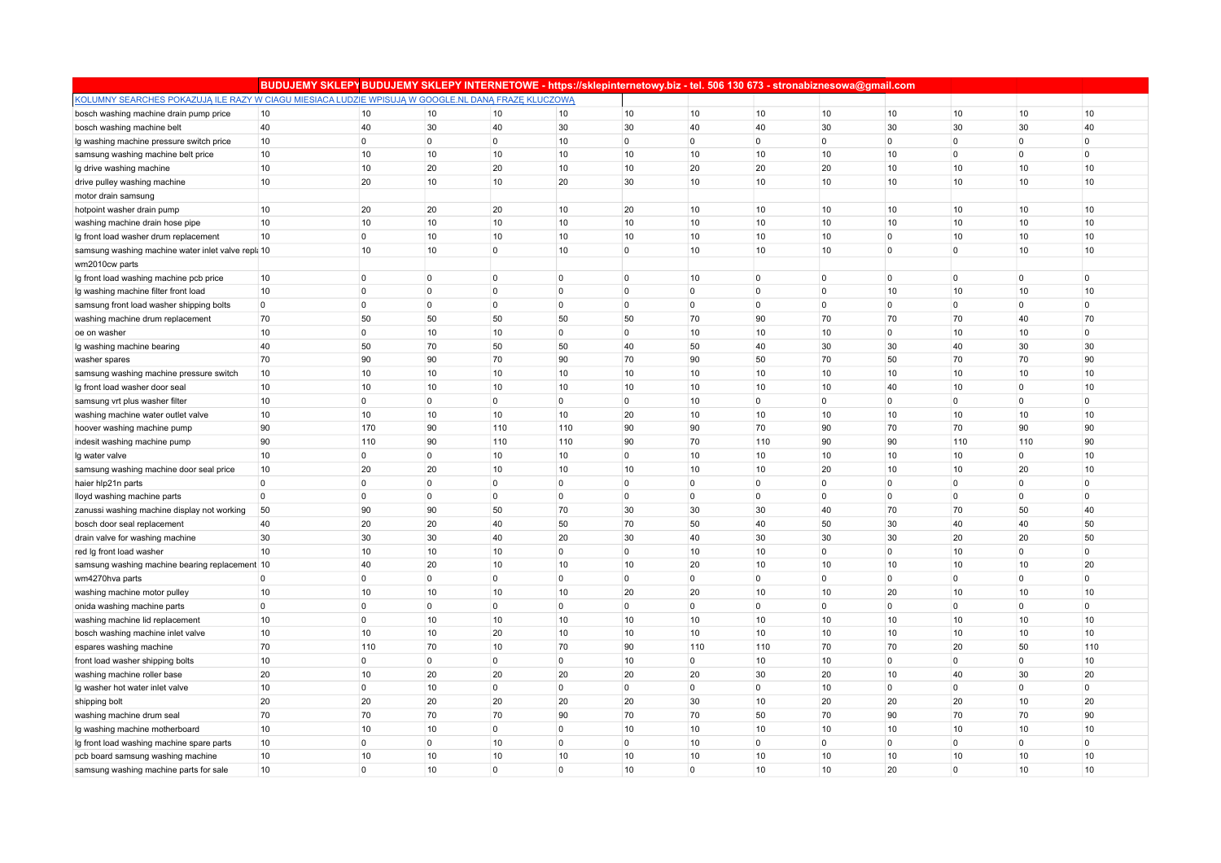|                                                                                                    | BUDUJEMY SKLEPYBUDUJEMY SKLEPY INTERNETOWE - https://sklepinternetowy.biz - tel. 506 130 673 - stronabiznesowa@gmail.com |                |                |                |                |             |                |                |                |                |                |                |                |
|----------------------------------------------------------------------------------------------------|--------------------------------------------------------------------------------------------------------------------------|----------------|----------------|----------------|----------------|-------------|----------------|----------------|----------------|----------------|----------------|----------------|----------------|
| KOLUMNY SEARCHES POKAZUJA ILE RAZY W CIAGU MIESIACA LUDZIE WPISUJA W GOOGLE.NL DANA FRAZE KLUCZOWA |                                                                                                                          |                |                |                |                |             |                |                |                |                |                |                |                |
| bosch washing machine drain pump price                                                             | 10                                                                                                                       | 10             | 10             | 10             | 10             | 10          | 10             | 10             | 10             | 10             | 10             | 10             | 10             |
| bosch washing machine belt                                                                         | 40                                                                                                                       | 40             | 30             | 40             | 30             | 30          | 40             | 40             | 30             | 30             | 30             | 30             | 40             |
| Ig washing machine pressure switch price                                                           | 10                                                                                                                       | 0              | $\overline{0}$ | $\mathbf 0$    | 10             | 0           | $\mathbf 0$    | $\overline{0}$ | $\overline{0}$ | $\overline{0}$ | 0              | $\overline{0}$ | $\overline{0}$ |
| samsung washing machine belt price                                                                 | 10                                                                                                                       | 10             | 10             | 10             | 10             | 10          | 10             | 10             | 10             | 10             | $\mathbf{0}$   | $\Omega$       | $\overline{0}$ |
| Ig drive washing machine                                                                           | 10                                                                                                                       | 10             | 20             | 20             | 10             | 10          | 20             | 20             | 20             | 10             | 10             | 10             | 10             |
| drive pulley washing machine                                                                       | 10                                                                                                                       | 20             | 10             | 10             | 20             | 30          | 10             | 10             | 10             | 10             | 10             | 10             | 10             |
| motor drain samsung                                                                                |                                                                                                                          |                |                |                |                |             |                |                |                |                |                |                |                |
| hotpoint washer drain pump                                                                         | 10                                                                                                                       | 20             | 20             | 20             | 10             | 20          | 10             | 10             | 10             | 10             | 10             | 10             | 10             |
| washing machine drain hose pipe                                                                    | 10                                                                                                                       | 10             | 10             | 10             | 10             | 10          | 10             | 10             | 10             | 10             | 10             | 10             | 10             |
| Ig front load washer drum replacement                                                              | 10                                                                                                                       | $\mathbf 0$    | 10             | 10             | 10             | 10          | 10             | 10             | 10             | $\overline{0}$ | 10             | 10             | 10             |
| samsung washing machine water inlet valve repla 10                                                 |                                                                                                                          | 10             | 10             | $\overline{0}$ | 10             | 0           | 10             | 10             | 10             | $\overline{0}$ | $\mathbf 0$    | 10             | 10             |
| wm2010cw parts                                                                                     |                                                                                                                          |                |                |                |                |             |                |                |                |                |                |                |                |
| Ig front load washing machine pcb price                                                            | 10                                                                                                                       | $\overline{0}$ | 0              | $\overline{0}$ | $\overline{0}$ | 0           | 10             | $\overline{0}$ | $\overline{0}$ | $\overline{0}$ | $\overline{0}$ | $\overline{0}$ | $\overline{0}$ |
| Ig washing machine filter front load                                                               | 10                                                                                                                       | 0              | $\mathbf 0$    | $\overline{0}$ | $\Omega$       | 0           | $\Omega$       | $\Omega$       | $\overline{0}$ | 10             | 10             | 10             | 10             |
| samsung front load washer shipping bolts                                                           | $\mathbf{0}$                                                                                                             | $\overline{0}$ | $\Omega$       | $\overline{0}$ | $\Omega$       | $\mathbf 0$ | $\Omega$       | $\Omega$       | $\overline{0}$ | $\overline{0}$ | $\mathbf{0}$   | $\Omega$       | $\overline{0}$ |
| washing machine drum replacement                                                                   | 70                                                                                                                       | 50             | 50             | 50             | 50             | 50          | 70             | 90             | 70             | 70             | 70             | 40             | 70             |
| oe on washer                                                                                       | 10                                                                                                                       | $\mathbf 0$    | 10             | 10             | $\mathbf 0$    | $\mathbf 0$ | 10             | 10             | 10             | $\overline{0}$ | 10             | 10             | $\overline{0}$ |
| Ig washing machine bearing                                                                         | 40                                                                                                                       | 50             | 70             | 50             | 50             | 40          | 50             | 40             | 30             | 30             | 40             | 30             | 30             |
| washer spares                                                                                      | 70                                                                                                                       | 90             | 90             | 70             | 90             | 70          | 90             | 50             | 70             | 50             | 70             | 70             | 90             |
| samsung washing machine pressure switch                                                            | 10                                                                                                                       | 10             | 10             | 10             | 10             | 10          | 10             | 10             | 10             | 10             | 10             | 10             | 10             |
| Ig front load washer door seal                                                                     | 10                                                                                                                       | 10             | 10             | 10             | 10             | 10          | 10             | 10             | 10             | 40             | 10             | $\Omega$       | 10             |
| samsung vrt plus washer filter                                                                     | 10                                                                                                                       | 0              | $\mathbf 0$    | $\overline{0}$ | $\mathbf 0$    | 0           | 10             | $\Omega$       | $\overline{0}$ | $\overline{0}$ | 0              | $\Omega$       | $\overline{0}$ |
| washing machine water outlet valve                                                                 | 10                                                                                                                       | 10             | 10             | 10             | 10             | 20          | 10             | 10             | 10             | 10             | 10             | 10             | 10             |
| hoover washing machine pump                                                                        | 90                                                                                                                       | 170            | 90             | 110            | 110            | 90          | 90             | 70             | 90             | 70             | 70             | 90             | 90             |
| indesit washing machine pump                                                                       | 90                                                                                                                       | 110            | 90             | 110            | 110            | 90          | 70             | 110            | 90             | 90             | 110            | 110            | 90             |
| Ig water valve                                                                                     | 10                                                                                                                       | $\overline{0}$ | $\overline{0}$ | 10             | 10             | $\mathbf 0$ | 10             | 10             | 10             | 10             | 10             | $\mathbf 0$    | 10             |
| samsung washing machine door seal price                                                            | 10                                                                                                                       | 20             | 20             | 10             | 10             | 10          | 10             | 10             | 20             | 10             | 10             | 20             | 10             |
| haier hlp21n parts                                                                                 | $\mathbf 0$                                                                                                              | $\mathbf 0$    | $\overline{0}$ | $\overline{0}$ | $\mathbf 0$    | 0           | $\mathbf 0$    | $\overline{0}$ | $\overline{0}$ | $\overline{0}$ | 0              | $\Omega$       | $\overline{0}$ |
| lloyd washing machine parts                                                                        | $\mathbf 0$                                                                                                              | $\mathbf 0$    | $\mathbf 0$    | $\overline{0}$ | $\mathbf 0$    | 0           | $\mathbf 0$    | $\overline{0}$ | $\overline{0}$ | $\overline{0}$ | 0              | $\overline{0}$ | $\overline{0}$ |
| zanussi washing machine display not working                                                        | 50                                                                                                                       | 90             | 90             | 50             | 70             | 30          | 30             | 30             | 40             | 70             | 70             | 50             | 40             |
| bosch door seal replacement                                                                        | 40                                                                                                                       | 20             | 20             | 40             | 50             | 70          | 50             | 40             | 50             | 30             | 40             | 40             | 50             |
| drain valve for washing machine                                                                    | 30                                                                                                                       | 30             | 30             | 40             | 20             | 30          | 40             | 30             | 30             | 30             | 20             | 20             | 50             |
| red Ig front load washer                                                                           | 10                                                                                                                       | 10             | 10             | 10             | $\mathbf 0$    | 0           | 10             | 10             | $\overline{0}$ | $\overline{0}$ | 10             | $\Omega$       | $\overline{0}$ |
| samsung washing machine bearing replacement 10                                                     |                                                                                                                          | 40             | 20             | 10             | 10             | 10          | 20             | 10             | 10             | 10             | 10             | 10             | 20             |
| wm4270hva parts                                                                                    | 0                                                                                                                        | 0              | 0              | 0              | $\overline{0}$ | 0           | $\mathbf 0$    | $\Omega$       | $\overline{0}$ | $\overline{0}$ | 0              | 0              | $\overline{0}$ |
| washing machine motor pulley                                                                       | 10                                                                                                                       | 10             | 10             | 10             | 10             | 20          | 20             | 10             | 10             | 20             | 10             | 10             | 10             |
| onida washing machine parts                                                                        | $\mathbf{0}$                                                                                                             | $\overline{0}$ | $\overline{0}$ | $\mathbf 0$    | $\mathbf 0$    | $\mathbf 0$ | $\Omega$       | $\Omega$       | $\overline{0}$ | $\overline{0}$ | $\mathbf 0$    | $\mathbf 0$    | $\overline{0}$ |
| washing machine lid replacement                                                                    | 10                                                                                                                       | $\mathbf 0$    | 10             | 10             | 10             | 10          | 10             | 10             | 10             | 10             | 10             | 10             | 10             |
| bosch washing machine inlet valve                                                                  | 10                                                                                                                       | 10             | 10             | 20             | 10             | 10          | 10             | 10             | 10             | 10             | 10             | 10             | 10             |
| espares washing machine                                                                            | 70                                                                                                                       | 110            | 70             | 10             | 70             | 90          | 110            | 110            | 70             | 70             | 20             | 50             | 110            |
| front load washer shipping bolts                                                                   | 10                                                                                                                       | $\overline{0}$ | $\overline{0}$ | $\overline{0}$ | $\overline{0}$ | 10          | $\overline{0}$ | 10             | 10             | $\overline{0}$ | $\overline{0}$ | $\Omega$       | 10             |
| washing machine roller base                                                                        | 20                                                                                                                       | 10             | 20             | 20             | 20             | 20          | 20             | 30             | 20             | 10             | 40             | 30             | 20             |
| Ig washer hot water inlet valve                                                                    | 10                                                                                                                       | $\mathbf 0$    | 10             | $\mathbf 0$    | $\mathbf 0$    | $\mathbf 0$ | $\mathbf 0$    | $\Omega$       | 10             | $\overline{0}$ | $\overline{0}$ | $\Omega$       | $\overline{0}$ |
| shipping bolt                                                                                      | 20                                                                                                                       | 20             | 20             | 20             | 20             | 20          | 30             | 10             | 20             | 20             | 20             | 10             | 20             |
| washing machine drum seal                                                                          | 70                                                                                                                       | 70             | 70             | 70             | 90             | 70          | 70             | 50             | 70             | 90             | 70             | 70             | 90             |
| Ig washing machine motherboard                                                                     | 10                                                                                                                       | 10             | 10             | 0              | $\mathbf{0}$   | 10          | 10             | 10             | 10             | 10             | 10             | 10             | 10             |
| Ig front load washing machine spare parts                                                          | 10                                                                                                                       | $\mathbf 0$    | $\overline{0}$ | 10             | $\mathbf 0$    | 0           | 10             | $\Omega$       | $\overline{0}$ | $\mathbf{0}$   | $\overline{0}$ | $\mathbf 0$    | $\overline{0}$ |
| pcb board samsung washing machine                                                                  | 10                                                                                                                       | 10             | 10             | 10             | 10             | 10          | 10             | 10             | 10             | 10             | 10             | 10             | 10             |
| samsung washing machine parts for sale                                                             | 10                                                                                                                       | $\overline{0}$ | 10             | $\overline{0}$ | $\mathbf 0$    | 10          | $\Omega$       | 10             | 10             | 20             | $\mathbf{0}$   | 10             | 10             |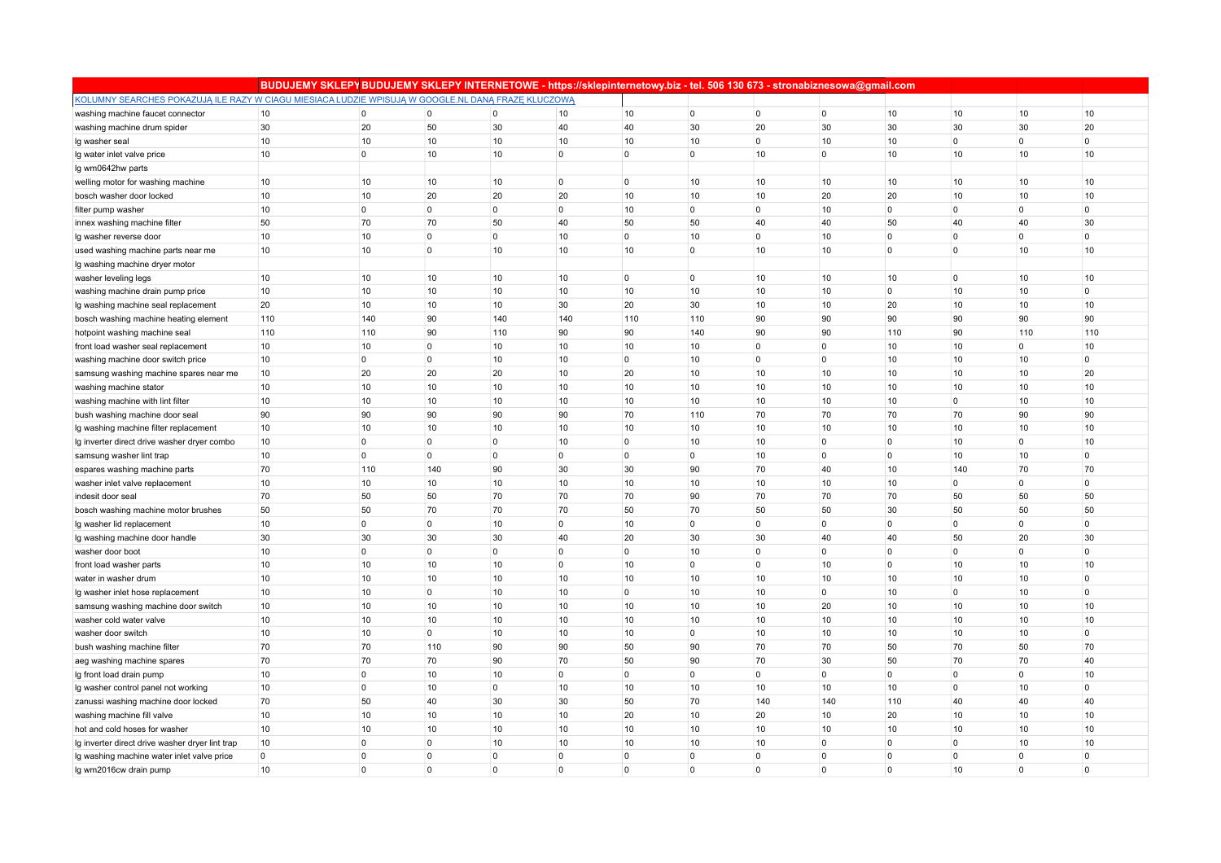|                                                                                                    | BUDUJEMY SKLEPYBUDUJEMY SKLEPY INTERNETOWE - https://sklepinternetowy.biz - tel. 506 130 673 - stronabiznesowa@gmail.com |                |                |                |                |                |                |                |                |                |                |                |                |
|----------------------------------------------------------------------------------------------------|--------------------------------------------------------------------------------------------------------------------------|----------------|----------------|----------------|----------------|----------------|----------------|----------------|----------------|----------------|----------------|----------------|----------------|
| KOLUMNY SEARCHES POKAZUJA ILE RAZY W CIAGU MIESIACA LUDZIE WPISUJA W GOOGLE.NL DANA FRAZE KLUCZOWA |                                                                                                                          |                |                |                |                |                |                |                |                |                |                |                |                |
| washing machine faucet connector                                                                   | 10                                                                                                                       | 0              | $\mathbf 0$    | 0              | 10             | 10             | $\mathbf 0$    | $\mathbf 0$    | $\overline{0}$ | 10             | 10             | 10             | 10             |
| washing machine drum spider                                                                        | 30                                                                                                                       | 20             | 50             | 30             | 40             | 40             | 30             | 20             | 30             | 30             | 30             | 30             | 20             |
| Ig washer seal                                                                                     | 10                                                                                                                       | 10             | 10             | 10             | 10             | 10             | 10             | $\Omega$       | 10             | 10             | 0              | $\Omega$       | $\overline{0}$ |
| Ig water inlet valve price                                                                         | 10                                                                                                                       | $\overline{0}$ | 10             | 10             | 0              | $\overline{0}$ | $\overline{0}$ | 10             | $\overline{0}$ | 10             | 10             | 10             | 10             |
| Ig wm0642hw parts                                                                                  |                                                                                                                          |                |                |                |                |                |                |                |                |                |                |                |                |
| welling motor for washing machine                                                                  | 10                                                                                                                       | 10             | 10             | 10             | $\overline{0}$ | $\mathbf 0$    | 10             | 10             | 10             | 10             | 10             | 10             | 10             |
| bosch washer door locked                                                                           | 10                                                                                                                       | 10             | 20             | 20             | 20             | 10             | 10             | 10             | 20             | 20             | 10             | 10             | 10             |
| filter pump washer                                                                                 | 10                                                                                                                       | 0              | 0              | $\overline{0}$ | $\overline{0}$ | 10             | 0              | $\Omega$       | 10             | $\overline{0}$ | 0              | $\Omega$       | $\overline{0}$ |
| innex washing machine filter                                                                       | 50                                                                                                                       | 70             | 70             | 50             | 40             | 50             | 50             | 40             | 40             | 50             | 40             | 40             | 30             |
| Ig washer reverse door                                                                             | 10                                                                                                                       | 10             | $\overline{0}$ | $\overline{0}$ | 10             | $\overline{0}$ | 10             | $\Omega$       | 10             | $\mathbf 0$    | 0              | $\mathbf 0$    | $\overline{0}$ |
| used washing machine parts near me                                                                 | 10                                                                                                                       | 10             | $\mathbf 0$    | 10             | 10             | 10             | $\mathbf 0$    | 10             | 10             | $\mathbf 0$    | 0              | 10             | 10             |
| Ig washing machine dryer motor                                                                     |                                                                                                                          |                |                |                |                |                |                |                |                |                |                |                |                |
| washer leveling legs                                                                               | 10                                                                                                                       | 10             | 10             | 10             | 10             | $\overline{0}$ | 0              | 10             | 10             | 10             | 0              | 10             | 10             |
| washing machine drain pump price                                                                   | 10                                                                                                                       | 10             | 10             | 10             | 10             | 10             | 10             | 10             | 10             | $\mathbf 0$    | 10             | 10             | $\overline{0}$ |
| Ig washing machine seal replacement                                                                | 20                                                                                                                       | 10             | 10             | 10             | 30             | 20             | 30             | 10             | 10             | 20             | 10             | 10             | 10             |
| bosch washing machine heating element                                                              | 110                                                                                                                      | 140            | 90             | 140            | 140            | 110            | 110            | 90             | 90             | 90             | 90             | 90             | 90             |
| hotpoint washing machine seal                                                                      | 110                                                                                                                      | 110            | 90             | 110            | 90             | 90             | 140            | 90             | 90             | 110            | 90             | 110            | 110            |
| front load washer seal replacement                                                                 | 10                                                                                                                       | 10             | $\overline{0}$ | 10             | 10             | 10             | 10             | $\Omega$       | $\overline{0}$ | 10             | 10             | $\mathbf 0$    | 10             |
| washing machine door switch price                                                                  | 10                                                                                                                       | $\overline{0}$ | $\mathbf 0$    | 10             | 10             | $\overline{0}$ | 10             | $\Omega$       | $\overline{0}$ | 10             | 10             | 10             | $\overline{0}$ |
| samsung washing machine spares near me                                                             | 10                                                                                                                       | 20             | 20             | 20             | 10             | 20             | 10             | 10             | 10             | 10             | 10             | 10             | 20             |
| washing machine stator                                                                             | 10                                                                                                                       | 10             | 10             | 10             | 10             | 10             | 10             | 10             | 10             | 10             | 10             | 10             | 10             |
| washing machine with lint filter                                                                   | 10                                                                                                                       | 10             | 10             | 10             | 10             | 10             | 10             | 10             | 10             | 10             | 0              | 10             | 10             |
| bush washing machine door seal                                                                     | 90                                                                                                                       | 90             | 90             | 90             | 90             | 70             | 110            | 70             | 70             | 70             | 70             | 90             | 90             |
| Ig washing machine filter replacement                                                              | 10                                                                                                                       | 10             | 10             | 10             | 10             | 10             | 10             | 10             | 10             | 10             | 10             | 10             | 10             |
| Ig inverter direct drive washer dryer combo                                                        | 10                                                                                                                       | $\overline{0}$ | $\overline{0}$ | $\overline{0}$ | 10             | $\overline{0}$ | 10             | 10             | $\overline{0}$ | $\mathbf 0$    | 10             | $\mathbf 0$    | 10             |
| samsung washer lint trap                                                                           | 10                                                                                                                       | $\overline{0}$ | $\mathbf 0$    | $\overline{0}$ | $\overline{0}$ | $\overline{0}$ | $\mathbf 0$    | 10             | $\overline{0}$ | $\mathbf 0$    | 10             | 10             | $\overline{0}$ |
| espares washing machine parts                                                                      | 70                                                                                                                       | 110            | 140            | 90             | 30             | 30             | 90             | 70             | 40             | 10             | 140            | 70             | 70             |
| washer inlet valve replacement                                                                     | 10                                                                                                                       | 10             | 10             | 10             | 10             | 10             | 10             | 10             | 10             | 10             | $\mathbf 0$    | $\Omega$       | $\overline{0}$ |
| indesit door seal                                                                                  | 70                                                                                                                       | 50             | 50             | 70             | 70             | 70             | 90             | 70             | 70             | 70             | 50             | 50             | 50             |
| bosch washing machine motor brushes                                                                | 50                                                                                                                       | 50             | 70             | 70             | 70             | 50             | 70             | 50             | 50             | 30             | 50             | 50             | 50             |
| Ig washer lid replacement                                                                          | 10                                                                                                                       | $\overline{0}$ | $\mathbf 0$    | 10             | $\overline{0}$ | 10             | $\overline{0}$ | $\overline{0}$ | $\overline{0}$ | $\overline{0}$ | $\mathbf 0$    | $\overline{0}$ | $\overline{0}$ |
| Ig washing machine door handle                                                                     | 30                                                                                                                       | 30             | 30             | 30             | 40             | 20             | 30             | 30             | 40             | 40             | 50             | 20             | 30             |
| washer door boot                                                                                   | 10                                                                                                                       | $\overline{0}$ | $\overline{0}$ | $\overline{0}$ | $\overline{0}$ | $\overline{0}$ | 10             | $\Omega$       | $\overline{0}$ | $\overline{0}$ | $\mathbf 0$    | $\Omega$       | $\overline{0}$ |
| front load washer parts                                                                            | 10                                                                                                                       | 10             | 10             | 10             | $\mathbf 0$    | 10             | $\overline{0}$ | $\Omega$       | 10             | $\Omega$       | 10             | 10             | 10             |
| water in washer drum                                                                               | 10                                                                                                                       | 10             | 10             | 10             | 10             | 10             | 10             | 10             | 10             | 10             | 10             | 10             | $\overline{0}$ |
| Ig washer inlet hose replacement                                                                   | 10                                                                                                                       | 10             | $\mathbf 0$    | 10             | 10             | $\overline{0}$ | 10             | 10             | $\overline{0}$ | 10             | 0              | 10             | $\overline{0}$ |
| samsung washing machine door switch                                                                | 10                                                                                                                       | 10             | 10             | 10             | 10             | 10             | 10             | 10             | 20             | 10             | 10             | 10             | 10             |
| washer cold water valve                                                                            | 10                                                                                                                       | 10             | 10             | 10             | 10             | 10             | 10             | 10             | 10             | 10             | 10             | 10             | 10             |
| washer door switch                                                                                 | 10                                                                                                                       | 10             | $\overline{0}$ | 10             | 10             | 10             | $\mathbf 0$    | 10             | 10             | 10             | 10             | 10             | $\overline{0}$ |
| bush washing machine filter                                                                        | 70                                                                                                                       | 70             | 110            | 90             | 90             | 50             | 90             | 70             | 70             | 50             | 70             | 50             | 70             |
| aeg washing machine spares                                                                         | 70                                                                                                                       | 70             | 70             | 90             | 70             | 50             | 90             | 70             | 30             | 50             | 70             | 70             | 40             |
| Ig front load drain pump                                                                           | 10                                                                                                                       | $\overline{0}$ | 10             | 10             | 0              | $\overline{0}$ | $\overline{0}$ | $\Omega$       | $\overline{0}$ | $\mathbf{0}$   | $\mathbf 0$    | $\overline{0}$ | 10             |
| Ig washer control panel not working                                                                | 10                                                                                                                       | $\overline{0}$ | 10             | $\overline{0}$ | 10             | 10             | 10             | 10             | 10             | 10             | $\mathbf 0$    | 10             | $\overline{0}$ |
| zanussi washing machine door locked                                                                | 70                                                                                                                       | 50             | 40             | 30             | 30             | 50             | 70             | 140            | 140            | 110            | 40             | 40             | 40             |
| washing machine fill valve                                                                         | 10                                                                                                                       | 10             | 10             | 10             | 10             | 20             | 10             | 20             | 10             | 20             | 10             | 10             | 10             |
| hot and cold hoses for washer                                                                      | 10                                                                                                                       | 10             | 10             | 10             | 10             | 10             | 10             | 10             | 10             | 10             | 10             | 10             | 10             |
| Ig inverter direct drive washer dryer lint trap                                                    | 10                                                                                                                       | $\overline{0}$ | $\overline{0}$ | 10             | 10             | 10             | 10             | 10             | $\overline{0}$ | $\Omega$       | $\mathbf 0$    | 10             | 10             |
| Ig washing machine water inlet valve price                                                         | $\mathbf 0$                                                                                                              | $\overline{0}$ | $\overline{0}$ | $\Omega$       | 0              | 0              | $\Omega$       | $\Omega$       | $\overline{0}$ | $\Omega$       | $\overline{0}$ | $\Omega$       | $\overline{0}$ |
| lg wm2016cw drain pump                                                                             | 10                                                                                                                       | $\overline{0}$ | $\overline{0}$ | $\overline{0}$ | $\mathbf{0}$   | $\overline{0}$ | $\Omega$       | $\Omega$       | $\overline{0}$ | $\mathbf{0}$   | 10             | $\Omega$       | $\overline{0}$ |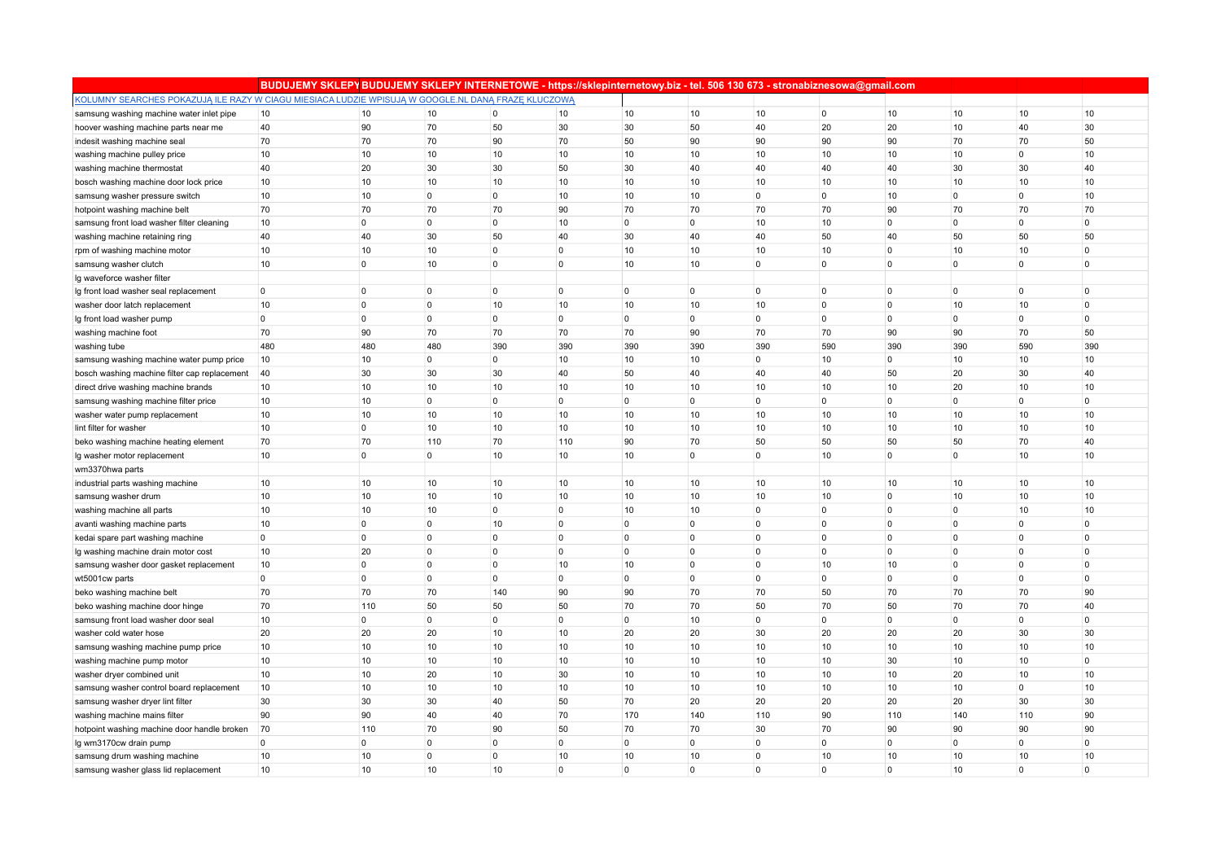|                                                                                                    | BUDUJEMY SKLEPY BUDUJEMY SKLEPY INTERNETOWE - https://sklepinternetowy.biz - tel. 506 130 673 - stronabiznesowa@gmail.com |                |                |                |                |             |             |                |                |             |                |                |                |
|----------------------------------------------------------------------------------------------------|---------------------------------------------------------------------------------------------------------------------------|----------------|----------------|----------------|----------------|-------------|-------------|----------------|----------------|-------------|----------------|----------------|----------------|
| KOLUMNY SEARCHES POKAZUJA ILE RAZY W CIAGU MIESIACA LUDZIE WPISUJA W GOOGLE.NL DANA FRAZE KLUCZOWA |                                                                                                                           |                |                |                |                |             |             |                |                |             |                |                |                |
| samsung washing machine water inlet pipe                                                           | 10                                                                                                                        | 10             | 10             | 0              | 10             | 10          | 10          | 10             | $\overline{0}$ | 10          | 10             | 10             | 10             |
| hoover washing machine parts near me                                                               | 40                                                                                                                        | 90             | 70             | 50             | 30             | 30          | 50          | 40             | 20             | 20          | 10             | 40             | 30             |
| indesit washing machine seal                                                                       | 70                                                                                                                        | 70             | 70             | 90             | 70             | 50          | 90          | 90             | 90             | 90          | 70             | 70             | 50             |
| washing machine pulley price                                                                       | 10                                                                                                                        | 10             | 10             | 10             | 10             | 10          | 10          | 10             | 10             | 10          | 10             | $\overline{0}$ | 10             |
| washing machine thermostat                                                                         | 40                                                                                                                        | 20             | 30             | 30             | 50             | 30          | 40          | 40             | 40             | 40          | 30             | 30             | 40             |
| bosch washing machine door lock price                                                              | 10                                                                                                                        | 10             | 10             | 10             | 10             | 10          | 10          | 10             | 10             | 10          | 10             | 10             | 10             |
| samsung washer pressure switch                                                                     | 10                                                                                                                        | 10             | $\overline{0}$ | $\mathbf 0$    | 10             | 10          | 10          | $\overline{0}$ | $\overline{0}$ | 10          | $\mathbf 0$    | $\mathbf 0$    | 10             |
| hotpoint washing machine belt                                                                      | 70                                                                                                                        | 70             | 70             | 70             | 90             | 70          | 70          | 70             | 70             | 90          | 70             | 70             | 70             |
| samsung front load washer filter cleaning                                                          | 10                                                                                                                        | $\overline{0}$ | $\overline{0}$ | 0              | 10             | $\mathbf 0$ | $\Omega$    | 10             | 10             | $\Omega$    | $\Omega$       | 0              | $\overline{0}$ |
| washing machine retaining ring                                                                     | 40                                                                                                                        | 40             | 30             | 50             | 40             | 30          | 40          | 40             | 50             | 40          | 50             | 50             | 50             |
| rpm of washing machine motor                                                                       | 10                                                                                                                        | 10             | 10             | $\overline{0}$ | $\mathbf 0$    | 10          | 10          | 10             | 10             | $\mathbf 0$ | 10             | 10             | $\overline{0}$ |
| samsung washer clutch                                                                              | 10                                                                                                                        | $\overline{0}$ | 10             | $\overline{0}$ | $\overline{0}$ | 10          | 10          | $\Omega$       | $\overline{0}$ | $\mathbf 0$ | $\mathbf 0$    | $\overline{0}$ | $\overline{0}$ |
| Ig waveforce washer filter                                                                         |                                                                                                                           |                |                |                |                |             |             |                |                |             |                |                |                |
| Ig front load washer seal replacement                                                              | $\overline{0}$                                                                                                            | $\overline{0}$ | $\overline{0}$ | 0              | 0              | 0           | $\Omega$    | $\Omega$       | $\mathbf 0$    | $\Omega$    | $\Omega$       | $\Omega$       | $\overline{0}$ |
| washer door latch replacement                                                                      | 10                                                                                                                        | $\overline{0}$ | $\overline{0}$ | 10             | 10             | 10          | 10          | 10             | $\Omega$       | $\Omega$    | 10             | 10             | $\overline{0}$ |
| Ig front load washer pump                                                                          | $\overline{0}$                                                                                                            | $\overline{0}$ | $\overline{0}$ | $\overline{0}$ | $\mathbf 0$    | 0           | $\mathbf 0$ | $\Omega$       | $\overline{0}$ | $\mathbf 0$ | $\Omega$       | $\overline{0}$ | $\overline{0}$ |
| washing machine foot                                                                               | 70                                                                                                                        | 90             | 70             | 70             | 70             | 70          | 90          | 70             | 70             | 90          | 90             | 70             | 50             |
| washing tube                                                                                       | 480                                                                                                                       | 480            | 480            | 390            | 390            | 390         | 390         | 390            | 590            | 390         | 390            | 590            | 390            |
| samsung washing machine water pump price                                                           | 10                                                                                                                        | 10             | $\overline{0}$ | $\overline{0}$ | 10             | 10          | 10          | $\overline{0}$ | 10             | 0           | 10             | 10             | 10             |
| bosch washing machine filter cap replacement                                                       | 40                                                                                                                        | 30             | 30             | 30             | 40             | 50          | 40          | 40             | 40             | 50          | 20             | 30             | 40             |
| direct drive washing machine brands                                                                | 10                                                                                                                        | 10             | 10             | 10             | 10             | 10          | 10          | 10             | 10             | 10          | 20             | 10             | 10             |
| samsung washing machine filter price                                                               | 10                                                                                                                        | 10             | $\overline{0}$ | $\overline{0}$ | 0              | 0           | 0           | $\Omega$       | $\overline{0}$ | 0           | 0              | 0              | $\overline{0}$ |
| washer water pump replacement                                                                      | 10                                                                                                                        | 10             | 10             | 10             | 10             | 10          | 10          | 10             | 10             | 10          | 10             | 10             | 10             |
| lint filter for washer                                                                             | 10                                                                                                                        | $\overline{0}$ | 10             | 10             | 10             | 10          | 10          | 10             | 10             | 10          | 10             | 10             | 10             |
| beko washing machine heating element                                                               | 70                                                                                                                        | 70             | 110            | 70             | 110            | 90          | 70          | 50             | 50             | 50          | 50             | 70             | 40             |
| Ig washer motor replacement                                                                        | 10                                                                                                                        | $\overline{0}$ | $\overline{0}$ | 10             | 10             | 10          | 0           | $\Omega$       | 10             | $\mathbf 0$ | $\Omega$       | 10             | 10             |
| wm3370hwa parts                                                                                    |                                                                                                                           |                |                |                |                |             |             |                |                |             |                |                |                |
| industrial parts washing machine                                                                   | 10                                                                                                                        | 10             | 10             | 10             | 10             | 10          | 10          | 10             | 10             | 10          | 10             | 10             | 10             |
| samsung washer drum                                                                                | 10                                                                                                                        | 10             | 10             | 10             | 10             | 10          | 10          | 10             | 10             | $\mathbf 0$ | 10             | 10             | 10             |
| washing machine all parts                                                                          | 10                                                                                                                        | 10             | 10             | $\overline{0}$ | $\overline{0}$ | 10          | 10          | $\Omega$       | $\overline{0}$ | $\mathbf 0$ | $\overline{0}$ | 10             | 10             |
| avanti washing machine parts                                                                       | 10                                                                                                                        | $\overline{0}$ | $\overline{0}$ | 10             | $\mathbf 0$    | $\mathbf 0$ | $\mathbf 0$ | $\Omega$       | $\overline{0}$ | $\Omega$    | $\Omega$       | $\overline{0}$ | $\overline{0}$ |
| kedai spare part washing machine                                                                   | $\overline{0}$                                                                                                            | $\overline{0}$ | $\overline{0}$ | $\overline{0}$ | $\overline{0}$ | $\mathbf 0$ | $\Omega$    | $\Omega$       | $\overline{0}$ | $\Omega$    | $\Omega$       | $\Omega$       | $\overline{0}$ |
| Ig washing machine drain motor cost                                                                | 10                                                                                                                        | 20             | $\overline{0}$ | $\overline{0}$ | $\mathbf 0$    | 0           | $\mathbf 0$ | $\Omega$       | $\overline{0}$ | $\mathbf 0$ | $\Omega$       | $\Omega$       | $\mathbf 0$    |
| samsung washer door gasket replacement                                                             | 10                                                                                                                        | 0              | $\overline{0}$ | 0              | 10             | 10          | $\mathbf 0$ | $\Omega$       | 10             | 10          | 0              | $\overline{0}$ | $\overline{0}$ |
| wt5001cw parts                                                                                     | $\overline{0}$                                                                                                            | $\overline{0}$ | 0              | $\mathbf 0$    | $\overline{0}$ | 0           | $\mathbf 0$ | $\Omega$       | $\overline{0}$ | $\Omega$    | 0              | 0              | $\overline{0}$ |
| beko washing machine belt                                                                          | 70                                                                                                                        | 70             | 70             | 140            | 90             | 90          | 70          | 70             | 50             | 70          | 70             | 70             | 90             |
| beko washing machine door hinge                                                                    | 70                                                                                                                        | 110            | 50             | 50             | 50             | 70          | 70          | 50             | 70             | 50          | 70             | 70             | 40             |
| samsung front load washer door seal                                                                | 10                                                                                                                        | $\overline{0}$ | $\overline{0}$ | $\mathbf 0$    | $\mathbf 0$    | 0           | 10          | $\Omega$       | $\overline{0}$ | $\Omega$    | $\Omega$       | $\overline{0}$ | $\mathbf 0$    |
| washer cold water hose                                                                             | 20                                                                                                                        | 20             | 20             | 10             | 10             | 20          | 20          | 30             | 20             | 20          | 20             | 30             | 30             |
| samsung washing machine pump price                                                                 | 10                                                                                                                        | 10             | 10             | 10             | 10             | 10          | 10          | 10             | 10             | 10          | 10             | 10             | 10             |
| washing machine pump motor                                                                         | 10                                                                                                                        | 10             | 10             | 10             | 10             | 10          | 10          | 10             | 10             | 30          | 10             | 10             | $\overline{0}$ |
| washer dryer combined unit                                                                         | 10                                                                                                                        | 10             | 20             | 10             | 30             | 10          | 10          | 10             | 10             | 10          | 20             | 10             | 10             |
| samsung washer control board replacement                                                           | 10                                                                                                                        | 10             | 10             | 10             | 10             | 10          | 10          | 10             | 10             | 10          | 10             | $\mathbf 0$    | 10             |
| samsung washer dryer lint filter                                                                   | 30                                                                                                                        | 30             | 30             | 40             | 50             | 70          | 20          | 20             | 20             | 20          | 20             | 30             | 30             |
| washing machine mains filter                                                                       | 90                                                                                                                        | 90             | 40             | 40             | 70             | 170         | 140         | 110            | 90             | 110         | 140            | 110            | 90             |
| hotpoint washing machine door handle broken                                                        | 70                                                                                                                        | 110            | 70             | 90             | 50             | 70          | 70          | 30             | 70             | 90          | 90             | 90             | 90             |
| Ig wm3170cw drain pump                                                                             | $\overline{0}$                                                                                                            | $\overline{0}$ | $\Omega$       | $\overline{0}$ | $\overline{0}$ | 0           | $\mathbf 0$ | $\Omega$       | $\overline{0}$ | $\Omega$    | $\Omega$       | 0              | $\overline{0}$ |
| samsung drum washing machine                                                                       | 10                                                                                                                        | 10             | $\Omega$       | $\overline{0}$ | 10             | 10          | 10          | $\Omega$       | 10             | 10          | 10             | 10             | 10             |
| samsung washer glass lid replacement                                                               | 10                                                                                                                        | 10             | 10             | 10             | $\mathbf 0$    | $\mathbf 0$ | $\Omega$    | $\Omega$       | $\Omega$       | $\Omega$    | 10             | $\Omega$       | $\overline{0}$ |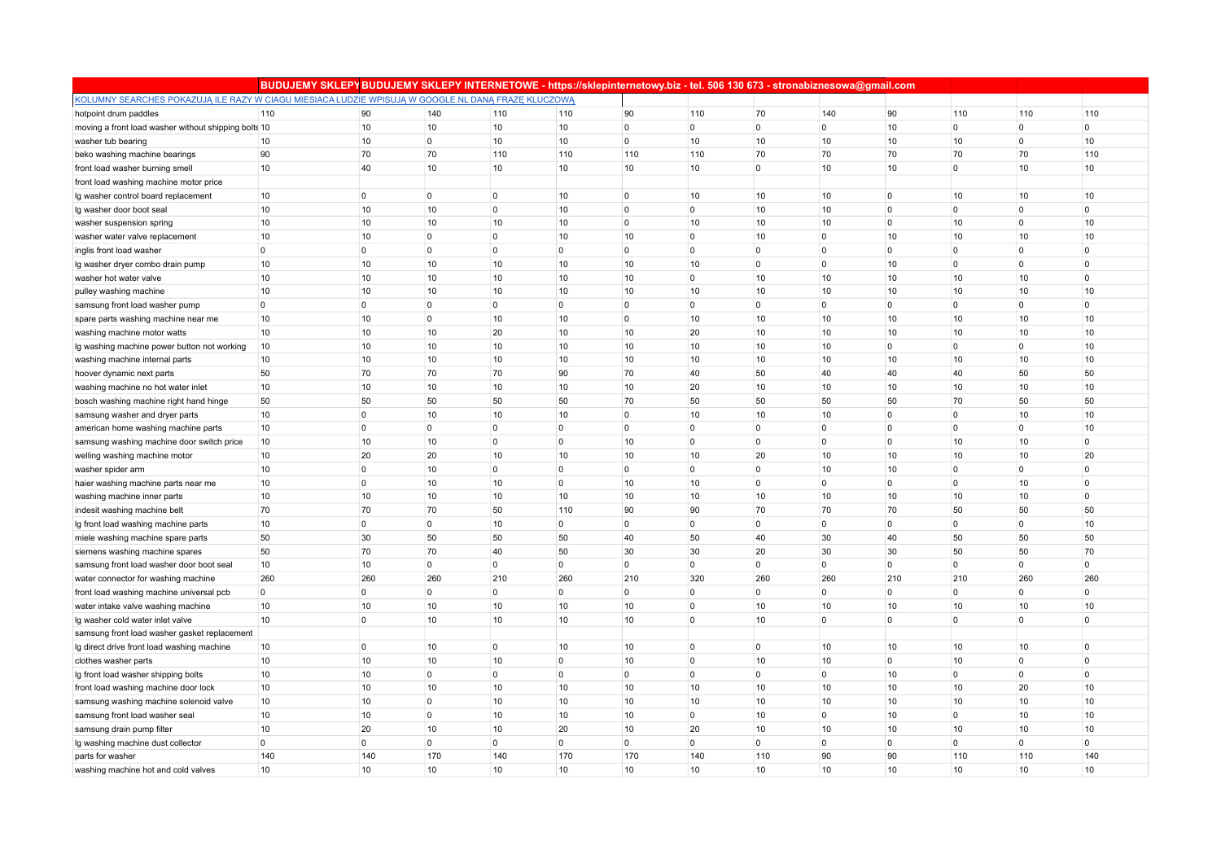|                                                                                                    | BUDUJEMY SKLEPYBUDUJEMY SKLEPY INTERNETOWE - https://sklepinternetowy.biz - tel. 506 130 673 - stronabiznesowa@gmail.com |                      |                      |                   |                    |             |                   |                      |                      |                      |                      |                      |                      |
|----------------------------------------------------------------------------------------------------|--------------------------------------------------------------------------------------------------------------------------|----------------------|----------------------|-------------------|--------------------|-------------|-------------------|----------------------|----------------------|----------------------|----------------------|----------------------|----------------------|
| KOLUMNY SEARCHES POKAZUJĄ ILE RAZY W CIAGU MIESIACA LUDZIE WPISUJĄ W GOOGLE.NL DANĄ FRAZE KLUCZOWĄ |                                                                                                                          |                      |                      |                   |                    |             |                   |                      |                      |                      |                      |                      |                      |
| hotpoint drum paddles                                                                              | 110                                                                                                                      | 90                   | 140                  | 110               | 110                | 90          | 110               | 70                   | 140                  | 90                   | 110                  | 110                  | 110                  |
| moving a front load washer without shipping bolts 10                                               |                                                                                                                          | 10                   | 10                   | 10                | 10                 | 0           | $\overline{0}$    | $\overline{0}$       | $\overline{0}$       | 10                   | $\mathbf 0$          | $\Omega$             | $\overline{0}$       |
| washer tub bearing                                                                                 | 10                                                                                                                       | 10                   | $\overline{0}$       | 10                | 10 <sup>1</sup>    | $\mathbf 0$ | 10                | 10                   | 10                   | 10 <sup>°</sup>      | 10                   | $\Omega$             | 10                   |
| beko washing machine bearings                                                                      | 90                                                                                                                       | 70                   | 70                   | 110               | 110                | 110         | 110               | 70                   | 70                   | 70                   | 70                   | 70                   | 110                  |
| front load washer burning smell                                                                    | 10                                                                                                                       | 40                   | 10                   | 10                | 10                 | 10          | 10                | $\overline{0}$       | 10                   | 10                   | 0                    | 10                   | 10                   |
| front load washing machine motor price                                                             |                                                                                                                          |                      |                      |                   |                    |             |                   |                      |                      |                      |                      |                      |                      |
| Ig washer control board replacement                                                                | 10                                                                                                                       | $\overline{0}$       | $\overline{0}$       | $\mathbf 0$       | 10 <sub>1</sub>    | $\mathbf 0$ | 10                | 10                   | 10                   | $\overline{0}$       | 10                   | 10                   | 10                   |
| Ig washer door boot seal                                                                           | 10                                                                                                                       | 10                   | 10                   | $\overline{0}$    | 10 <sup>1</sup>    | $\mathbf 0$ | $\mathbf 0$       | 10                   | 10                   | $\overline{0}$       | $\overline{0}$       | $\Omega$             | $\overline{0}$       |
| washer suspension spring                                                                           | 10                                                                                                                       | 10                   | 10                   | 10                | 10                 | $\mathbf 0$ | 10                | 10                   | 10                   | $\overline{0}$       | 10                   | $\Omega$             | 10                   |
| washer water valve replacement                                                                     | 10                                                                                                                       | 10                   | $\overline{0}$       | $\overline{0}$    | 10                 | 10          | $\mathbf 0$       | 10                   | $\overline{0}$       | 10                   | 10                   | 10                   | 10                   |
| inglis front load washer                                                                           | $\overline{0}$                                                                                                           | 0                    | $\overline{0}$       | $\mathbf 0$       | $\mathbf 0$        | 0           | $\mathbf 0$       | $\overline{0}$       | $\overline{0}$       | $\overline{0}$       | 0                    | $\overline{0}$       | $\overline{0}$       |
| Ig washer dryer combo drain pump                                                                   | 10                                                                                                                       | 10                   | 10                   | 10                | 10                 | 10          | 10                | $\Omega$             | $\overline{0}$       | 10                   | $\overline{0}$       | $\Omega$             | $\overline{0}$       |
| washer hot water valve                                                                             | 10                                                                                                                       | 10                   | 10                   | 10                | 10 <sup>1</sup>    | 10          | $\mathbf 0$       | 10                   | 10                   | 10                   | 10                   | 10                   | $\overline{0}$       |
| pulley washing machine                                                                             | 10                                                                                                                       | 10                   | 10                   | 10                | 10                 | 10          | 10                | 10                   | 10                   | 10                   | 10                   | 10                   | 10                   |
| samsung front load washer pump                                                                     | $\overline{0}$                                                                                                           | $\mathbf 0$          | $\overline{0}$       | $\overline{0}$    | 0                  | 0           | $\mathbf 0$       | $\Omega$             | $\overline{0}$       | $\overline{0}$       | $\mathbf{0}$         | $\Omega$             | $\overline{0}$       |
| spare parts washing machine near me                                                                | 10                                                                                                                       | 10                   | 0                    | 10                | 10                 | 0           | 10                | 10                   | 10                   | 10                   | 10                   | 10                   | 10                   |
| washing machine motor watts                                                                        | 10                                                                                                                       | 10                   | 10                   | 20                | 10                 | 10          | 20                | 10                   | 10                   | 10                   | 10                   | 10                   | 10                   |
| lg washing machine power button not working                                                        | 10                                                                                                                       | 10                   | 10                   | 10                | 10                 | 10          | 10                | 10                   | 10                   | $\overline{0}$       | $\mathbf 0$          | $\overline{0}$       | 10                   |
| washing machine internal parts                                                                     | 10                                                                                                                       | 10                   | 10                   | 10                | 10 <sub>1</sub>    | 10          | 10                | 10                   | 10                   | 10                   | 10                   | 10                   | 10                   |
| hoover dynamic next parts                                                                          | 50                                                                                                                       | 70                   | 70                   | 70                | 90                 | 70          | 40                | 50                   | 40                   | 40                   | 40                   | 50                   | 50                   |
| washing machine no hot water inlet                                                                 | 10                                                                                                                       | 10                   | 10                   | 10                | 10                 | $10$        | 20                | 10                   | 10                   | 10                   | 10                   | 10                   | 10                   |
| bosch washing machine right hand hinge                                                             | 50                                                                                                                       | 50                   | 50                   | 50                | 50                 | 70          | 50                | 50                   | 50                   | 50                   | 70                   | 50                   | 50                   |
| samsung washer and dryer parts                                                                     | 10                                                                                                                       | 0                    | 10                   | 10                | 10                 | 0           | 10                | 10                   | 10                   | $\overline{0}$       | 0                    | 10                   | 10                   |
| american home washing machine parts                                                                | 10                                                                                                                       | $\overline{0}$       | $\overline{0}$       | $\mathbf 0$       | $\mathbf 0$        | 0           | $\mathbf 0$       | $\overline{0}$       | $\overline{0}$       | $\overline{0}$       | 0                    | $\overline{0}$       | 10                   |
| samsung washing machine door switch price                                                          | 10                                                                                                                       | 10                   | 10                   | 0                 | $\Omega$           | 10          | $\overline{0}$    | $\Omega$             | $\overline{0}$       | $\overline{0}$       | 10                   | 10                   | $\overline{0}$       |
| welling washing machine motor                                                                      | 10                                                                                                                       | 20                   | 20                   | 10                | 10                 | 10          | 10                | 20                   | 10                   | 10                   | 10                   | 10                   | 20                   |
| washer spider arm                                                                                  | 10                                                                                                                       | $\overline{0}$       | 10                   | $\overline{0}$    | 0                  | 0           | $\overline{0}$    | $\Omega$             | 10                   | 10                   | $\mathbf{0}$         | $\Omega$             | $\overline{0}$       |
| haier washing machine parts near me                                                                | 10                                                                                                                       | $\mathbf 0$          | 10                   | 10                | 0                  | 10          | 10                | $\Omega$             | $\overline{0}$       | $\overline{0}$       | $\mathbf{0}$         | 10                   | $\overline{0}$       |
| washing machine inner parts                                                                        | 10                                                                                                                       | 10                   | 10                   | 10                | 10                 | 10          | 10                | 10                   | 10                   | 10                   | 10                   | 10                   | $\overline{0}$       |
| indesit washing machine belt                                                                       | 70                                                                                                                       | 70                   | 70                   | 50                | 110                | 90          | 90                | 70                   | 70                   | 70                   | 50                   | 50                   | 50                   |
| Ig front load washing machine parts                                                                | 10                                                                                                                       | $\overline{0}$       | $\overline{0}$       | 10                | $\mathbf 0$        | $\mathbf 0$ | $\overline{0}$    | $\Omega$             | $\overline{0}$       | $\overline{0}$       | $\mathbf 0$          | $\overline{0}$       | 10                   |
| miele washing machine spare parts                                                                  | 50                                                                                                                       | 30                   | 50                   | 50                | 50                 | 40          | 50                | 40                   | 30                   | 40                   | 50                   | 50                   | 50                   |
| siemens washing machine spares                                                                     | 50                                                                                                                       | 70                   | 70                   | 40                | 50                 | 30          | 30                | 20                   | 30                   | 30                   | 50                   | 50                   | 70                   |
| samsung front load washer door boot seal                                                           | 10                                                                                                                       | 10                   | $\overline{0}$       | $\Omega$          | $\Omega$           | $\mathbf 0$ | $\overline{0}$    | $\Omega$             | $\overline{0}$       | $\overline{0}$       | 0                    | $\Omega$             | $\overline{0}$       |
| water connector for washing machine                                                                | 260                                                                                                                      | 260                  | 260                  | 210               | 260                | 210         | 320               | 260                  | 260                  | 210                  | 210                  | 260                  | 260                  |
| front load washing machine universal pcb                                                           | $\overline{0}$                                                                                                           | 0                    | $\mathbf 0$          | $\overline{0}$    | $\mathbf 0$        | 0           | $\mathbf 0$       | $\overline{0}$       | $\overline{0}$       | $\overline{0}$       | 0                    | $\Omega$             | $\overline{0}$       |
| water intake valve washing machine                                                                 | 10                                                                                                                       | 10                   | 10                   | 10                | 10                 | 10          | $\mathbf 0$       | 10<br>10             | 10                   | 10                   | 10                   | 10<br>$\Omega$       | 10<br>$\overline{0}$ |
| Ig washer cold water inlet valve                                                                   | 10                                                                                                                       | $\overline{0}$       | 10                   | 10                | 10 <sub>1</sub>    | 10          | $\overline{0}$    |                      | $\overline{0}$       | $\overline{0}$       | $\mathbf 0$          |                      |                      |
| samsung front load washer gasket replacement                                                       |                                                                                                                          |                      |                      |                   |                    |             |                   |                      |                      |                      |                      |                      |                      |
| Ig direct drive front load washing machine                                                         | 10                                                                                                                       | $\overline{0}$       | 10                   | $\mathbf 0$       | 10                 | 10          | $\mathbf 0$       | $\overline{0}$       | 10                   | 10                   | 10                   | 10<br>$\Omega$       | $\overline{0}$       |
| clothes washer parts                                                                               | 10                                                                                                                       | 10                   | 10                   | 10                | 0                  | 10          | $\mathbf 0$       | 10                   | 10                   | $\overline{0}$       | 10                   |                      | $\overline{0}$       |
| Ig front load washer shipping bolts                                                                | 10<br>10                                                                                                                 | 10<br>10             | $\overline{0}$<br>10 | $\mathbf 0$<br>10 | 0<br>10            | 0<br>10     | $\mathbf 0$<br>10 | $\overline{0}$<br>10 | $\overline{0}$<br>10 | 10<br>10             | 0<br>10              | $\overline{0}$<br>20 | $\overline{0}$<br>10 |
| front load washing machine door lock                                                               | 10                                                                                                                       | 10                   | $\overline{0}$       | 10                | 10                 | 10          | 10                | 10                   | 10                   | 10                   | 10                   | 10                   | 10                   |
| samsung washing machine solenoid valve                                                             | 10                                                                                                                       | 10                   | $\overline{0}$       | 10                | 10                 | 10          | $\overline{0}$    | 10                   | $\overline{0}$       | 10                   | $\mathbf 0$          | 10                   | 10                   |
| samsung front load washer seal                                                                     |                                                                                                                          |                      |                      |                   |                    | 10          |                   |                      |                      |                      |                      |                      | 10                   |
| samsung drain pump filter                                                                          | 10<br>$\overline{0}$                                                                                                     | 20<br>$\overline{0}$ | 10<br>0              | 10<br>$\Omega$    | 20<br>$\mathbf{0}$ | $\mathbf 0$ | 20<br>$\Omega$    | 10<br>$\Omega$       | 10<br>$\overline{0}$ | 10<br>$\overline{0}$ | 10<br>$\overline{0}$ | 10<br>$\Omega$       | $\overline{0}$       |
| Ig washing machine dust collector<br>parts for washer                                              | 140                                                                                                                      | 140                  | 170                  | 140               | 170                | 170         | 140               | 110                  | 90                   | 90                   | 110                  | 110                  | 140                  |
|                                                                                                    | 10                                                                                                                       | 10                   | 10                   | 10                | 10 <sup>1</sup>    | 10          | 10                | 10                   | 10                   | 10 <sup>°</sup>      | 10                   | 10                   | 10                   |
| washing machine hot and cold valves                                                                |                                                                                                                          |                      |                      |                   |                    |             |                   |                      |                      |                      |                      |                      |                      |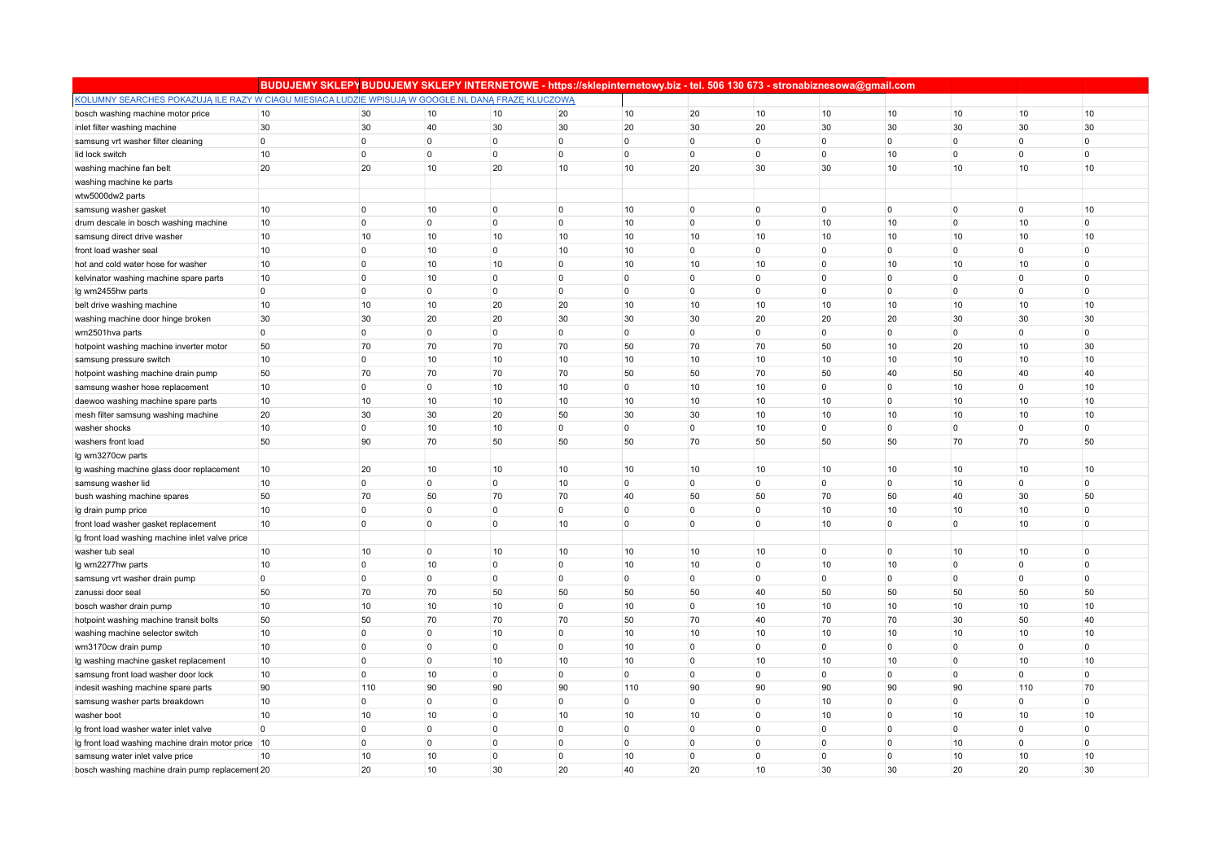|                                                                                                    | BUDUJEMY SKLEPYBUDUJEMY SKLEPY INTERNETOWE - https://sklepinternetowy.biz - tel. 506 130 673 - stronabiznesowa@gmail.com |                |                |                |                 |             |                |                |                |                |             |                |              |
|----------------------------------------------------------------------------------------------------|--------------------------------------------------------------------------------------------------------------------------|----------------|----------------|----------------|-----------------|-------------|----------------|----------------|----------------|----------------|-------------|----------------|--------------|
| KOLUMNY SEARCHES POKAZUJA ILE RAZY W CIAGU MIESIACA LUDZIE WPISUJA W GOOGLE.NL DANA FRAZE KLUCZOWA |                                                                                                                          |                |                |                |                 |             |                |                |                |                |             |                |              |
| bosch washing machine motor price                                                                  | 10                                                                                                                       | 30             | 10             | 10             | 20              | 10          | 20             | 10             | 10             | 10             | 10          | 10             | 10           |
| inlet filter washing machine                                                                       | 30                                                                                                                       | 30             | 40             | 30             | 30              | 20          | 30             | 20             | 30             | 30             | 30          | 30             | 30           |
| samsung vrt washer filter cleaning                                                                 | 0                                                                                                                        | 0              | $\overline{0}$ | 0              | 0               | $\mathbf 0$ | $\mathbf 0$    | $\overline{0}$ | $\mathbf 0$    | $\overline{0}$ | 0           | $\Omega$       | $\mathbf 0$  |
| lid lock switch                                                                                    | 10                                                                                                                       | $\overline{0}$ | $\overline{0}$ | $\overline{0}$ | 0               | $\mathbf 0$ | $\overline{0}$ | $\Omega$       | $\overline{0}$ | 10             | $\Omega$    | $\Omega$       | $\mathbf{0}$ |
| washing machine fan belt                                                                           | 20                                                                                                                       | 20             | 10             | 20             | 10              | 10          | 20             | 30             | 30             | 10             | 10          | 10             | 10           |
| washing machine ke parts                                                                           |                                                                                                                          |                |                |                |                 |             |                |                |                |                |             |                |              |
| wtw5000dw2 parts                                                                                   |                                                                                                                          |                |                |                |                 |             |                |                |                |                |             |                |              |
| samsung washer gasket                                                                              | 10                                                                                                                       | $\overline{0}$ | 10             | $\overline{0}$ | $\overline{0}$  | 10          | $\overline{0}$ | $\overline{0}$ | $\overline{0}$ | $\overline{0}$ | 0           | 0              | 10           |
| drum descale in bosch washing machine                                                              | 10                                                                                                                       | $\overline{0}$ | $\overline{0}$ | $\overline{0}$ | $\mathbf 0$     | 10          | $\mathbf 0$    | $\overline{0}$ | 10             | 10             | $\Omega$    | 10             | $\mathbf 0$  |
| samsung direct drive washer                                                                        | 10                                                                                                                       | 10             | 10             | 10             | 10              | 10          | 10             | 10             | 10             | 10             | 10          | 10             | 10           |
| front load washer seal                                                                             | 10                                                                                                                       | 0              | 10             | $\mathbf 0$    | 10              | 10          | $\mathbf 0$    | $\overline{0}$ | $\mathbf 0$    | $\overline{0}$ | 0           | 0              | $\mathbf 0$  |
| hot and cold water hose for washer                                                                 | 10                                                                                                                       | 0              | 10             | 10             | $\mathbf 0$     | 10          | 10             | 10             | $\mathbf 0$    | 10             | 10          | 10             | $\mathbf 0$  |
| kelvinator washing machine spare parts                                                             | 10                                                                                                                       | 0              | 10             | 0              | $\Omega$        | $\mathbf 0$ | $\mathbf 0$    | $\overline{0}$ | $\mathbf 0$    | $\overline{0}$ | $\Omega$    | 0              | $\mathbf 0$  |
| lg wm2455hw parts                                                                                  | $\overline{0}$                                                                                                           | $\overline{0}$ | $\overline{0}$ | $\overline{0}$ | $\Omega$        | $\mathbf 0$ | $\overline{0}$ | $\Omega$       | $\overline{0}$ | $\overline{0}$ | $\Omega$    | $\Omega$       | $\mathbf{0}$ |
| belt drive washing machine                                                                         | 10                                                                                                                       | 10             | 10             | 20             | 20              | 10          | 10             | 10             | 10             | 10             | 10          | 10             | 10           |
| washing machine door hinge broken                                                                  | 30                                                                                                                       | 30             | 20             | 20             | 30              | 30          | 30             | 20             | 20             | 20             | 30          | 30             | 30           |
| wm2501hva parts                                                                                    | 0                                                                                                                        | 0              | $\overline{0}$ | $\overline{0}$ | $\mathbf 0$     | $\mathbf 0$ | $\mathbf 0$    | $\overline{0}$ | $\mathbf 0$    | $\overline{0}$ | 0           | 0              | $\mathbf 0$  |
| hotpoint washing machine inverter motor                                                            | 50                                                                                                                       | 70             | 70             | 70             | 70              | 50          | 70             | 70             | 50             | $10$           | 20          | 10             | 30           |
| samsung pressure switch                                                                            | 10                                                                                                                       | $\overline{0}$ | 10             | 10             | 10              | 10          | 10             | 10             | 10             | 10             | 10          | 10             | 10           |
| hotpoint washing machine drain pump                                                                | 50                                                                                                                       | 70             | 70             | 70             | 70              | 50          | 50             | 70             | 50             | 40             | 50          | 40             | 40           |
| samsung washer hose replacement                                                                    | 10                                                                                                                       | $\overline{0}$ | $\overline{0}$ | 10             | 10              | $\mathbf 0$ | 10             | 10             | $\mathbf 0$    | $\overline{0}$ | 10          | 0              | 10           |
| daewoo washing machine spare parts                                                                 | 10                                                                                                                       | 10             | 10             | 10             | 10              | 10          | 10             | 10             | 10             | $\overline{0}$ | 10          | 10             | 10           |
| mesh filter samsung washing machine                                                                | 20                                                                                                                       | 30             | 30             | 20             | 50              | 30          | 30             | 10             | 10             | 10             | 10          | 10             | 10           |
| washer shocks                                                                                      | 10                                                                                                                       | $\overline{0}$ | 10             | 10             | $\mathbf 0$     | $\mathbf 0$ | $\overline{0}$ | 10             | $\mathbf 0$    | $\overline{0}$ | $\Omega$    | 0              | $\mathbf{0}$ |
| washers front load                                                                                 | 50                                                                                                                       | 90             | 70             | 50             | 50              | 50          | 70             | 50             | 50             | 50             | 70          | 70             | 50           |
| Ig wm3270cw parts                                                                                  |                                                                                                                          |                |                |                |                 |             |                |                |                |                |             |                |              |
| Ig washing machine glass door replacement                                                          | 10                                                                                                                       | 20             | 10             | 10             | 10 <sub>1</sub> | 10          | 10             | 10             | 10             | 10             | 10          | 10             | 10           |
| samsung washer lid                                                                                 | 10                                                                                                                       | $\overline{0}$ | $\overline{0}$ | $\overline{0}$ | 10 <sup>1</sup> | $\mathbf 0$ | $\overline{0}$ | $\overline{0}$ | $\overline{0}$ | $\overline{0}$ | 10          | $\Omega$       | $\mathbf{0}$ |
| bush washing machine spares                                                                        | 50                                                                                                                       | 70             | 50             | 70             | 70              | 40          | 50             | 50             | 70             | 50             | 40          | 30             | 50           |
| Ig drain pump price                                                                                | 10                                                                                                                       | $\overline{0}$ | $\overline{0}$ | $\overline{0}$ | $\mathbf 0$     | $\mathbf 0$ | $\mathbf 0$    | $\overline{0}$ | 10             | 10             | 10          | 10             | $\mathbf 0$  |
| front load washer gasket replacement                                                               | 10                                                                                                                       | $\overline{0}$ | $\overline{0}$ | $\overline{0}$ | 10 <sub>1</sub> | $\mathbf 0$ | $\mathbf 0$    | $\overline{0}$ | 10             | $\overline{0}$ | 0           | 10             | $\mathbf 0$  |
| Ig front load washing machine inlet valve price                                                    |                                                                                                                          |                |                |                |                 |             |                |                |                |                |             |                |              |
| washer tub seal                                                                                    | 10                                                                                                                       | 10             | $\overline{0}$ | 10             | 10              | 10          | 10             | 10             | $\overline{0}$ | $\overline{0}$ | 10          | 10             | $\mathbf{0}$ |
| Ig wm2277hw parts                                                                                  | 10                                                                                                                       | $\overline{0}$ | 10             | $\overline{0}$ | $\mathbf 0$     | 10          | 10             | $\overline{0}$ | 10             | 10             | $\mathbf 0$ | $\overline{0}$ | $\mathbf 0$  |
| samsung vrt washer drain pump                                                                      | $\mathbf{0}$                                                                                                             | $\overline{0}$ | $\overline{0}$ | $\overline{0}$ | $\mathbf 0$     | $\mathbf 0$ | $\mathbf 0$    | $\overline{0}$ | $\mathbf 0$    | $\overline{0}$ | $\Omega$    | $\Omega$       | $\mathbf 0$  |
| zanussi door seal                                                                                  | 50                                                                                                                       | 70             | 70             | 50             | 50              | 50          | 50             | 40             | 50             | 50             | 50          | 50             | 50           |
| bosch washer drain pump                                                                            | 10                                                                                                                       | 10             | 10             | 10             | 0               | 10          | $\overline{0}$ | 10             | 10             | 10             | 10          | 10             | 10           |
| hotpoint washing machine transit bolts                                                             | 50                                                                                                                       | 50             | 70             | 70             | 70              | 50          | 70             | 40             | 70             | 70             | 30          | 50             | 40           |
| washing machine selector switch                                                                    | 10                                                                                                                       | $\overline{0}$ | $\overline{0}$ | 10             | $\Omega$        | 10          | 10             | 10             | 10             | 10             | 10          | 10             | 10           |
| wm3170cw drain pump                                                                                | 10                                                                                                                       | $\overline{0}$ | $\overline{0}$ | $\overline{0}$ | $\mathbf 0$     | 10          | $\mathbf 0$    | $\overline{0}$ | $\mathbf 0$    | $\overline{0}$ | $\Omega$    | $\Omega$       | $\mathbf 0$  |
| Ig washing machine gasket replacement                                                              | 10                                                                                                                       | $\overline{0}$ | $\overline{0}$ | 10             | 10              | 10          | $\mathbf 0$    | 10             | 10             | 10             | $\Omega$    | 10             | 10           |
| samsung front load washer door lock                                                                | 10                                                                                                                       | 0              | 10             | $\overline{0}$ | $\Omega$        | $\mathbf 0$ | $\overline{0}$ | $\Omega$       | $\overline{0}$ | $\overline{0}$ | $\Omega$    | $\Omega$       | $\mathbf{0}$ |
| indesit washing machine spare parts                                                                | 90                                                                                                                       | 110            | 90             | 90             | 90              | 110         | 90             | 90             | 90             | 90             | 90          | 110            | 70           |
| samsung washer parts breakdown                                                                     | 10                                                                                                                       | $\overline{0}$ | $\overline{0}$ | $\overline{0}$ | $\mathbf 0$     | $\mathbf 0$ | $\overline{0}$ | $\overline{0}$ | 10             | $\overline{0}$ | $\mathbf 0$ | $\mathbf 0$    | $\mathbf 0$  |
| washer boot                                                                                        | 10                                                                                                                       | 10             | 10             | $\mathbf 0$    | 10              | 10          | 10             | $\overline{0}$ | 10             | $\overline{0}$ | 10          | 10             | 10           |
| Ig front load washer water inlet valve                                                             | $\mathbf 0$                                                                                                              | $\overline{0}$ | $\overline{0}$ | $\overline{0}$ | $\mathbf 0$     | $\mathbf 0$ | $\mathbf 0$    | $\overline{0}$ | $\mathbf 0$    | $\overline{0}$ | $\mathbf 0$ | 0              | $\mathbf 0$  |
| Ig front load washing machine drain motor price 10                                                 |                                                                                                                          | $\overline{0}$ | $\overline{0}$ | 0              | 0               | $\mathbf 0$ | $\overline{0}$ | $\overline{0}$ | $\overline{0}$ | $\overline{0}$ | 10          | $\Omega$       | $\mathbf{0}$ |
| samsung water inlet valve price                                                                    | 10                                                                                                                       | 10             | 10             | $\overline{0}$ | 0               | 10          | $\Omega$       | $\Omega$       | $\mathbf{0}$   | $\Omega$       | 10          | 10             | 10           |
| bosch washing machine drain pump replacement 20                                                    |                                                                                                                          | 20             | 10             | 30             | 20              | 40          | 20             | 10             | 30             | 30             | 20          | 20             | 30           |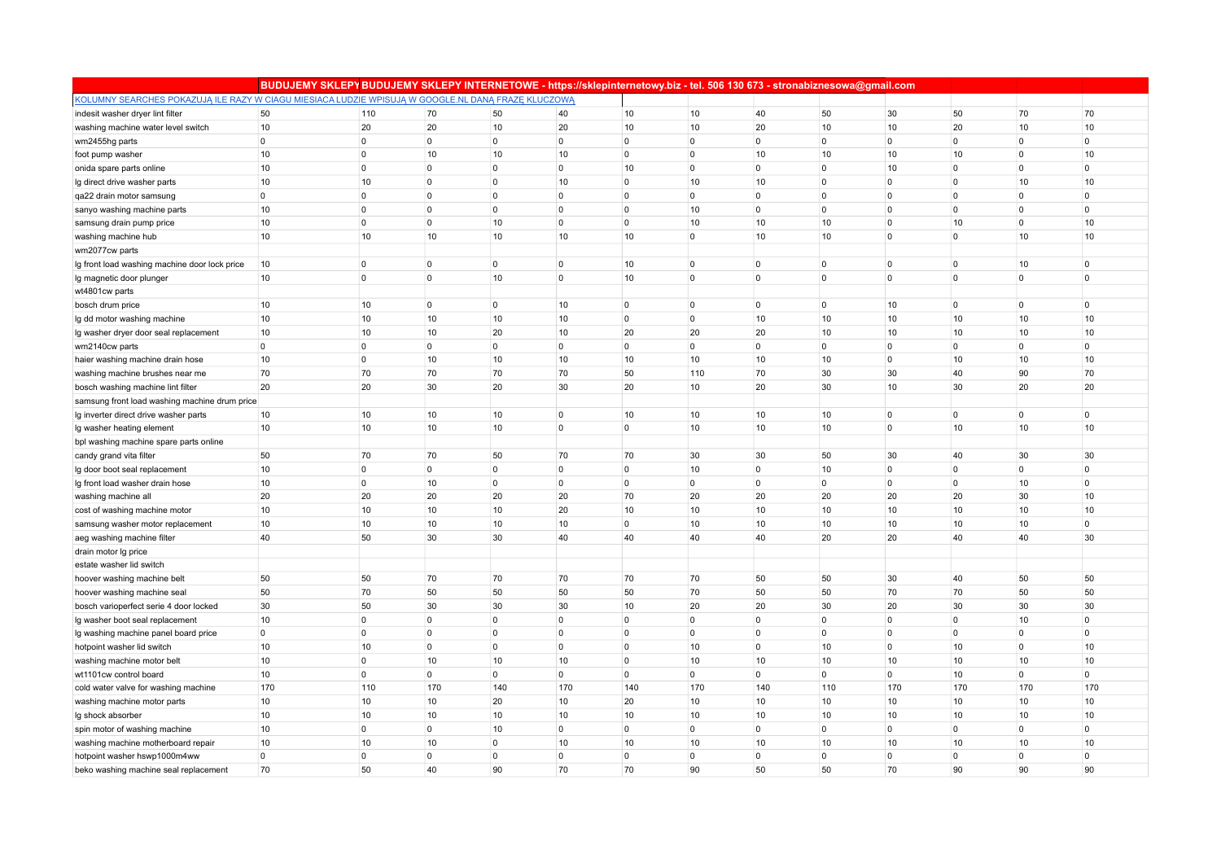|                                                                                                    | BUDUJEMY SKLEPY BUDUJEMY SKLEPY INTERNETOWE - https://sklepinternetowy.biz - tel. 506 130 673 - stronabiznesowa@gmail.com |                |                |                |                |             |                |                |                |                |                |                |                |
|----------------------------------------------------------------------------------------------------|---------------------------------------------------------------------------------------------------------------------------|----------------|----------------|----------------|----------------|-------------|----------------|----------------|----------------|----------------|----------------|----------------|----------------|
| KOLUMNY SEARCHES POKAZUJA ILE RAZY W CIAGU MIESIACA LUDZIE WPISUJA W GOOGLE.NL DANA FRAZE KLUCZOWA |                                                                                                                           |                |                |                |                |             |                |                |                |                |                |                |                |
| indesit washer dryer lint filter                                                                   | 50                                                                                                                        | 110            | 70             | 50             | 40             | 10          | 10             | 40             | 50             | 30             | 50             | 70             | 70             |
| washing machine water level switch                                                                 | 10                                                                                                                        | 20             | 20             | 10             | 20             | 10          | 10             | 20             | 10             | 10             | 20             | 10             | 10             |
| wm2455hg parts                                                                                     | $\mathbf 0$                                                                                                               | 0              | $\circ$        | $\overline{0}$ | $\mathbf 0$    | 0           | $\Omega$       | $\Omega$       | $\overline{0}$ | $\overline{0}$ | 0              | $\overline{0}$ | $\overline{0}$ |
| foot pump washer                                                                                   | 10                                                                                                                        | $\overline{0}$ | 10             | 10             | 10             | $\mathbf 0$ | $\mathbf 0$    | 10             | 10             | 10             | 10             | $\Omega$       | 10             |
| onida spare parts online                                                                           | 10                                                                                                                        | $\mathbf 0$    | $\overline{0}$ | $\overline{0}$ | $\overline{0}$ | 10          | $\mathbf 0$    | $\overline{0}$ | $\overline{0}$ | 10             | $\mathbf 0$    | $\overline{0}$ | $\overline{0}$ |
| Ig direct drive washer parts                                                                       | 10                                                                                                                        | 10             | $\mathbf 0$    | $\overline{0}$ | 10             | $\mathbf 0$ | 10             | 10             | $\overline{0}$ | $\overline{0}$ | $\overline{0}$ | 10             | 10             |
| qa22 drain motor samsung                                                                           | $\mathbf 0$                                                                                                               | $\mathbf 0$    | $\mathbf 0$    | $\overline{0}$ | $\mathbf 0$    | 0           | $\overline{0}$ | $\overline{0}$ | $\overline{0}$ | $\overline{0}$ | $\overline{0}$ | $\overline{0}$ | $\overline{0}$ |
| sanyo washing machine parts                                                                        | 10                                                                                                                        | $\mathbf 0$    | $\mathbf 0$    | $\overline{0}$ | $\mathbf 0$    | 0           | 10             | $\Omega$       | $\overline{0}$ | $\overline{0}$ | $\overline{0}$ | $\Omega$       | $\overline{0}$ |
| samsung drain pump price                                                                           | 10                                                                                                                        | $\overline{0}$ | $\overline{0}$ | 10             | $\overline{0}$ | $\mathbf 0$ | 10             | 10             | 10             | $\Omega$       | 10             | $\Omega$       | 10             |
| washing machine hub                                                                                | 10                                                                                                                        | 10             | 10             | 10             | 10             | 10          | $\mathbf 0$    | 10             | 10             | $\overline{0}$ | $\overline{0}$ | 10             | 10             |
| wm2077cw parts                                                                                     |                                                                                                                           |                |                |                |                |             |                |                |                |                |                |                |                |
| Ig front load washing machine door lock price                                                      | 10                                                                                                                        | $\overline{0}$ | $\mathbf 0$    | $\mathbf 0$    | $\mathbf 0$    | 10          | $\mathbf 0$    | $\overline{0}$ | $\overline{0}$ | $\overline{0}$ | $\overline{0}$ | 10             | $\overline{0}$ |
| Ig magnetic door plunger                                                                           | 10                                                                                                                        | $\overline{0}$ | 0              | 10             | $\overline{0}$ | 10          | $\mathbf 0$    | $\overline{0}$ | $\overline{0}$ | $\overline{0}$ | $\overline{0}$ | $\overline{0}$ | $\overline{0}$ |
| wt4801cw parts                                                                                     |                                                                                                                           |                |                |                |                |             |                |                |                |                |                |                |                |
| bosch drum price                                                                                   | 10                                                                                                                        | 10             | 0              | $\overline{0}$ | 10             | 0           | $\mathbf 0$    | $\Omega$       | $\overline{0}$ | 10             | $\mathbf{0}$   | $\Omega$       | $\overline{0}$ |
| Ig dd motor washing machine                                                                        | 10                                                                                                                        | 10             | 10             | 10             | 10             | 0           | $\mathbf 0$    | 10             | 10             | 10             | 10             | 10             | 10             |
| Ig washer dryer door seal replacement                                                              | 10                                                                                                                        | 10             | 10             | 20             | 10             | 20          | 20             | 20             | 10             | 10             | 10             | 10             | 10             |
| wm2140cw parts                                                                                     | $\overline{0}$                                                                                                            | $\overline{0}$ | $\overline{0}$ | $\overline{0}$ | $\overline{0}$ | $\mathbf 0$ | $\mathbf 0$    | $\Omega$       | $\overline{0}$ | $\overline{0}$ | $\mathbf 0$    | $\overline{0}$ | $\overline{0}$ |
| haier washing machine drain hose                                                                   | 10                                                                                                                        | $\overline{0}$ | 10             | 10             | 10             | 10          | 10             | 10             | 10             | $\overline{0}$ | 10             | 10             | 10             |
| washing machine brushes near me                                                                    | 70                                                                                                                        | 70             | 70             | 70             | 70             | 50          | 110            | 70             | 30             | 30             | 40             | 90             | 70             |
| bosch washing machine lint filter                                                                  | 20                                                                                                                        | 20             | 30             | 20             | 30             | 20          | 10             | 20             | 30             | 10             | 30             | 20             | 20             |
| samsung front load washing machine drum price                                                      |                                                                                                                           |                |                |                |                |             |                |                |                |                |                |                |                |
| Ig inverter direct drive washer parts                                                              | 10                                                                                                                        | 10             | 10             | 10             | $\overline{0}$ | 10          | 10             | 10             | 10             | $\overline{0}$ | $\overline{0}$ | $\mathbf 0$    | $\overline{0}$ |
| Ig washer heating element                                                                          | 10                                                                                                                        | 10             | 10             | 10             | $\mathbf 0$    | $\mathbf 0$ | 10             | 10             | 10             | $\overline{0}$ | 10             | 10             | 10             |
| bpl washing machine spare parts online                                                             |                                                                                                                           |                |                |                |                |             |                |                |                |                |                |                |                |
| candy grand vita filter                                                                            | 50                                                                                                                        | 70             | 70             | 50             | 70             | 70          | 30             | 30             | 50             | 30             | 40             | 30             | 30             |
| Ig door boot seal replacement                                                                      | 10                                                                                                                        | $\mathbf 0$    | $\mathbf 0$    | 0              | $\mathbf 0$    | 0           | 10             | $\Omega$       | 10             | $\overline{0}$ | 0              | $\Omega$       | $\overline{0}$ |
| Ig front load washer drain hose                                                                    | 10                                                                                                                        | $\overline{0}$ | 10             | $\overline{0}$ | $\mathbf 0$    | $\mathbf 0$ | $\overline{0}$ | $\Omega$       | $\overline{0}$ | $\overline{0}$ | $\mathbf 0$    | 10             | $\overline{0}$ |
| washing machine all                                                                                | 20                                                                                                                        | 20             | 20             | 20             | 20             | 70          | 20             | 20             | 20             | 20             | 20             | 30             | 10             |
| cost of washing machine motor                                                                      | 10                                                                                                                        | 10             | 10             | 10             | 20             | 10          | 10             | 10             | 10             | 10             | 10             | 10             | 10             |
| samsung washer motor replacement                                                                   | 10                                                                                                                        | 10             | 10             | 10             | 10             | 0           | 10             | 10             | 10             | 10             | 10             | 10             | $\overline{0}$ |
| aeg washing machine filter                                                                         | 40                                                                                                                        | 50             | 30             | 30             | 40             | 40          | 40             | 40             | 20             | 20             | 40             | 40             | 30             |
| drain motor lg price                                                                               |                                                                                                                           |                |                |                |                |             |                |                |                |                |                |                |                |
| estate washer lid switch                                                                           |                                                                                                                           |                |                |                |                |             |                |                |                |                |                |                |                |
| hoover washing machine belt                                                                        | 50                                                                                                                        | 50             | 70             | 70             | 70             | 70          | 70             | 50             | 50             | 30             | 40             | 50             | 50             |
| hoover washing machine seal                                                                        | 50                                                                                                                        | 70             | 50             | 50             | 50             | 50          | 70             | 50             | 50             | 70             | 70             | 50             | 50             |
| bosch varioperfect serie 4 door locked                                                             | 30                                                                                                                        | 50             | 30             | 30             | 30             | 10          | 20             | 20             | 30             | 20             | 30             | 30             | 30             |
| Ig washer boot seal replacement                                                                    | 10                                                                                                                        | $\mathbf 0$    | $\overline{0}$ | $\overline{0}$ | $\mathbf 0$    | 0           | $\mathbf 0$    | $\Omega$       | $\overline{0}$ | $\overline{0}$ | $\mathbf{0}$   | 10             | $\overline{0}$ |
| Ig washing machine panel board price                                                               | $\mathbf 0$                                                                                                               | $\mathbf 0$    | $\overline{0}$ | $\overline{0}$ | $\mathbf 0$    | $\mathbf 0$ | $\mathbf 0$    | $\Omega$       | $\overline{0}$ | $\overline{0}$ | $\mathbf{0}$   | $\Omega$       | $\overline{0}$ |
| hotpoint washer lid switch                                                                         | 10                                                                                                                        | 10             | $\mathbf 0$    | $\overline{0}$ | $\mathbf 0$    | 0           | 10             | $\overline{0}$ | 10             | $\overline{0}$ | 10             | $\Omega$       | 10             |
| washing machine motor belt                                                                         | 10                                                                                                                        | $\mathbf 0$    | 10             | 10             | 10             | 0           | 10             | 10             | 10             | 10             | 10             | 10             | 10             |
| wt1101cw control board                                                                             | 10                                                                                                                        | $\overline{0}$ | $\overline{0}$ | $\overline{0}$ | $\overline{0}$ | $\mathbf 0$ | $\mathbf 0$    | $\Omega$       | $\overline{0}$ | $\overline{0}$ | 10             | $\overline{0}$ | $\overline{0}$ |
| cold water valve for washing machine                                                               | 170                                                                                                                       | 110            | 170            | 140            | 170            | 140         | 170            | 140            | 110            | 170            | 170            | 170            | 170            |
| washing machine motor parts                                                                        | 10                                                                                                                        | 10             | 10             | 20             | 10             | 20          | 10             | 10             | 10             | 10             | 10             | 10             | 10             |
| Ig shock absorber                                                                                  | 10                                                                                                                        | 10             | 10             | 10             | 10             | 10          | 10             | 10             | 10             | 10             | 10             | 10             | 10             |
| spin motor of washing machine                                                                      | 10                                                                                                                        | $\mathbf 0$    | $\mathbf 0$    | 10             | 0              | 0           | $\mathbf 0$    | $\overline{0}$ | $\overline{0}$ | $\overline{0}$ | 0              | $\overline{0}$ | $\overline{0}$ |
| washing machine motherboard repair                                                                 | 10                                                                                                                        | 10             | 10             | $\overline{0}$ | 10             | 10          | 10             | 10             | 10             | 10             | 10             | 10             | 10             |
| hotpoint washer hswp1000m4ww                                                                       | $\mathbf{0}$                                                                                                              | $\mathbf 0$    | 0              | $\overline{0}$ | $\mathbf 0$    | 0           | $\mathbf 0$    | $\Omega$       | $\overline{0}$ | $\overline{0}$ | 0              | $\Omega$       | $\overline{0}$ |
| beko washing machine seal replacement                                                              | 70                                                                                                                        | 50             | 40             | 90             | 70             | 70          | 90             | 50             | 50             | 70             | 90             | 90             | 90             |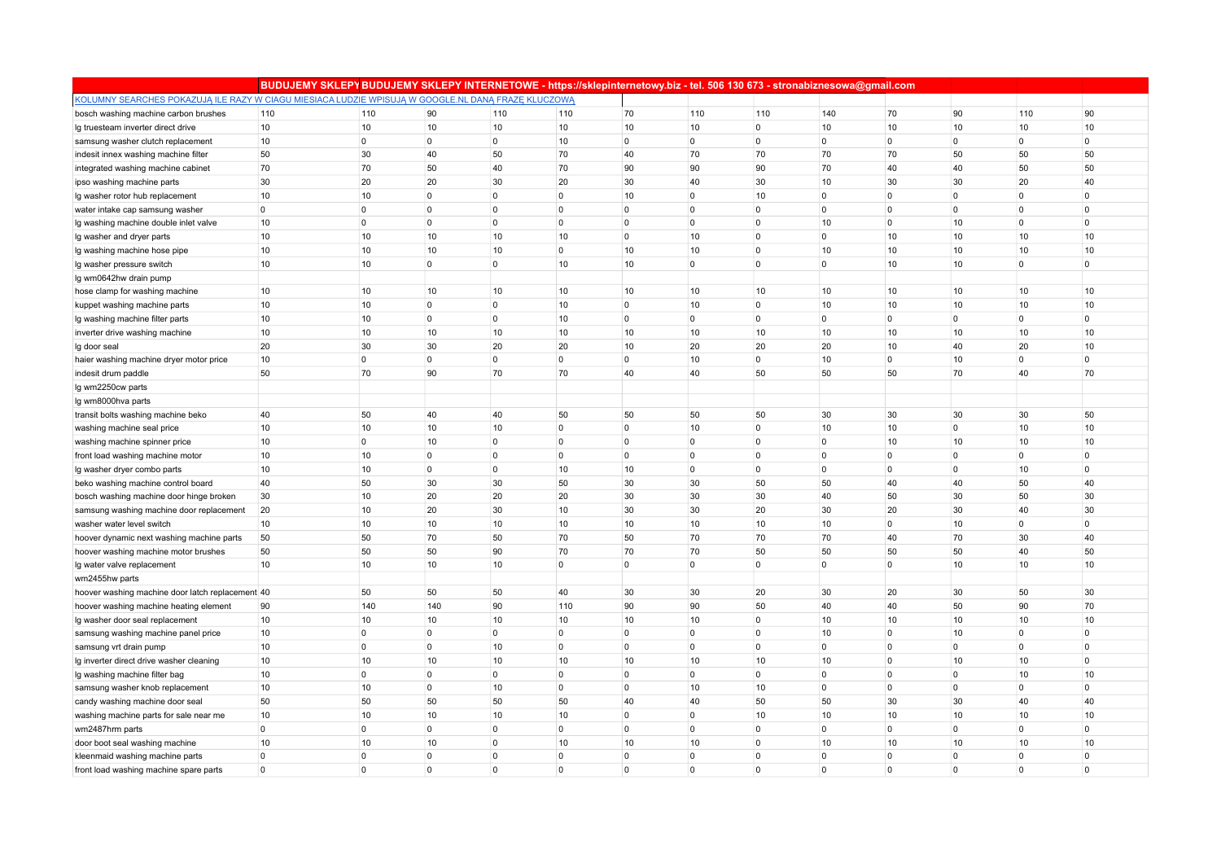|                                                                                                    | BUDUJEMY SKLEPY BUDUJEMY SKLEPY INTERNETOWE - https://sklepinternetowy.biz - tel. 506 130 673 - stronabiznesowa@gmail.com |                |                |                |                 |             |                |                |                |                |                |                |                |
|----------------------------------------------------------------------------------------------------|---------------------------------------------------------------------------------------------------------------------------|----------------|----------------|----------------|-----------------|-------------|----------------|----------------|----------------|----------------|----------------|----------------|----------------|
| KOLUMNY SEARCHES POKAZUJA ILE RAZY W CIAGU MIESIACA LUDZIE WPISUJA W GOOGLE.NL DANA FRAZE KLUCZOWA |                                                                                                                           |                |                |                |                 |             |                |                |                |                |                |                |                |
| bosch washing machine carbon brushes                                                               | 110                                                                                                                       | 110            | 90             | 110            | 110             | 70          | 110            | 110            | 140            | 70             | 90             | 110            | 90             |
| Ig truesteam inverter direct drive                                                                 | 10                                                                                                                        | 10             | 10             | 10             | 10 <sub>1</sub> | 10          | 10             | $\overline{0}$ | 10             | 10             | 10             | 10             | 10             |
| samsung washer clutch replacement                                                                  | 10                                                                                                                        | 0              | $\overline{0}$ | $\mathbf 0$    | 10              | 0           | $\mathbf 0$    | $\overline{0}$ | $\overline{0}$ | $\overline{0}$ | 0              | $\overline{0}$ | $\overline{0}$ |
| indesit innex washing machine filter                                                               | 50                                                                                                                        | 30             | 40             | 50             | 70              | 40          | 70             | 70             | 70             | 70             | 50             | 50             | 50             |
| integrated washing machine cabinet                                                                 | 70                                                                                                                        | 70             | 50             | 40             | 70              | 90          | 90             | 90             | 70             | 40             | 40             | 50             | 50             |
| ipso washing machine parts                                                                         | 30                                                                                                                        | 20             | 20             | 30             | 20              | 30          | 40             | 30             | 10             | 30             | 30             | 20             | 40             |
| Ig washer rotor hub replacement                                                                    | 10                                                                                                                        | 10             | $\overline{0}$ | $\mathbf 0$    | 0               | 10          | $\mathbf 0$    | 10             | $\overline{0}$ | $\overline{0}$ | $\mathbf 0$    | $\mathbf 0$    | $\overline{0}$ |
| water intake cap samsung washer                                                                    | $\overline{0}$                                                                                                            | $\overline{0}$ | $\overline{0}$ | $\mathbf 0$    | 0               | 0           | $\overline{0}$ | $\overline{0}$ | $\overline{0}$ | $\overline{0}$ | $\mathbf 0$    | $\overline{0}$ | $\overline{0}$ |
| Ig washing machine double inlet valve                                                              | 10                                                                                                                        | $\overline{0}$ | $\overline{0}$ | $\overline{0}$ | $\mathbf 0$     | $\mathbf 0$ | $\mathbf 0$    | $\Omega$       | 10             | $\overline{0}$ | 10             | $\Omega$       | $\overline{0}$ |
| Ig washer and dryer parts                                                                          | 10                                                                                                                        | 10             | 10             | 10             | 10              | $\mathbf 0$ | 10             | $\Omega$       | $\overline{0}$ | 10             | 10             | 10             | 10             |
| Ig washing machine hose pipe                                                                       | 10                                                                                                                        | 10             | 10             | 10             | 0               | 10          | 10             | $\overline{0}$ | 10             | 10             | 10             | 10             | 10             |
| Ig washer pressure switch                                                                          | 10                                                                                                                        | 10             | $\overline{0}$ | $\mathbf 0$    | 10              | 10          | $\mathbf 0$    | $\overline{0}$ | $\overline{0}$ | 10             | 10             | $\overline{0}$ | $\overline{0}$ |
| Ig wm0642hw drain pump                                                                             |                                                                                                                           |                |                |                |                 |             |                |                |                |                |                |                |                |
| hose clamp for washing machine                                                                     | 10                                                                                                                        | 10             | 10             | 10             | 10 <sup>1</sup> | 10          | 10             | 10             | 10             | 10             | 10             | 10             | 10             |
| kuppet washing machine parts                                                                       | 10                                                                                                                        | 10             | $\overline{0}$ | $\overline{0}$ | 10              | 0           | 10             | $\overline{0}$ | 10             | 10             | 10             | 10             | 10             |
| Ig washing machine filter parts                                                                    | 10                                                                                                                        | 10             | $\overline{0}$ | $\overline{0}$ | 10              | 0           | $\mathbf 0$    | $\Omega$       | $\overline{0}$ | $\overline{0}$ | $\mathbf{0}$   | $\Omega$       | $\overline{0}$ |
| inverter drive washing machine                                                                     | 10                                                                                                                        | 10             | 10             | 10             | 10              | 10          | 10             | 10             | 10             | 10             | 10             | 10             | 10             |
| Ig door seal                                                                                       | 20                                                                                                                        | 30             | 30             | 20             | 20              | 10          | 20             | 20             | 20             | 10             | 40             | 20             | 10             |
| haier washing machine dryer motor price                                                            | 10                                                                                                                        | $\overline{0}$ | $\overline{0}$ | $\overline{0}$ | 0               | 0           | 10             | $\overline{0}$ | 10             | $\overline{0}$ | 10             | $\Omega$       | $\overline{0}$ |
| indesit drum paddle                                                                                | 50                                                                                                                        | 70             | 90             | 70             | 70              | 40          | 40             | 50             | 50             | 50             | 70             | 40             | 70             |
| lg wm2250cw parts                                                                                  |                                                                                                                           |                |                |                |                 |             |                |                |                |                |                |                |                |
| Ig wm8000hva parts                                                                                 |                                                                                                                           |                |                |                |                 |             |                |                |                |                |                |                |                |
| transit bolts washing machine beko                                                                 | 40                                                                                                                        | 50             | 40             | 40             | 50              | 50          | 50             | 50             | 30             | 30             | 30             | 30             | 50             |
| washing machine seal price                                                                         | 10                                                                                                                        | 10             | 10             | 10             | 0               | $\mathbf 0$ | 10             | $\Omega$       | 10             | 10             | 0              | 10             | 10             |
| washing machine spinner price                                                                      | 10                                                                                                                        | $\overline{0}$ | 10             | $\mathbf 0$    | $\mathbf 0$     | 0           | $\overline{0}$ | $\overline{0}$ | $\overline{0}$ | 10             | 10             | 10             | 10             |
| front load washing machine motor                                                                   | 10                                                                                                                        | 10             | $\overline{0}$ | $\mathbf 0$    | $\mathbf 0$     | $\mathbf 0$ | $\mathbf 0$    | $\overline{0}$ | $\overline{0}$ | $\overline{0}$ | 0              | 0              | $\overline{0}$ |
| Ig washer dryer combo parts                                                                        | 10                                                                                                                        | 10             | $\overline{0}$ | $\mathbf 0$    | 10              | 10          | $\mathbf 0$    | $\overline{0}$ | $\overline{0}$ | $\overline{0}$ | 0              | 10             | $\overline{0}$ |
| beko washing machine control board                                                                 | 40                                                                                                                        | 50             | 30             | 30             | 50              | 30          | 30             | 50             | 50             | 40             | 40             | 50             | 40             |
| bosch washing machine door hinge broken                                                            | 30                                                                                                                        | 10             | 20             | 20             | 20              | 30          | 30             | 30             | 40             | 50             | 30             | 50             | 30             |
| samsung washing machine door replacement                                                           | 20                                                                                                                        | 10             | 20             | 30             | 10              | 30          | 30             | 20             | 30             | 20             | 30             | 40             | 30             |
| washer water level switch                                                                          | 10                                                                                                                        | 10             | 10             | 10             | 10              | 10          | 10             | 10             | 10             | $\overline{0}$ | 10             | $\overline{0}$ | $\overline{0}$ |
| hoover dynamic next washing machine parts                                                          | 50                                                                                                                        | 50             | 70             | 50             | 70              | 50          | 70             | 70             | 70             | 40             | 70             | 30             | 40             |
| hoover washing machine motor brushes                                                               | 50                                                                                                                        | 50             | 50             | 90             | 70              | 70          | 70             | 50             | 50             | 50             | 50             | 40             | 50             |
| Ig water valve replacement                                                                         | 10                                                                                                                        | 10             | 10             | 10             | $\mathbf 0$     | $\mathbf 0$ | $\mathbf 0$    | $\Omega$       | $\overline{0}$ | $\overline{0}$ | 10             | 10             | 10             |
| wm2455hw parts                                                                                     |                                                                                                                           |                |                |                |                 |             |                |                |                |                |                |                |                |
| hoover washing machine door latch replacement 40                                                   |                                                                                                                           | 50             | 50             | 50             | 40              | 30          | 30             | 20             | 30             | 20             | 30             | 50             | 30             |
| hoover washing machine heating element                                                             | 90                                                                                                                        | 140            | 140            | 90             | 110             | 90          | 90             | 50             | 40             | 40             | 50             | 90             | 70             |
| Ig washer door seal replacement                                                                    | 10                                                                                                                        | 10             | 10             | 10             | 10              | 10          | 10             | $\Omega$       | 10             | 10             | 10             | 10             | 10             |
| samsung washing machine panel price                                                                | 10                                                                                                                        | $\mathbf 0$    | $\overline{0}$ | $\overline{0}$ | $\mathbf 0$     | $\mathbf 0$ | $\overline{0}$ | $\Omega$       | 10             | $\overline{0}$ | 10             | $\Omega$       | $\overline{0}$ |
| samsung vrt drain pump                                                                             | 10                                                                                                                        | $\overline{0}$ | $\overline{0}$ | 10             | 0               | 0           | $\mathbf 0$    | $\overline{0}$ | $\overline{0}$ | $\overline{0}$ | $\mathbf 0$    | $\Omega$       | $\overline{0}$ |
| Ig inverter direct drive washer cleaning                                                           | 10                                                                                                                        | 10             | 10             | 10             | 10              | 10          | 10             | 10             | 10             | $\overline{0}$ | 10             | 10             | $\overline{0}$ |
| Ig washing machine filter bag                                                                      | 10                                                                                                                        | $\mathbf{0}$   | $\overline{0}$ | $\overline{0}$ | 0               | $\mathbf 0$ | $\overline{0}$ | $\Omega$       | $\overline{0}$ | $\overline{0}$ | $\overline{0}$ | 10             | 10             |
| samsung washer knob replacement                                                                    | 10                                                                                                                        | 10             | $\overline{0}$ | 10             | 0               | $\mathbf 0$ | 10             | 10             | $\overline{0}$ | $\overline{0}$ | $\mathbf 0$    | $\Omega$       | $\overline{0}$ |
| candy washing machine door seal                                                                    | 50                                                                                                                        | 50             | 50             | 50             | 50              | 40          | 40             | 50             | 50             | 30             | 30             | 40             | 40             |
| washing machine parts for sale near me                                                             | 10                                                                                                                        | 10             | 10             | 10             | 10              | 0           | $\overline{0}$ | 10             | 10             | 10             | 10             | 10             | 10             |
| wm2487hrm parts                                                                                    | $\overline{0}$                                                                                                            | $\overline{0}$ | $\overline{0}$ | $\overline{0}$ | $\mathbf 0$     | 0           | $\mathbf 0$    | $\Omega$       | $\overline{0}$ | $\overline{0}$ | $\mathbf 0$    | $\overline{0}$ | $\overline{0}$ |
| door boot seal washing machine                                                                     | 10                                                                                                                        | 10             | 10             | 0              | 10              | 10          | 10             | $\Omega$       | 10             | 10             | 10             | 10             | 10             |
| kleenmaid washing machine parts                                                                    | $\mathbf{0}$                                                                                                              | $\mathbf 0$    | $\Omega$       | $\Omega$       | 0               | $\mathbf 0$ | $\Omega$       | $\Omega$       | $\overline{0}$ | $\Omega$       | $\Omega$       | $\Omega$       | $\overline{0}$ |
| front load washing machine spare parts                                                             | $\Omega$                                                                                                                  | $\mathbf 0$    | $\Omega$       | $\overline{0}$ | 0               | $\mathbf 0$ | $\Omega$       | $\Omega$       | $\overline{0}$ | $\overline{0}$ | $\mathbf 0$    | $\Omega$       | $\overline{0}$ |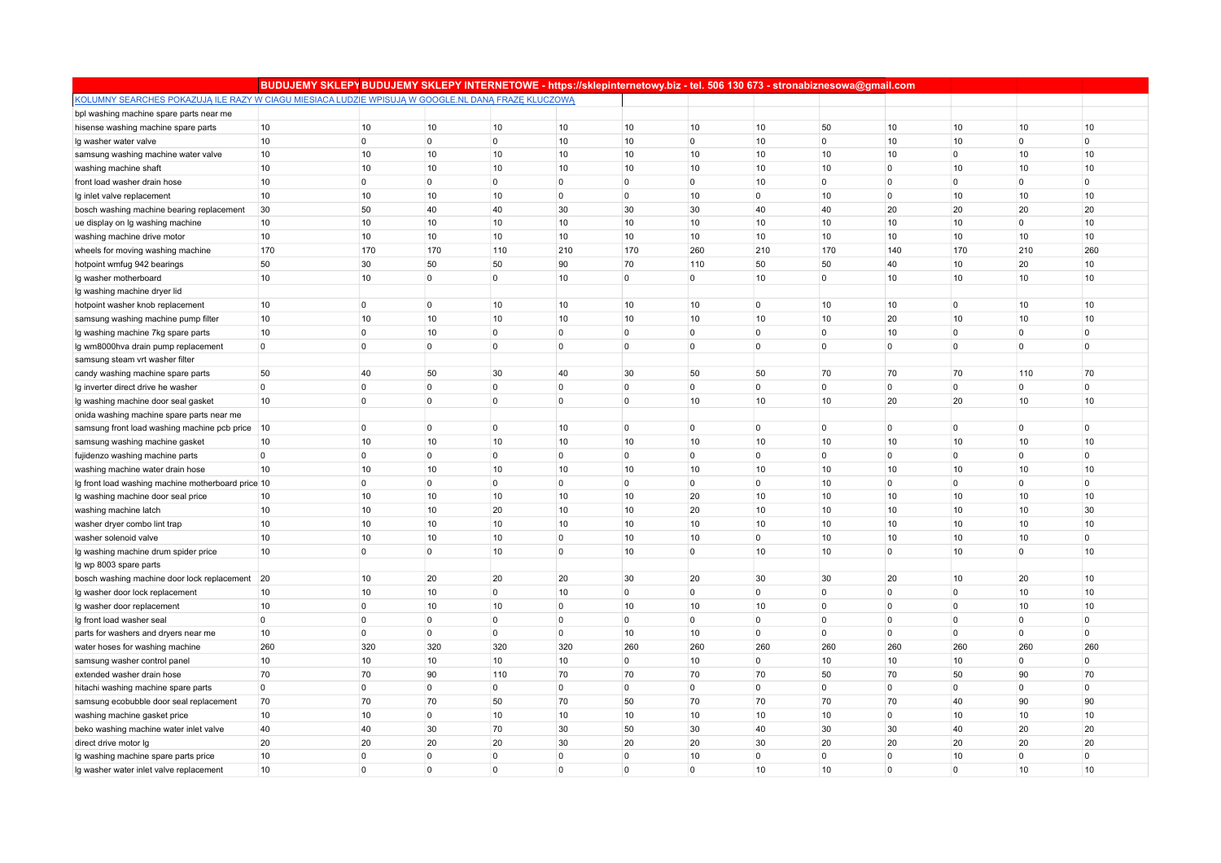|                                                                                                    | BUDUJEMY SKLEPYBUDUJEMY SKLEPY INTERNETOWE - https://sklepinternetowy.biz - tel. 506 130 673 - stronabiznesowa@gmail.com |                |                |                |                |             |                |                |                |                |                |                |                |
|----------------------------------------------------------------------------------------------------|--------------------------------------------------------------------------------------------------------------------------|----------------|----------------|----------------|----------------|-------------|----------------|----------------|----------------|----------------|----------------|----------------|----------------|
| KOLUMNY SEARCHES POKAZUJA ILE RAZY W CIAGU MIESIACA LUDZIE WPISUJA W GOOGLE.NL DANA FRAZE KLUCZOWA |                                                                                                                          |                |                |                |                |             |                |                |                |                |                |                |                |
| bpl washing machine spare parts near me                                                            |                                                                                                                          |                |                |                |                |             |                |                |                |                |                |                |                |
| hisense washing machine spare parts                                                                | 10                                                                                                                       | 10             | 10             | 10             | 10             | 10          | 10             | 10             | 50             | 10             | 10             | 10             | 10             |
| Ig washer water valve                                                                              | 10                                                                                                                       | $\mathbf 0$    | $\overline{0}$ | $\mathbf 0$    | 10             | 10          | $\mathbf 0$    | 10             | $\overline{0}$ | 10             | 10             | $\mathbf 0$    | $\overline{0}$ |
| samsung washing machine water valve                                                                | $10$                                                                                                                     | $10$           | 10             | 10             | 10             | 10          | 10             | 10             | 10             | 10             | $\mathbf 0$    | 10             | 10             |
| washing machine shaft                                                                              | 10                                                                                                                       | 10             | 10             | 10             | 10             | 10          | 10             | 10             | 10             | $\overline{0}$ | 10             | 10             | 10             |
| front load washer drain hose                                                                       | 10                                                                                                                       | $\overline{0}$ | $\overline{0}$ | $\mathbf 0$    | $\mathbf 0$    | $\mathbf 0$ | $\mathbf 0$    | 10             | $\overline{0}$ | $\overline{0}$ | $\overline{0}$ | $\mathbf 0$    | $\overline{0}$ |
| Ig inlet valve replacement                                                                         | 10                                                                                                                       | 10             | 10             | 10             | $\overline{0}$ | 0           | 10             | $\overline{0}$ | 10             | $\overline{0}$ | 10             | 10             | 10             |
| bosch washing machine bearing replacement                                                          | 30                                                                                                                       | 50             | 40             | 40             | 30             | 30          | 30             | 40             | 40             | 20             | 20             | 20             | 20             |
| ue display on Ig washing machine                                                                   | 10                                                                                                                       | 10             | 10             | 10             | 10             | 10          | 10             | 10             | 10             | 10             | 10             | $\Omega$       | 10             |
| washing machine drive motor                                                                        | 10                                                                                                                       | 10             | 10             | 10             | 10             | 10          | 10             | 10             | 10             | 10             | 10             | 10             | 10             |
| wheels for moving washing machine                                                                  | 170                                                                                                                      | 170            | 170            | 110            | 210            | 170         | 260            | 210            | 170            | 140            | 170            | 210            | 260            |
| hotpoint wmfug 942 bearings                                                                        | 50                                                                                                                       | 30             | 50             | 50             | 90             | 70          | 110            | 50             | 50             | 40             | 10             | 20             | 10             |
| Ig washer motherboard                                                                              | 10                                                                                                                       | 10             | 0              | $\mathbf 0$    | 10             | 0           | 0              | 10             | $\overline{0}$ | 10             | 10             | 10             | 10             |
| Ig washing machine dryer lid                                                                       |                                                                                                                          |                |                |                |                |             |                |                |                |                |                |                |                |
| hotpoint washer knob replacement                                                                   | 10                                                                                                                       | $\overline{0}$ | $\overline{0}$ | 10             | 10             | 10          | 10             | $\Omega$       | 10             | 10             | $\mathbf 0$    | 10             | 10             |
| samsung washing machine pump filter                                                                | 10                                                                                                                       | 10             | 10             | 10             | 10             | 10          | 10             | 10             | 10             | 20             | 10             | 10             | 10             |
| Ig washing machine 7kg spare parts                                                                 | 10                                                                                                                       | $\overline{0}$ | 10             | $\overline{0}$ | $\mathbf 0$    | $\mathbf 0$ | $\mathbf 0$    | $\overline{0}$ | $\overline{0}$ | 10             | $\mathbf 0$    | $\mathbf 0$    | $\overline{0}$ |
| Ig wm8000hva drain pump replacement                                                                | $\mathbf 0$                                                                                                              | $\overline{0}$ | $\mathbf 0$    | $\overline{0}$ | $\overline{0}$ | 0           | $\overline{0}$ | $\overline{0}$ | $\overline{0}$ | $\overline{0}$ | $\mathbf 0$    | $\overline{0}$ | $\overline{0}$ |
| samsung steam vrt washer filter                                                                    |                                                                                                                          |                |                |                |                |             |                |                |                |                |                |                |                |
| candy washing machine spare parts                                                                  | 50                                                                                                                       | 40             | 50             | 30             | 40             | 30          | 50             | 50             | 70             | 70             | 70             | 110            | 70             |
| Ig inverter direct drive he washer                                                                 | $\mathbf{0}$                                                                                                             | $\overline{0}$ | $\overline{0}$ | $\overline{0}$ | $\overline{0}$ | $\mathbf 0$ | $\Omega$       | $\Omega$       | $\overline{0}$ | $\overline{0}$ | $\mathbf{0}$   | $\mathbf 0$    | $\overline{0}$ |
| Ig washing machine door seal gasket                                                                | 10                                                                                                                       | $\mathbf 0$    | $\mathbf 0$    | $\overline{0}$ | $\overline{0}$ | 0           | 10             | 10             | 10             | 20             | 20             | 10             | 10             |
| onida washing machine spare parts near me                                                          |                                                                                                                          |                |                |                |                |             |                |                |                |                |                |                |                |
| samsung front load washing machine pcb price   10                                                  |                                                                                                                          | $\overline{0}$ | 0              | $\overline{0}$ | 10             | 0           | $\pmb{0}$      | $\mathbf 0$    | $\overline{0}$ | $\overline{0}$ | $\mathbf 0$    | 0              | $\overline{0}$ |
| samsung washing machine gasket                                                                     | 10                                                                                                                       | 10             | 10             | 10             | 10             | 10          | 10             | 10             | 10             | 10             | 10             | 10             | 10             |
| fujidenzo washing machine parts                                                                    | $\mathbf{0}$                                                                                                             | $\overline{0}$ | $\overline{0}$ | $\overline{0}$ | $\mathbf 0$    | $\mathbf 0$ | 0              | $\Omega$       | $\overline{0}$ | $\overline{0}$ | $\mathbf{0}$   | $\mathbf 0$    | $\overline{0}$ |
| washing machine water drain hose                                                                   | 10                                                                                                                       | 10             | 10             | 10             | 10             | 10          | 10             | 10             | 10             | 10             | 10             | 10             | 10             |
| Ig front load washing machine motherboard price 10                                                 |                                                                                                                          | $\overline{0}$ | $\mathbf 0$    | $\overline{0}$ | $\mathbf 0$    | 0           | $\mathbf 0$    | $\overline{0}$ | 10             | $\overline{0}$ | 0              | $\Omega$       | $\overline{0}$ |
| Ig washing machine door seal price                                                                 | 10                                                                                                                       | 10             | 10             | 10             | 10             | 10          | 20             | 10             | 10             | 10             | 10             | 10             | 10             |
| washing machine latch                                                                              | $10$                                                                                                                     | 10             | 10             | 20             | 10             | 10          | 20             | 10             | 10             | 10             | 10             | 10             | 30             |
| washer dryer combo lint trap                                                                       | 10                                                                                                                       | 10             | 10             | 10             | 10             | 10          | 10             | 10             | 10             | 10             | 10             | 10             | 10             |
| washer solenoid valve                                                                              | 10                                                                                                                       | 10             | 10             | 10             | $\mathbf 0$    | 10          | 10             | $\Omega$       | 10             | 10             | 10             | 10             | $\overline{0}$ |
| Ig washing machine drum spider price                                                               | 10                                                                                                                       | $\overline{0}$ | $\mathbf 0$    | 10             | $\mathbf 0$    | 10          | 0              | 10             | 10             | $\overline{0}$ | 10             | 0              | 10             |
| Ig wp 8003 spare parts                                                                             |                                                                                                                          |                |                |                |                |             |                |                |                |                |                |                |                |
| bosch washing machine door lock replacement 20                                                     |                                                                                                                          | 10             | 20             | 20             | 20             | 30          | 20             | 30             | 30             | 20             | 10             | 20             | 10             |
| Ig washer door lock replacement                                                                    | 10                                                                                                                       | 10             | 10             | $\mathbf 0$    | 10             | $\mathbf 0$ | $\mathbf 0$    | $\mathbf 0$    | $\overline{0}$ | $\overline{0}$ | $\mathbf{0}$   | 10             | 10             |
| Ig washer door replacement                                                                         | 10                                                                                                                       | $\mathbf 0$    | 10             | 10             | $\mathbf 0$    | 10          | 10             | 10             | $\overline{0}$ | $\overline{0}$ | $\mathbf 0$    | 10             | 10             |
| Ig front load washer seal                                                                          | $\mathbf{0}$                                                                                                             | $\overline{0}$ | $\overline{0}$ | $\mathbf 0$    | $\mathbf 0$    | 0           | $\Omega$       | $\Omega$       | $\overline{0}$ | $\overline{0}$ | $\mathbf 0$    | $\Omega$       | $\overline{0}$ |
| parts for washers and dryers near me                                                               | 10                                                                                                                       | $\mathbf 0$    | 0              | $\mathbf 0$    | $\mathbf 0$    | 10          | 10             | $\Omega$       | $\overline{0}$ | $\overline{0}$ | $\mathbf 0$    | $\Omega$       | $\overline{0}$ |
| water hoses for washing machine                                                                    | 260                                                                                                                      | 320            | 320            | 320            | 320            | 260         | 260            | 260            | 260            | 260            | 260            | 260            | 260            |
| samsung washer control panel                                                                       | 10                                                                                                                       | 10             | 10             | 10             | 10             | $\mathbf 0$ | 10             | $\Omega$       | 10             | 10             | 10             | $\mathbf 0$    | $\overline{0}$ |
| extended washer drain hose                                                                         | 70                                                                                                                       | 70             | 90             | 110            | 70             | 70          | 70             | 70             | 50             | 70             | 50             | 90             | 70             |
| hitachi washing machine spare parts                                                                | $\overline{0}$                                                                                                           | $\mathbf 0$    | $\mathbf 0$    | $\mathbf 0$    | $\mathbf 0$    | $\mathbf 0$ | 0              | $\Omega$       | $\overline{0}$ | $\overline{0}$ | $\mathbf{0}$   | $\Omega$       | $\overline{0}$ |
| samsung ecobubble door seal replacement                                                            | 70                                                                                                                       | 70             | 70             | 50             | 70             | 50          | 70             | 70             | 70             | 70             | 40             | 90             | 90             |
| washing machine gasket price                                                                       | 10                                                                                                                       | 10             | 0              | 10             | 10             | 10          | 10             | 10             | 10             | $\overline{0}$ | 10             | 10             | 10             |
| beko washing machine water inlet valve                                                             | 40                                                                                                                       | 40             | 30             | 70             | 30             | 50          | 30             | 40             | 30             | 30             | 40             | 20             | 20             |
| direct drive motor Ig                                                                              | 20                                                                                                                       | 20             | 20             | 20             | 30             | 20          | 20             | 30             | 20             | 20             | 20             | 20             | 20             |
| Ig washing machine spare parts price                                                               | 10                                                                                                                       | $\mathbf 0$    | $\Omega$       | $\overline{0}$ | $\mathbf 0$    | $\mathbf 0$ | 10             | $\Omega$       | $\overline{0}$ | $\Omega$       | 10             | $\Omega$       | $\overline{0}$ |
| Ig washer water inlet valve replacement                                                            | 10                                                                                                                       | $\overline{0}$ | $\Omega$       | $\overline{0}$ | $\mathbf 0$    | $\mathbf 0$ | $\Omega$       | 10             | 10             | $\Omega$       | $\mathbf{0}$   | 10             | 10             |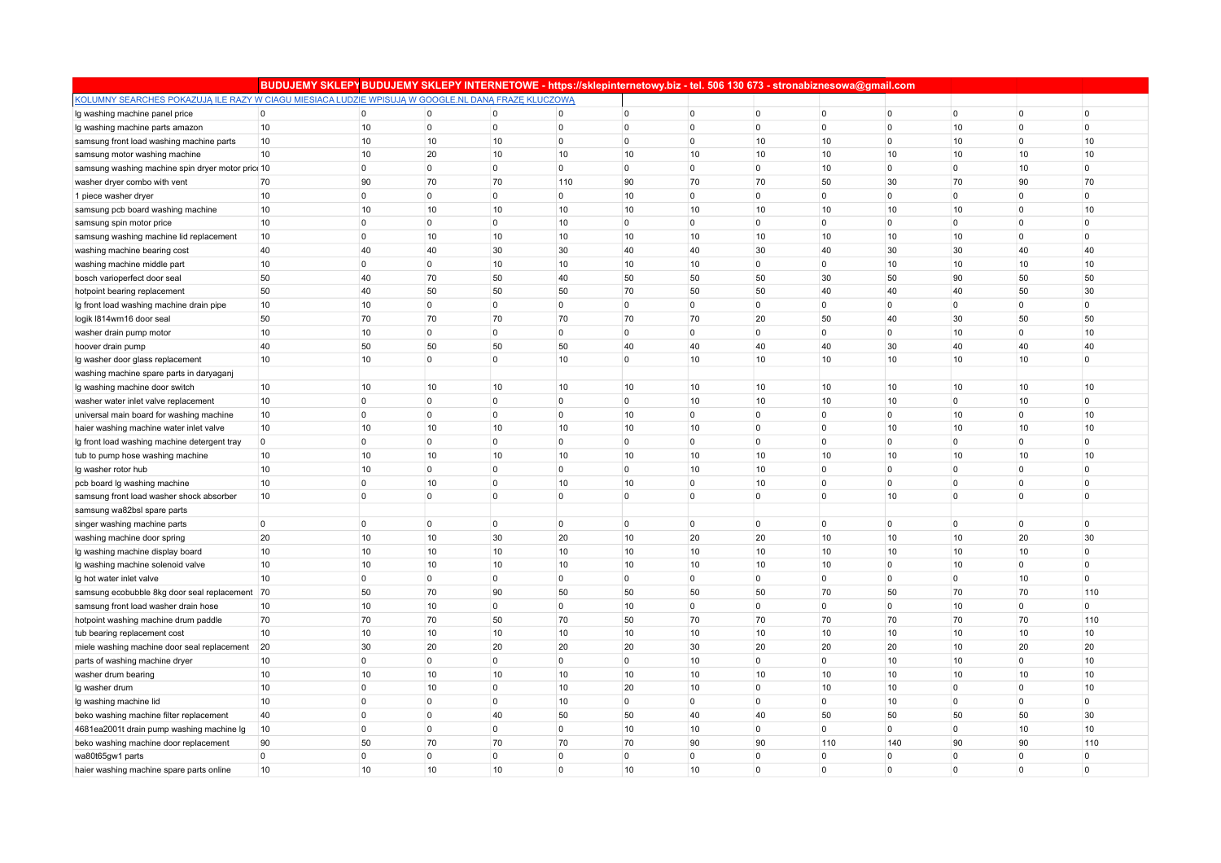|                                                                                                    | BUDUJEMY SKLEPYBUDUJEMY SKLEPY INTERNETOWE - https://sklepinternetowy.biz - tel. 506 130 673 - stronabiznesowa@gmail.com |                |                |                |                 |                     |                         |                |                |                |                |                |                |
|----------------------------------------------------------------------------------------------------|--------------------------------------------------------------------------------------------------------------------------|----------------|----------------|----------------|-----------------|---------------------|-------------------------|----------------|----------------|----------------|----------------|----------------|----------------|
| KOLUMNY SEARCHES POKAZUJĄ ILE RAZY W CIAGU MIESIACA LUDZIE WPISUJĄ W GOOGLE.NL DANĄ FRAZE KLUCZOWĄ |                                                                                                                          |                |                |                |                 |                     |                         |                |                |                |                |                |                |
| Ig washing machine panel price                                                                     | $\overline{0}$                                                                                                           | 0              | $\mathbf 0$    | $\overline{0}$ | $\mathbf 0$     | 0                   | $\mathbf 0$             | $\overline{0}$ | $\overline{0}$ | $\overline{0}$ | $\mathbf 0$    | $\mathbf 0$    | $\overline{0}$ |
| Ig washing machine parts amazon                                                                    | 10                                                                                                                       | 10             | 0              | $\overline{0}$ | 0               | 0                   | $\mathbf 0$             | $\Omega$       | $\overline{0}$ | 0              | 10             | $\Omega$       | $\overline{0}$ |
| samsung front load washing machine parts                                                           | 10                                                                                                                       | 10             | 10             | 10             | 0               | $\mathbf 0$         | $\overline{0}$          | 10             | 10             | $\Omega$       | 10             | $\overline{0}$ | 10             |
| samsung motor washing machine                                                                      | 10                                                                                                                       | 10             | 20             | 10             | 10              | 10                  | 10                      | 10             | 10             | 10             | 10             | 10             | 10             |
| samsung washing machine spin dryer motor price 10                                                  |                                                                                                                          | $\mathbf 0$    | $\mathbf 0$    | $\overline{0}$ | $\mathbf 0$     | 0                   | $\mathbf 0$             | $\overline{0}$ | 10             | $\mathbf 0$    | $\mathbf 0$    | 10             | $\overline{0}$ |
| washer dryer combo with vent                                                                       | 70                                                                                                                       | 90             | 70             | 70             | 110             | 90                  | 70                      | 70             | 50             | 30             | 70             | 90             | 70             |
| 1 piece washer dryer                                                                               | 10                                                                                                                       | $\mathbf 0$    | $\mathbf 0$    | $\overline{0}$ | 0               | 10                  | $\mathbf 0$             | $\overline{0}$ | $\overline{0}$ | $\mathbf 0$    | 0              | $\mathbf 0$    | $\overline{0}$ |
| samsung pcb board washing machine                                                                  | 10                                                                                                                       | 10             | 10             | 10             | 10              | 10                  | 10                      | 10             | 10             | 10             | 10             | $\Omega$       | 10             |
| samsung spin motor price                                                                           | 10                                                                                                                       | $\mathbf 0$    | $\overline{0}$ | $\overline{0}$ | 10              | $\mathbf 0$         | $\Omega$                | $\Omega$       | $\overline{0}$ | $\Omega$       | $\Omega$       | $\Omega$       | $\mathbf 0$    |
| samsung washing machine lid replacement                                                            | 10                                                                                                                       | $\mathbf 0$    | 10             | 10             | 10              | 10                  | 10                      | 10             | 10             | 10             | 10             | $\mathbf 0$    | $\overline{0}$ |
| washing machine bearing cost                                                                       | 40                                                                                                                       | 40             | 40             | 30             | 30              | 40                  | 40                      | 30             | 40             | 30             | 30             | 40             | 40             |
| washing machine middle part                                                                        | 10                                                                                                                       | $\mathbf{0}$   | $\overline{0}$ | 10             | 10              | 10                  | 10                      | $\Omega$       | $\overline{0}$ | 10             | 10             | 10             | 10             |
| bosch varioperfect door seal                                                                       | 50                                                                                                                       | 40             | 70             | 50             | 40              | 50                  | 50                      | 50             | 30             | 50             | 90             | 50             | 50             |
| hotpoint bearing replacement                                                                       | 50                                                                                                                       | 40             | 50             | 50             | 50              | 70                  | 50                      | 50             | 40             | 40             | 40             | 50             | 30             |
| Ig front load washing machine drain pipe                                                           | 10                                                                                                                       | 10             | $\mathbf 0$    | $\overline{0}$ | 0               | 0                   | $\mathbf 0$             | $\Omega$       | $\overline{0}$ | 0              | $\overline{0}$ | 0              | $\mathbf 0$    |
| logik I814wm16 door seal                                                                           | 50                                                                                                                       | 70             | 70             | 70             | 70              | 70                  | 70                      | 20             | 50             | 40             | 30             | 50             | 50             |
| washer drain pump motor                                                                            | 10                                                                                                                       | 10             | $\mathbf 0$    | $\overline{0}$ | $\mathbf 0$     | 0                   | $\overline{0}$          | $\Omega$       | $\overline{0}$ | $\mathbf 0$    | 10             | $\mathbf 0$    | 10             |
| hoover drain pump                                                                                  | 40                                                                                                                       | 50             | 50             | 50             | 50              | 40                  | 40                      | 40             | 40             | 30             | 40             | 40             | 40             |
| Ig washer door glass replacement                                                                   | 10                                                                                                                       | 10             | $\mathbf 0$    | $\overline{0}$ | 10              | $\mathbf 0$         | 10                      | 10             | 10             | 10             | 10             | 10             | $\overline{0}$ |
| washing machine spare parts in daryaganj                                                           |                                                                                                                          |                |                |                |                 |                     |                         |                |                |                |                |                |                |
| Ig washing machine door switch                                                                     | 10                                                                                                                       | $10$           | 10             | 10             | 10              | 10                  | 10                      | 10             | 10             | 10             | 10             | 10             | 10             |
| washer water inlet valve replacement                                                               | 10                                                                                                                       | $\mathbf 0$    | $\mathbf 0$    | $\overline{0}$ | $\mathbf 0$     | $\mathbf 0$         | 10                      | 10             | 10             | 10             | $\overline{0}$ | 10             | $\overline{0}$ |
| universal main board for washing machine                                                           | 10                                                                                                                       | 0              | $\mathbf 0$    | 0              | $\mathbf 0$     | 10                  | $\mathbf 0$             | $\Omega$       | $\overline{0}$ | 0              | 10             | $\overline{0}$ | 10             |
| haier washing machine water inlet valve                                                            | 10                                                                                                                       | 10             | 10             | 10             | 10              | 10                  | 10                      | $\overline{0}$ | $\overline{0}$ | 10             | 10             | 10             | 10             |
| Ig front load washing machine detergent tray                                                       | $\overline{0}$                                                                                                           | 0              | $\overline{0}$ | 0              | $\mathbf 0$     | $\mathsf{O}\xspace$ | $\overline{0}$          | $\Omega$       | $\overline{0}$ | 0              | 0              | $\overline{0}$ | $\overline{0}$ |
| tub to pump hose washing machine                                                                   | 10                                                                                                                       | 10             | 10             | 10             | 10              | 10                  | 10                      | 10             | 10             | 10             | 10             | 10             | 10             |
| Ig washer rotor hub                                                                                | 10                                                                                                                       | 10             | $\mathbf 0$    | $\overline{0}$ | 0               | 0                   | 10                      | 10             | $\overline{0}$ | $\mathbf 0$    | $\mathbf{0}$   | $\mathbf 0$    | $\overline{0}$ |
| pcb board Ig washing machine                                                                       | 10                                                                                                                       | $\mathbf 0$    | 10             | $\overline{0}$ | 10              | 10                  | $\mathbf 0$<br>$\Omega$ | 10<br>$\Omega$ | $\overline{0}$ | 0              | 0<br>$\Omega$  | $\Omega$       | $\overline{0}$ |
| samsung front load washer shock absorber                                                           | 10                                                                                                                       | 0              | $\mathbf 0$    | $\overline{0}$ | $\mathbf 0$     | 0                   |                         |                | $\overline{0}$ | 10             |                | $\mathbf 0$    | $\overline{0}$ |
| samsung wa82bsl spare parts                                                                        | $\overline{0}$                                                                                                           | $\overline{0}$ | $\overline{0}$ | $\overline{0}$ | $\overline{0}$  | 0                   | $\mathbf 0$             | $\overline{0}$ | $\overline{0}$ | $\overline{0}$ | $\mathbf 0$    | $\mathbf 0$    | $\overline{0}$ |
| singer washing machine parts<br>washing machine door spring                                        | 20                                                                                                                       | 10             | 10             | 30             | 20              | 10                  | 20                      | 20             | 10             | 10             | 10             | 20             | 30             |
| Ig washing machine display board                                                                   | 10                                                                                                                       | 10             | 10             | 10             | 10              | 10                  | 10                      | 10             | 10             | 10             | 10             | 10             | $\overline{0}$ |
| Ig washing machine solenoid valve                                                                  | 10                                                                                                                       | 10             | 10             | 10             | 10              | 10                  | 10                      | 10             | 10             | $\overline{0}$ | 10             | $\overline{0}$ | $\overline{0}$ |
| Ig hot water inlet valve                                                                           | 10                                                                                                                       | $\mathbf 0$    | $\overline{0}$ | $\overline{0}$ | $\mathbf 0$     | $\mathbf 0$         | $\Omega$                | $\Omega$       | $\overline{0}$ | $\Omega$       | $\mathbf{0}$   | 10             | $\mathbf{0}$   |
| samsung ecobubble 8kg door seal replacement 70                                                     |                                                                                                                          | 50             | 70             | 90             | 50              | 50                  | 50                      | 50             | 70             | 50             | 70             | 70             | 110            |
| samsung front load washer drain hose                                                               | 10                                                                                                                       | 10             | 10             | $\overline{0}$ | 0               | 10                  | $\mathbf 0$             | $\overline{0}$ | $\overline{0}$ | 0              | 10             | 0              | $\overline{0}$ |
| hotpoint washing machine drum paddle                                                               | 70                                                                                                                       | 70             | 70             | 50             | 70              | 50                  | 70                      | 70             | 70             | 70             | 70             | 70             | 110            |
| tub bearing replacement cost                                                                       | 10                                                                                                                       | 10             | 10             | 10             | 10 <sup>1</sup> | 10                  | 10                      | 10             | 10             | 10             | 10             | 10             | 10             |
| miele washing machine door seal replacement                                                        | 20                                                                                                                       | 30             | 20             | 20             | 20              | 20                  | 30                      | 20             | 20             | 20             | 10             | 20             | 20             |
| parts of washing machine dryer                                                                     | 10                                                                                                                       | $\mathbf 0$    | $\Omega$       | $\overline{0}$ | 0               | 0                   | 10                      | $\Omega$       | $\overline{0}$ | 10             | 10             | $\overline{0}$ | 10             |
| washer drum bearing                                                                                | 10                                                                                                                       | 10             | 10             | 10             | 10              | 10                  | 10                      | 10             | 10             | 10             | 10             | 10             | 10             |
| Ig washer drum                                                                                     | 10                                                                                                                       | $\mathbf 0$    | 10             | $\overline{0}$ | 10              | 20                  | 10                      | $\Omega$       | 10             | 10             | $\mathbf{0}$   | $\mathbf 0$    | 10             |
| Ig washing machine lid                                                                             | 10                                                                                                                       | $\mathbf 0$    | $\mathbf 0$    | $\overline{0}$ | 10              | $\mathbf 0$         | $\mathbf 0$             | $\Omega$       | $\overline{0}$ | 10             | $\mathbf 0$    | $\mathbf 0$    | $\overline{0}$ |
| beko washing machine filter replacement                                                            | 40                                                                                                                       | $\overline{0}$ | $\mathbf 0$    | 40             | 50              | 50                  | 40                      | 40             | 50             | 50             | 50             | 50             | 30             |
| 4681ea2001t drain pump washing machine Ig                                                          | 10                                                                                                                       | $\overline{0}$ | $\mathbf 0$    | $\overline{0}$ | $\pmb{0}$       | 10                  | 10                      | $\Omega$       | $\overline{0}$ | $\mathbf 0$    | $\mathbf 0$    | 10             | 10             |
| beko washing machine door replacement                                                              | 90                                                                                                                       | 50             | 70             | 70             | 70              | 70                  | 90                      | 90             | 110            | 140            | 90             | 90             | 110            |
| wa80t65gw1 parts                                                                                   | $\mathbf 0$                                                                                                              | $\mathbf 0$    | $\Omega$       | $\overline{0}$ | 0               | $\mathbf 0$         | $\Omega$                | $\Omega$       | $\Omega$       | $\Omega$       | $\Omega$       | $\Omega$       | $\mathbf 0$    |
| haier washing machine spare parts online                                                           | 10                                                                                                                       | 10             | 10             | 10             | 0               | 10                  | 10                      | $\Omega$       | $\overline{0}$ | $\Omega$       | $\mathbf 0$    | $\Omega$       | $\Omega$       |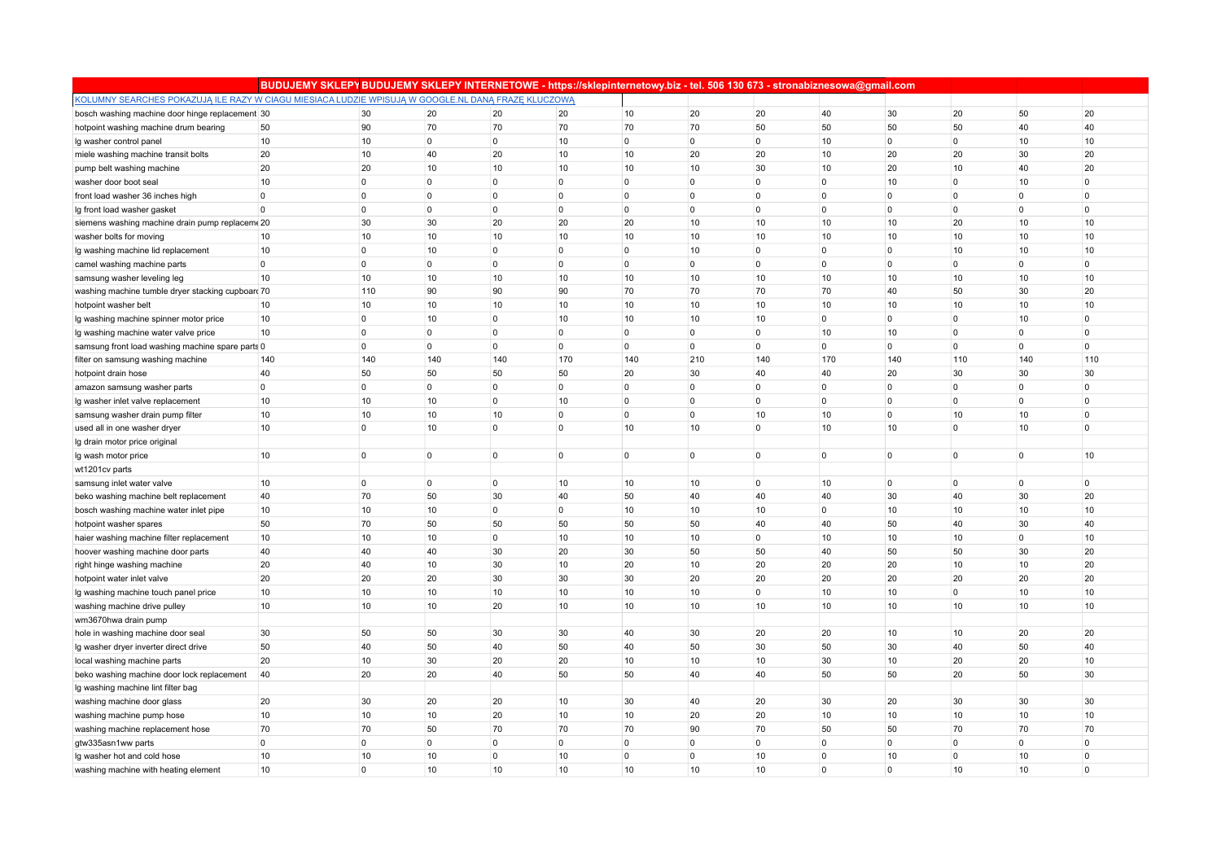|                                                                                                    | BUDUJEMY SKLEPYBUDUJEMY SKLEPY INTERNETOWE - https://sklepinternetowy.biz - tel. 506 130 673 - stronabiznesowa@gmail.com |                |                |                |                |                |                |                |                |             |             |                |                |
|----------------------------------------------------------------------------------------------------|--------------------------------------------------------------------------------------------------------------------------|----------------|----------------|----------------|----------------|----------------|----------------|----------------|----------------|-------------|-------------|----------------|----------------|
| KOLUMNY SEARCHES POKAZUJA ILE RAZY W CIAGU MIESIACA LUDZIE WPISUJA W GOOGLE.NL DANA FRAZE KLUCZOWA |                                                                                                                          |                |                |                |                |                |                |                |                |             |             |                |                |
| bosch washing machine door hinge replacement 30                                                    |                                                                                                                          | 30             | 20             | 20             | 20             | 10             | 20             | 20             | 40             | 30          | 20          | 50             | 20             |
| hotpoint washing machine drum bearing                                                              | 50                                                                                                                       | 90             | 70             | 70             | 70             | 70             | 70             | 50             | 50             | 50          | 50          | 40             | 40             |
| Ig washer control panel                                                                            | 10                                                                                                                       | 10             | $\mathbf 0$    | $\overline{0}$ | 10             | $\overline{0}$ | $\overline{0}$ | $\overline{0}$ | 10             | 0           | 0           | 10             | 10             |
| miele washing machine transit bolts                                                                | 20                                                                                                                       | 10             | 40             | 20             | 10             | 10             | 20             | 20             | 10             | 20          | 20          | 30             | 20             |
| pump belt washing machine                                                                          | 20                                                                                                                       | 20             | 10             | 10             | 10             | 10             | 10             | 30             | 10             | 20          | 10          | 40             | 20             |
| washer door boot seal                                                                              | 10                                                                                                                       | $\overline{0}$ | $\overline{0}$ | $\overline{0}$ | $\overline{0}$ | $\overline{0}$ | $\overline{0}$ | $\Omega$       | $\overline{0}$ | 10          | $\mathbf 0$ | 10             | $\overline{0}$ |
| front load washer 36 inches high                                                                   | $\mathbf{0}$                                                                                                             | $\overline{0}$ | $\overline{0}$ | $\overline{0}$ | $\overline{0}$ | $\overline{0}$ | $\mathbf{0}$   | $\Omega$       | $\overline{0}$ | $\Omega$    | $\Omega$    | $\overline{0}$ | $\overline{0}$ |
| Ig front load washer gasket                                                                        | $\Omega$                                                                                                                 | $\overline{0}$ | $\overline{0}$ | $\overline{0}$ | $\Omega$       | $\overline{0}$ | $\Omega$       | $\Omega$       | $\overline{0}$ | $\Omega$    | $\Omega$    | $\overline{0}$ | $\overline{0}$ |
| siemens washing machine drain pump replacem 20                                                     |                                                                                                                          | 30             | 30             | 20             | 20             | 20             | 10             | 10             | 10             | 10          | 20          | 10             | 10             |
| washer bolts for moving                                                                            | 10                                                                                                                       | 10             | 10             | 10             | 10             | 10             | 10             | 10             | 10             | 10          | 10          | 10             | 10             |
| Ig washing machine lid replacement                                                                 | 10                                                                                                                       | $\mathbf 0$    | 10             | $\overline{0}$ | $\overline{0}$ | $\overline{0}$ | 10             | $\Omega$       | $\overline{0}$ | $\Omega$    | 10          | 10             | 10             |
| camel washing machine parts                                                                        | $\overline{0}$                                                                                                           | $\overline{0}$ | $\overline{0}$ | $\overline{0}$ | $\overline{0}$ | $\overline{0}$ | $\overline{0}$ | $\overline{0}$ | $\overline{0}$ | 0           | $\Omega$    | $\overline{0}$ | $\overline{0}$ |
| samsung washer leveling leg                                                                        | 10                                                                                                                       | 10             | 10             | 10             | 10             | 10             | 10             | 10             | 10             | 10          | 10          | 10             | 10             |
| washing machine tumble dryer stacking cupboard 70                                                  |                                                                                                                          | 110            | 90             | 90             | 90             | 70             | 70             | 70             | 70             | 40          | 50          | 30             | 20             |
| hotpoint washer belt                                                                               | 10                                                                                                                       | 10             | 10             | 10             | 10             | 10             | 10             | 10             | 10             | 10          | 10          | 10             | 10             |
| Ig washing machine spinner motor price                                                             | 10                                                                                                                       | $\mathbf 0$    | 10             | $\overline{0}$ | 10             | 10             | 10             | 10             | $\overline{0}$ | 0           | $\mathbf 0$ | 10             | $\overline{0}$ |
| Ig washing machine water valve price                                                               | 10                                                                                                                       | $\overline{0}$ | $\mathbf 0$    | $\overline{0}$ | $\overline{0}$ | $\overline{0}$ | $\mathbf 0$    | $\mathbf 0$    | 10             | 10          | 0           | $\mathbf 0$    | $\mathbf 0$    |
| samsung front load washing machine spare parts 0                                                   |                                                                                                                          | $\overline{0}$ | 0              | $\overline{0}$ | 0              | $\overline{0}$ | $\Omega$       | $\Omega$       | $\overline{0}$ | $\Omega$    | $\Omega$    | $\Omega$       | $\overline{0}$ |
| filter on samsung washing machine                                                                  | 140                                                                                                                      | 140            | 140            | 140            | 170            | 140            | 210            | 140            | 170            | 140         | 110         | 140            | 110            |
| hotpoint drain hose                                                                                | 40                                                                                                                       | 50             | 50             | 50             | 50             | 20             | 30             | 40             | 40             | 20          | 30          | 30             | 30             |
| amazon samsung washer parts                                                                        | $\overline{0}$                                                                                                           | 0              | $\overline{0}$ | 0              | 0              | $\overline{0}$ | $\overline{0}$ | $\Omega$       | $\overline{0}$ | $\Omega$    | $\Omega$    | $\overline{0}$ | $\mathbf 0$    |
| Ig washer inlet valve replacement                                                                  | 10                                                                                                                       | 10             | 10             | $\overline{0}$ | 10             | $\overline{0}$ | $\overline{0}$ | $\Omega$       | $\overline{0}$ | $\mathbf 0$ | 0           | $\overline{0}$ | $\overline{0}$ |
| samsung washer drain pump filter                                                                   | 10                                                                                                                       | 10             | 10             | 10             | 0              | $\overline{0}$ | $\overline{0}$ | 10             | 10             | 0           | 10          | 10             | $\mathbf 0$    |
| used all in one washer dryer                                                                       | 10                                                                                                                       | $\mathbf 0$    | 10             | $\overline{0}$ | 0              | 10             | 10             | 0              | 10             | 10          | $\Omega$    | 10             | $\Omega$       |
| Ig drain motor price original                                                                      |                                                                                                                          |                |                |                |                |                |                |                |                |             |             |                |                |
| Ig wash motor price                                                                                | 10                                                                                                                       | $\mathbf 0$    | $\mathbf 0$    | $\overline{0}$ | 0              | $\overline{0}$ | $\overline{0}$ | $\Omega$       | $\overline{0}$ | $\mathbf 0$ | $\Omega$    | $\overline{0}$ | 10             |
| wt1201cv parts                                                                                     |                                                                                                                          |                |                |                |                |                |                |                |                |             |             |                |                |
| samsung inlet water valve                                                                          | 10                                                                                                                       | $\overline{0}$ | 0              | $\overline{0}$ | 10             | 10             | 10             | $\overline{0}$ | 10             | 0           | $\mathbf 0$ | 0              | $\overline{0}$ |
| beko washing machine belt replacement                                                              | 40                                                                                                                       | 70             | 50             | 30             | 40             | 50             | 40             | 40             | 40             | 30          | 40          | 30             | 20             |
| bosch washing machine water inlet pipe                                                             | 10                                                                                                                       | 10             | 10             | 0              | $\overline{0}$ | 10             | 10             | 10             | $\overline{0}$ | 10          | 10          | 10             | 10             |
| hotpoint washer spares                                                                             | 50                                                                                                                       | 70             | 50             | 50             | 50             | 50             | 50             | 40             | 40             | 50          | 40          | 30             | 40             |
| haier washing machine filter replacement                                                           | 10                                                                                                                       | 10             | 10             | $\overline{0}$ | 10             | 10             | 10             | $\mathbf 0$    | 10             | 10          | 10          | $\overline{0}$ | 10             |
| hoover washing machine door parts                                                                  | 40                                                                                                                       | 40             | 40             | 30             | 20             | 30             | 50             | 50             | 40             | 50          | 50          | 30             | 20             |
| right hinge washing machine                                                                        | 20                                                                                                                       | 40             | 10             | 30             | 10             | 20             | 10             | 20             | 20             | 20          | 10          | 10             | 20             |
| hotpoint water inlet valve                                                                         | 20                                                                                                                       | 20             | 20             | 30             | 30             | 30             | 20             | 20             | 20             | 20          | 20          | 20             | 20             |
| Ig washing machine touch panel price                                                               | 10                                                                                                                       | 10             | 10             | 10             | 10             | 10             | 10             | $\overline{0}$ | 10             | 10          | 0           | 10             | 10             |
| washing machine drive pulley                                                                       | 10                                                                                                                       | 10             | 10             | 20             | 10             | 10             | 10             | 10             | 10             | 10          | 10          | 10             | 10             |
| wm3670hwa drain pump                                                                               |                                                                                                                          |                |                |                |                |                |                |                |                |             |             |                |                |
| hole in washing machine door seal                                                                  | 30                                                                                                                       | 50             | 50             | 30             | 30             | 40             | 30             | 20             | 20             | 10          | 10          | 20             | 20             |
| Ig washer dryer inverter direct drive                                                              | 50                                                                                                                       | 40             | 50             | 40             | 50             | 40             | 50             | 30             | 50             | 30          | 40          | 50             | 40             |
| local washing machine parts                                                                        | 20                                                                                                                       | 10             | 30             | 20             | 20             | 10             | 10             | 10             | 30             | 10          | 20          | 20             | 10             |
| beko washing machine door lock replacement                                                         | 40                                                                                                                       | 20             | 20             | 40             | 50             | 50             | 40             | 40             | 50             | 50          | 20          | 50             | 30             |
| Ig washing machine lint filter bag                                                                 |                                                                                                                          |                |                |                |                |                |                |                |                |             |             |                |                |
| washing machine door glass                                                                         | 20                                                                                                                       | 30             | 20             | 20             | 10             | 30             | 40             | 20             | 30             | 20          | 30          | 30             | 30             |
| washing machine pump hose                                                                          | 10                                                                                                                       | 10             | 10             | 20             | 10             | 10             | 20             | 20             | 10             | 10          | 10          | 10             | 10             |
| washing machine replacement hose                                                                   | 70                                                                                                                       | 70             | 50             | 70             | 70             | 70             | 90             | 70             | 50             | 50          | 70          | 70             | 70             |
| gtw335asn1ww parts                                                                                 | $\mathbf 0$                                                                                                              | $\mathbf 0$    | $\overline{0}$ | $\overline{0}$ | $\overline{0}$ | $\overline{0}$ | $\overline{0}$ | $\mathbf 0$    | $\overline{0}$ | $\Omega$    | $\Omega$    | $\overline{0}$ | $\mathbf 0$    |
| Ig washer hot and cold hose                                                                        | 10                                                                                                                       | 10             | 10             | $\overline{0}$ | 10             | $\overline{0}$ | $\Omega$       | 10             | $\overline{0}$ | 10          | $\Omega$    | 10             | $\mathbf 0$    |
| washing machine with heating element                                                               | 10                                                                                                                       | $\mathbf 0$    | 10             | 10             | 10             | 10             | 10             | 10             | $\overline{0}$ | 0           | 10          | 10             | $\mathbf 0$    |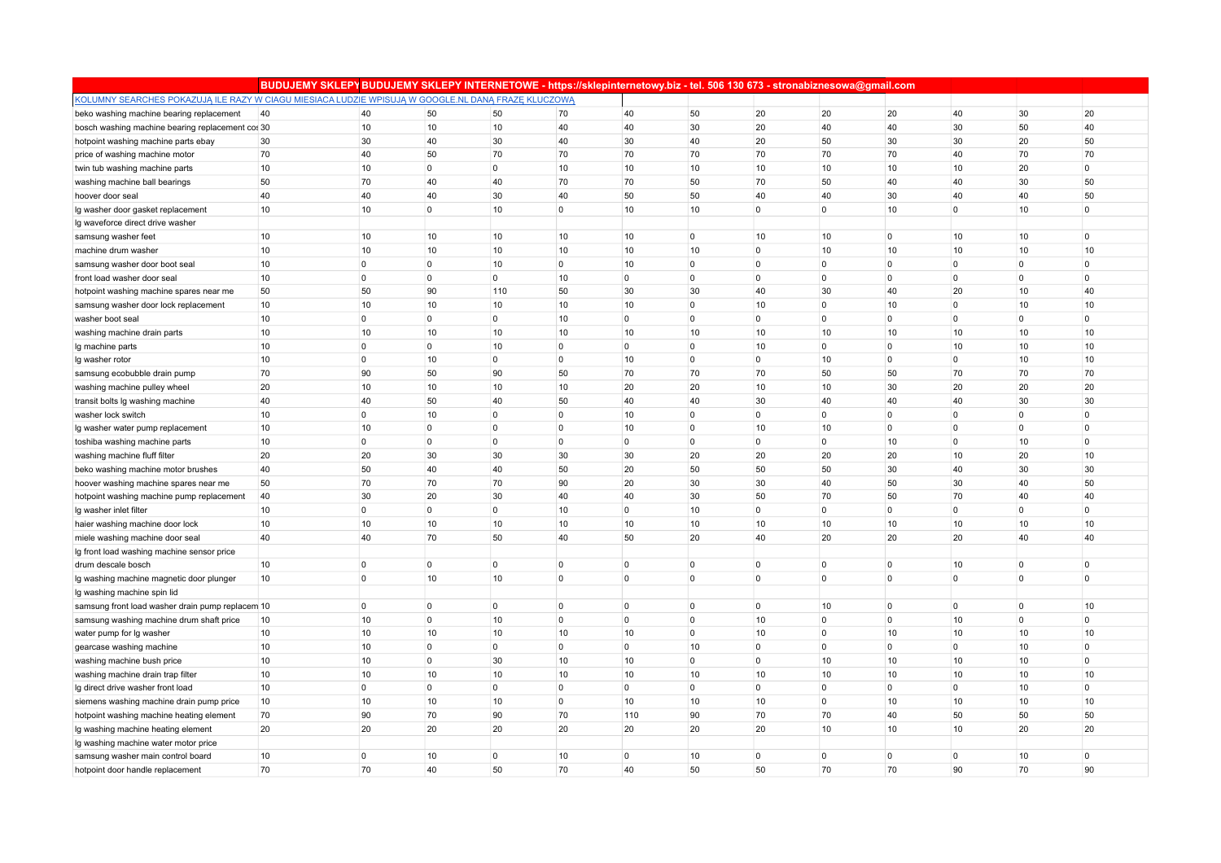|                                                                                                    | BUDUJEMY SKLEPY BUDUJEMY SKLEPY INTERNETOWE - https://sklepinternetowy.biz - tel. 506 130 673 - stronabiznesowa@gmail.com |                |                |                |             |                     |                |                |                |                 |                |                |                |
|----------------------------------------------------------------------------------------------------|---------------------------------------------------------------------------------------------------------------------------|----------------|----------------|----------------|-------------|---------------------|----------------|----------------|----------------|-----------------|----------------|----------------|----------------|
| KOLUMNY SEARCHES POKAZUJA ILE RAZY W CIAGU MIESIACA LUDZIE WPISUJA W GOOGLE.NL DANA FRAZE KLUCZOWA |                                                                                                                           |                |                |                |             |                     |                |                |                |                 |                |                |                |
| beko washing machine bearing replacement                                                           | 40                                                                                                                        | 40             | 50             | 50             | 70          | 40                  | 50             | 20             | 20             | 20              | 40             | 30             | 20             |
| bosch washing machine bearing replacement cos 30                                                   |                                                                                                                           | 10             | 10             | 10             | 40          | 40                  | 30             | 20             | 40             | 40              | 30             | 50             | 40             |
| hotpoint washing machine parts ebay                                                                | 30                                                                                                                        | 30             | 40             | 30             | 40          | 30                  | 40             | 20             | 50             | 30              | 30             | 20             | 50             |
| price of washing machine motor                                                                     | 70                                                                                                                        | 40             | 50             | 70             | 70          | 70                  | 70             | 70             | 70             | 70              | 40             | 70             | 70             |
| twin tub washing machine parts                                                                     | 10                                                                                                                        | 10             | $\Omega$       | $\overline{0}$ | 10          | 10                  | 10             | 10             | 10             | 10              | 10             | 20             | $\overline{0}$ |
| washing machine ball bearings                                                                      | 50                                                                                                                        | 70             | 40             | 40             | 70          | 70                  | 50             | 70             | 50             | 40              | 40             | 30             | 50             |
| hoover door seal                                                                                   | 40                                                                                                                        | 40             | 40             | 30             | 40          | 50                  | 50             | 40             | 40             | 30              | 40             | 40             | 50             |
| Ig washer door gasket replacement                                                                  | 10                                                                                                                        | 10             | $\overline{0}$ | 10             | 0           | 10                  | 10             | $\overline{0}$ | $\overline{0}$ | 10              | $\mathbf 0$    | 10             | $\overline{0}$ |
| Ig waveforce direct drive washer                                                                   |                                                                                                                           |                |                |                |             |                     |                |                |                |                 |                |                |                |
| samsung washer feet                                                                                | 10                                                                                                                        | 10             | 10             | 10             | 10          | 10                  | $\Omega$       | 10             | 10             | $\overline{0}$  | 10             | 10             | $\mathbf{0}$   |
| machine drum washer                                                                                | 10                                                                                                                        | 10             | 10             | 10             | 10          | 10                  | 10             | $\overline{0}$ | 10             | 10              | 10             | 10             | 10             |
| samsung washer door boot seal                                                                      | 10                                                                                                                        | 0              | 0              | 10             | $\mathbf 0$ | 10                  | $\mathbf 0$    | $\overline{0}$ | $\overline{0}$ | $\overline{0}$  | 0              | $\overline{0}$ | $\overline{0}$ |
| front load washer door seal                                                                        | 10                                                                                                                        | 0              | $\overline{0}$ | $\mathbf 0$    | 10          | 0                   | $\mathbf 0$    | $\Omega$       | $\overline{0}$ | $\overline{0}$  | 0              | $\Omega$       | $\overline{0}$ |
| hotpoint washing machine spares near me                                                            | 50                                                                                                                        | 50             | 90             | 110            | 50          | 30                  | 30             | 40             | 30             | 40              | 20             | 10             | 40             |
| samsung washer door lock replacement                                                               | 10                                                                                                                        | 10             | 10             | 10             | 10          | 10                  | $\mathbf 0$    | 10             | $\overline{0}$ | 10              | $\overline{0}$ | 10             | 10             |
| washer boot seal                                                                                   | 10                                                                                                                        | $\mathbf 0$    | $\overline{0}$ | $\overline{0}$ | 10          | 0                   | $\mathbf 0$    | $\Omega$       | $\overline{0}$ | $\overline{0}$  | $\mathbf{0}$   | $\Omega$       | $\overline{0}$ |
| washing machine drain parts                                                                        | 10                                                                                                                        | 10             | 10             | 10             | 10          | 10                  | 10             | 10             | 10             | 10              | 10             | 10             | 10             |
| Ig machine parts                                                                                   | 10                                                                                                                        | $\overline{0}$ | $\overline{0}$ | 10             | $\mathbf 0$ | $\mathsf{O}\xspace$ | $\overline{0}$ | 10             | $\overline{0}$ | $\overline{0}$  | 10             | 10             | 10             |
| Ig washer rotor                                                                                    | 10                                                                                                                        | $\overline{0}$ | 10             | $\overline{0}$ | 0           | 10                  | $\mathbf 0$    | $\overline{0}$ | 10             | $\overline{0}$  | $\mathbf 0$    | 10             | 10             |
| samsung ecobubble drain pump                                                                       | 70                                                                                                                        | 90             | 50             | 90             | 50          | 70                  | 70             | 70             | 50             | 50              | 70             | 70             | 70             |
| washing machine pulley wheel                                                                       | 20                                                                                                                        | 10             | 10             | 10             | 10          | 20                  | 20             | 10             | 10             | 30              | 20             | 20             | 20             |
| transit bolts Ig washing machine                                                                   | 40                                                                                                                        | 40             | 50             | 40             | 50          | 40                  | 40             | 30             | 40             | 40              | 40             | 30             | 30             |
| washer lock switch                                                                                 | 10                                                                                                                        | $\overline{0}$ | 10             | 0              | 0           | 10                  | $\Omega$       | $\Omega$       | $\overline{0}$ | $\overline{0}$  | 0              | $\Omega$       | $\overline{0}$ |
| Ig washer water pump replacement                                                                   | 10                                                                                                                        | 10             | $\overline{0}$ | $\overline{0}$ | $\Omega$    | 10                  | $\mathbf 0$    | 10             | 10             | $\overline{0}$  | $\Omega$       | $\Omega$       | $\overline{0}$ |
| toshiba washing machine parts                                                                      | 10                                                                                                                        | $\overline{0}$ | $\overline{0}$ | $\mathbf 0$    | $\mathbf 0$ | 0                   | $\overline{0}$ | $\overline{0}$ | $\overline{0}$ | 10              | $\mathbf 0$    | 10             | $\overline{0}$ |
| washing machine fluff filter                                                                       | 20                                                                                                                        | 20             | 30             | 30             | 30          | 30                  | 20             | 20             | 20             | 20              | 10             | 20             | 10             |
| beko washing machine motor brushes                                                                 | 40                                                                                                                        | 50             | 40             | 40             | 50          | 20                  | 50             | 50             | 50             | 30              | 40             | 30             | 30             |
| hoover washing machine spares near me                                                              | 50                                                                                                                        | 70             | 70             | 70             | 90          | 20                  | 30             | 30             | 40             | 50              | 30             | 40             | 50             |
| hotpoint washing machine pump replacement                                                          | 40                                                                                                                        | 30             | 20             | 30             | 40          | 40                  | 30             | 50             | 70             | 50              | 70             | 40             | 40             |
| Ig washer inlet filter                                                                             | 10                                                                                                                        | $\overline{0}$ | $\overline{0}$ | $\overline{0}$ | 10          | 0                   | 10             | $\overline{0}$ | $\overline{0}$ | $\overline{0}$  | $\mathbf 0$    | $\Omega$       | $\overline{0}$ |
| haier washing machine door lock                                                                    | 10                                                                                                                        | 10             | 10             | 10             | 10          | 10                  | 10             | 10             | 10             | 10              | 10             | 10             | 10             |
| miele washing machine door seal                                                                    | 40                                                                                                                        | 40             | 70             | 50             | 40          | 50                  | 20             | 40             | 20             | 20              | 20             | 40             | 40             |
| Ig front load washing machine sensor price                                                         |                                                                                                                           |                |                |                |             |                     |                |                |                |                 |                |                |                |
| drum descale bosch                                                                                 | 10                                                                                                                        | $\overline{0}$ | $\overline{0}$ | $\mathbf 0$    | $\mathbf 0$ | 0                   | $\mathbf 0$    | $\Omega$       | $\overline{0}$ | $\overline{0}$  | 10             | $\overline{0}$ | $\overline{0}$ |
| Ig washing machine magnetic door plunger                                                           | 10                                                                                                                        | $\overline{0}$ | 10             | 10             | $\mathbf 0$ | $\mathbf 0$         | $\mathbf 0$    | $\Omega$       | $\overline{0}$ | $\overline{0}$  | $\mathbf{0}$   | $\Omega$       | $\overline{0}$ |
| Ig washing machine spin lid                                                                        |                                                                                                                           |                |                |                |             |                     |                |                |                |                 |                |                |                |
| samsung front load washer drain pump replacem 10                                                   |                                                                                                                           | $\overline{0}$ | $\overline{0}$ | 0              | $\Omega$    | $\mathbf 0$         | $\overline{0}$ | $\Omega$       | 10             | $\overline{0}$  | 0              | $\Omega$       | 10             |
| samsung washing machine drum shaft price                                                           | 10                                                                                                                        | 10             | $\overline{0}$ | 10             | $\mathbf 0$ | $\mathbf 0$         | $\overline{0}$ | 10             | $\overline{0}$ | $\overline{0}$  | 10             | $\Omega$       | $\overline{0}$ |
| water pump for Ig washer                                                                           | 10                                                                                                                        | 10             | 10             | 10             | 10          | 10                  | $\overline{0}$ | 10             | $\overline{0}$ | 10              | 10             | 10             | 10             |
| gearcase washing machine                                                                           | 10                                                                                                                        | 10             | $\overline{0}$ | $\mathbf 0$    | $\mathbf 0$ | 0                   | 10             | $\overline{0}$ | $\overline{0}$ | $\overline{0}$  | $\mathbf 0$    | 10             | $\overline{0}$ |
| washing machine bush price                                                                         | 10                                                                                                                        | 10             | 0              | 30             | 10          | 10                  | $\mathbf 0$    | $\Omega$       | 10             | 10              | 10             | 10             | $\overline{0}$ |
| washing machine drain trap filter                                                                  | 10                                                                                                                        | 10             | 10             | 10             | 10          | 10                  | 10             | 10             | 10             | 10 <sup>1</sup> | 10             | 10             | 10             |
| Ig direct drive washer front load                                                                  | 10                                                                                                                        | $\overline{0}$ | $\overline{0}$ | $\overline{0}$ | 0           | $\mathbf 0$         | $\overline{0}$ | $\Omega$       | $\overline{0}$ | $\overline{0}$  | $\overline{0}$ | 10             | $\overline{0}$ |
| siemens washing machine drain pump price                                                           | 10                                                                                                                        | 10             | 10             | 10             | $\mathbf 0$ | 10                  | 10             | 10             | $\overline{0}$ | 10              | 10             | 10             | 10             |
| hotpoint washing machine heating element                                                           | 70                                                                                                                        | 90             | 70             | 90             | 70          | 110                 | 90             | 70             | 70             | 40              | 50             | 50             | 50             |
| Ig washing machine heating element                                                                 | 20                                                                                                                        | 20             | 20             | 20             | 20          | 20                  | 20             | 20             | 10             | 10              | 10             | 20             | 20             |
| Ig washing machine water motor price                                                               |                                                                                                                           |                |                |                |             |                     |                |                |                |                 |                |                |                |
| samsung washer main control board                                                                  | 10                                                                                                                        | $\overline{0}$ | 10             | $\overline{0}$ | 10          | $\mathbf 0$         | 10             | $\Omega$       | $\overline{0}$ | $\Omega$        | $\mathbf{0}$   | 10             | $\overline{0}$ |
| hotpoint door handle replacement                                                                   | 70                                                                                                                        | 70             | 40             | 50             | 70          | 40                  | 50             | 50             | 70             | 70              | 90             | 70             | 90             |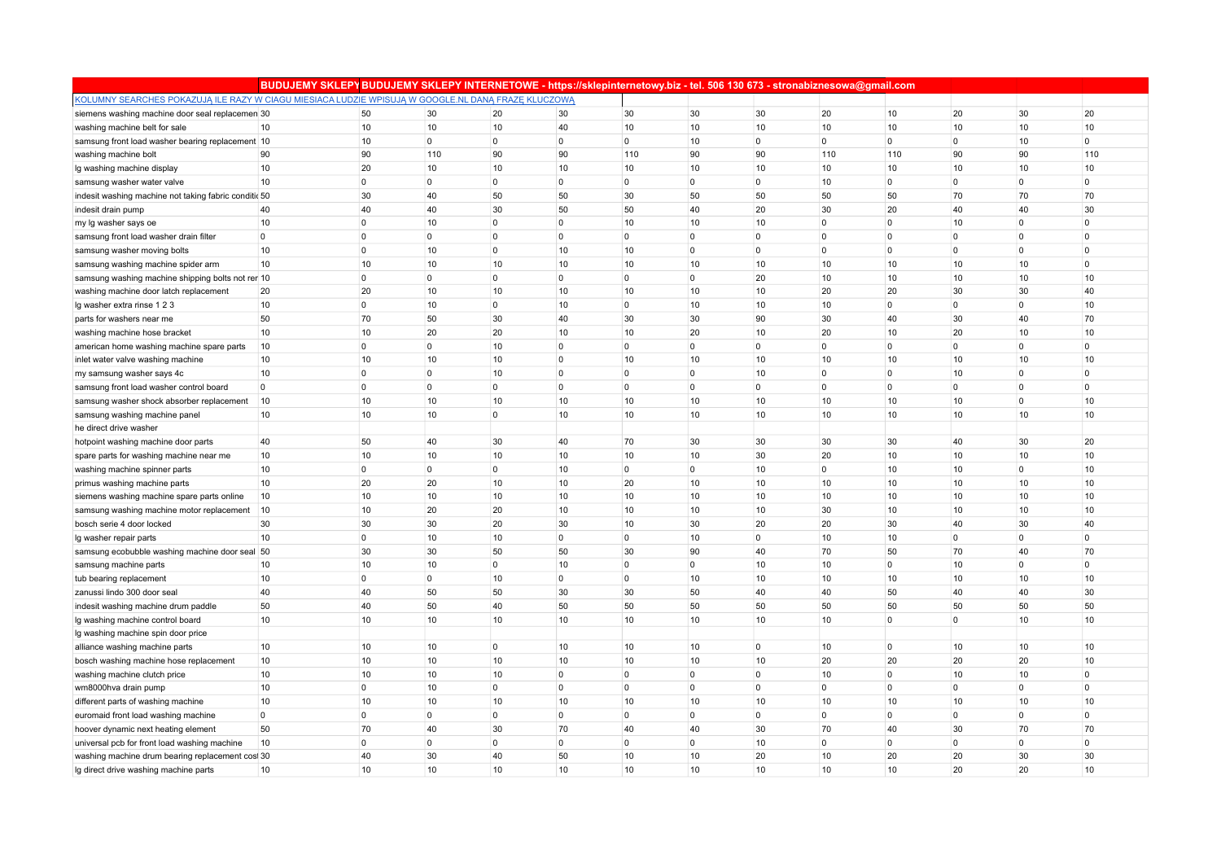| BUDUJEMY SKLEPYBUDUJEMY SKLEPY INTERNETOWE - https://sklepinternetowy.biz - tel. 506 130 673 - stronabiznesowa@gmail.com |                                  |  |                |                |                         |             |                |                |                |             |             |                |                |
|--------------------------------------------------------------------------------------------------------------------------|----------------------------------|--|----------------|----------------|-------------------------|-------------|----------------|----------------|----------------|-------------|-------------|----------------|----------------|
| KOLUMNY SEARCHES POKAZUJĄ ILE RAZY W CIAGU MIESIACA LUDZIE WPISUJĄ W GOOGLE.NL DANĄ FRAZE KLUCZOWĄ                       |                                  |  |                |                |                         |             |                |                |                |             |             |                |                |
| siemens washing machine door seal replacemen 30                                                                          | 50                               |  | 30             | 20             | 30                      | 30          | 30             | 30             | 20             | 10          | 20          | 30             | 20             |
| washing machine belt for sale                                                                                            | 10<br>10                         |  | 10             | 10             | 40                      | 10          | 10             | 10             | 10             | 10          | 10          | 10             | 10             |
| samsung front load washer bearing replacement 10                                                                         | 10                               |  | $\overline{0}$ | $\overline{0}$ | $\mathbf 0$             | 0           | 10             | $\overline{0}$ | $\overline{0}$ | 0           | 0           | 10             | $\overline{0}$ |
| washing machine bolt                                                                                                     | 90<br>90                         |  | 110            | 90             | 90                      | 110         | 90             | 90             | 110            | 110         | 90          | 90             | 110            |
| Ig washing machine display                                                                                               | 20<br>10                         |  | 10             | 10             | 10                      | 10          | 10             | 10             | 10             | 10          | 10          | 10             | 10             |
| samsung washer water valve                                                                                               | $\overline{0}$<br>10             |  | $\overline{0}$ | $\overline{0}$ | $\overline{0}$          | $\mathbf 0$ | $\mathbf 0$    | $\Omega$       | 10             | 0           | $\mathbf 0$ | $\mathbf 0$    | $\overline{0}$ |
| indesit washing machine not taking fabric conditic 50                                                                    | 30                               |  | 40             | 50             | 50                      | 30          | 50             | 50             | 50             | 50          | 70          | 70             | 70             |
| indesit drain pump                                                                                                       | 40<br>40                         |  | 40             | 30             | 50                      | 50          | 40             | 20             | 30             | 20          | 40          | 40             | 30             |
| my Ig washer says oe                                                                                                     | 10<br>$\overline{0}$             |  | 10             | 0              | $\mathbf{0}$            | 10          | 10             | 10             | $\Omega$       | $\Omega$    | 10          | $\Omega$       | $\overline{0}$ |
| samsung front load washer drain filter                                                                                   | $\overline{0}$<br>$\overline{0}$ |  | $\overline{0}$ | $\overline{0}$ | $\overline{0}$          | 0           | $\Omega$       | $\Omega$       | $\overline{0}$ | $\Omega$    | $\Omega$    | $\overline{0}$ | $\overline{0}$ |
| samsung washer moving bolts                                                                                              | 10<br>$\overline{0}$             |  | 10             | $\overline{0}$ | 10                      | 10          | $\mathbf 0$    | $\Omega$       | $\overline{0}$ | $\mathbf 0$ | $\Omega$    | $\overline{0}$ | $\overline{0}$ |
| samsung washing machine spider arm                                                                                       | 10<br>10                         |  | 10             | 10             | 10                      | 10          | 10             | 10             | 10             | 10          | 10          | 10             | $\overline{0}$ |
| samsung washing machine shipping bolts not ren 10                                                                        | $\overline{0}$                   |  | $\overline{0}$ | $\mathbf 0$    | $\overline{0}$          | 0           | $\mathbf 0$    | 20             | 10             | 10          | 10          | 10             | 10             |
| washing machine door latch replacement                                                                                   | 20<br>20                         |  | 10             | 10             | 10                      | 10          | 10             | 10             | 20             | 20          | 30          | 30             | 40             |
| Ig washer extra rinse 1 2 3                                                                                              | 10<br>$\overline{0}$             |  | 10             | $\overline{0}$ | 10                      | $\mathbf 0$ | 10             | 10             | 10             | $\Omega$    | $\Omega$    | $\overline{0}$ | 10             |
| parts for washers near me                                                                                                | 50<br>70                         |  | 50             | 30             | 40                      | 30          | 30             | 90             | 30             | 40          | 30          | 40             | 70             |
| washing machine hose bracket                                                                                             | 10<br>10                         |  | 20             | 20             | 10                      | 10          | 20             | 10             | 20             | 10          | 20          | 10             | 10             |
| american home washing machine spare parts                                                                                | $\overline{0}$<br>10             |  | $\overline{0}$ | 10             | $\overline{\mathbf{0}}$ | 0           | $\pmb{0}$      | $\overline{0}$ | $\overline{0}$ | 0           | 0           | $\mathbf 0$    | $\overline{0}$ |
| inlet water valve washing machine                                                                                        | 10<br>10                         |  | 10             | 10             | $\mathbf 0$             | 10          | 10             | 10             | 10             | 10          | 10          | 10             | 10             |
| my samsung washer says 4c                                                                                                | 10<br>$\overline{0}$             |  | $\overline{0}$ | 10             | $\Omega$                | $\mathbf 0$ | $\overline{0}$ | 10             | $\Omega$       | $\Omega$    | 10          | $\Omega$       | $\overline{0}$ |
| samsung front load washer control board                                                                                  | $\overline{0}$<br>$\overline{0}$ |  | $\overline{0}$ | $\overline{0}$ | $\overline{0}$          | $\mathbf 0$ | $\Omega$       | $\Omega$       | $\overline{0}$ | $\Omega$    | $\Omega$    | $\overline{0}$ | $\overline{0}$ |
| samsung washer shock absorber replacement                                                                                | 10<br>10                         |  | 10             | 10             | 10                      | 10          | 10             | 10             | 10             | 10          | 10          | 0              | 10             |
| samsung washing machine panel                                                                                            | 10<br>10                         |  | 10             | 0              | 10                      | 10          | 10             | 10             | 10             | 10          | 10          | 10             | 10             |
| he direct drive washer                                                                                                   |                                  |  |                |                |                         |             |                |                |                |             |             |                |                |
| hotpoint washing machine door parts                                                                                      | 50<br>40                         |  | 40             | 30             | 40                      | 70          | 30             | 30             | 30             | 30          | 40          | 30             | 20             |
| spare parts for washing machine near me                                                                                  | 10<br>10                         |  | 10             | 10             | 10                      | 10          | 10             | 30             | 20             | 10          | 10          | 10             | 10             |
| washing machine spinner parts                                                                                            | 10<br>$\overline{0}$             |  | $\overline{0}$ | $\overline{0}$ | 10                      | $\mathbf 0$ | $\Omega$       | 10             | $\mathbf 0$    | 10          | 10          | $\overline{0}$ | 10             |
| primus washing machine parts                                                                                             | 10<br>20                         |  | 20             | 10             | 10                      | 20          | 10             | 10             | 10             | 10          | 10          | 10             | 10             |
| siemens washing machine spare parts online                                                                               | 10<br>10                         |  | 10             | 10             | 10                      | 10          | 10             | 10             | 10             | 10          | 10          | 10             | 10             |
| samsung washing machine motor replacement                                                                                | 10<br>10                         |  | 20             | 20             | 10                      | 10          | 10             | 10             | 30             | 10          | 10          | 10             | 10             |
| bosch serie 4 door locked                                                                                                | 30<br>30                         |  | 30             | 20             | 30                      | 10          | 30             | 20             | 20             | 30          | 40          | 30             | 40             |
| Ig washer repair parts                                                                                                   | 10<br>$\overline{0}$             |  | 10             | 10             | $\overline{0}$          | 0           | 10             | $\Omega$       | 10             | 10          | 0           | $\overline{0}$ | $\overline{0}$ |
| samsung ecobubble washing machine door seal 50                                                                           | 30                               |  | 30             | 50             | 50                      | 30          | 90             | 40             | 70             | 50          | 70          | 40             | 70             |
| samsung machine parts                                                                                                    | 10<br>10                         |  | 10             | 0              | 10                      | 0           | 0              | 10             | 10             | 0           | 10          | 0              | $\overline{0}$ |
| tub bearing replacement                                                                                                  | 10<br>0                          |  | 0              | 10             | $\overline{0}$          | 0           | 10             | 10             | 10             | 10          | 10          | 10             | 10             |
| zanussi lindo 300 door seal                                                                                              | 40<br>40                         |  | 50             | 50             | 30                      | 30          | 50             | 40             | 40             | 50          | 40          | 40             | 30             |
| indesit washing machine drum paddle                                                                                      | 50<br>40                         |  | 50             | 40             | 50                      | 50          | 50             | 50             | 50             | 50          | 50          | 50             | 50             |
| Ig washing machine control board                                                                                         | 10<br>10                         |  | 10             | 10             | 10                      | 10          | 10             | 10             | 10             | $\Omega$    | $\Omega$    | 10             | 10             |
| Ig washing machine spin door price                                                                                       |                                  |  |                |                |                         |             |                |                |                |             |             |                |                |
| alliance washing machine parts                                                                                           | 10<br>10                         |  | 10             | 0              | 10                      | 10          | 10             | $\overline{0}$ | 10             | 0           | 10          | 10             | 10             |
| bosch washing machine hose replacement                                                                                   | 10<br>10                         |  | 10             | 10             | 10                      | 10          | 10             | 10             | 20             | 20          | 20          | 20             | 10             |
| washing machine clutch price                                                                                             | 10<br>10                         |  | 10             | 10             | $\overline{0}$          | $\mathbf 0$ | $\mathbf 0$    | $\Omega$       | 10             | $\mathbf 0$ | 10          | 10             | $\overline{0}$ |
| wm8000hva drain pump                                                                                                     | 10<br>$\overline{0}$             |  | 10             | $\overline{0}$ | $\mathbf 0$             | $\mathbf 0$ | $\mathbf 0$    | $\Omega$       | $\overline{0}$ | 0           | $\mathbf 0$ | $\overline{0}$ | $\overline{0}$ |
| different parts of washing machine                                                                                       | 10<br>10                         |  | 10             | 10             | 10                      | 10          | 10             | 10             | 10             | 10          | 10          | 10             | 10             |
| euromaid front load washing machine                                                                                      | $\overline{0}$<br>0              |  | $\mathbf 0$    | 0              | $\mathbf 0$             | 0           | 0              | $\overline{0}$ | $\overline{0}$ | 0           | 0           | 0              | $\overline{0}$ |
| hoover dynamic next heating element                                                                                      | 70<br>50                         |  | 40             | 30             | 70                      | 40          | 40             | 30             | 70             | 40          | 30          | 70             | 70             |
| universal pcb for front load washing machine                                                                             | 10<br>$\overline{0}$             |  | $\mathbf 0$    | $\overline{0}$ | $\overline{0}$          | 0           | $\Omega$       | 10             | $\overline{0}$ | $\Omega$    | $\Omega$    | $\overline{0}$ | $\overline{0}$ |
| washing machine drum bearing replacement cost 30                                                                         | 40                               |  | 30             | 40             | 50                      | 10          | 10             | 20             | 10             | 20          | 20          | 30             | 30             |
| Ig direct drive washing machine parts                                                                                    | 10<br>10                         |  | 10             | 10             | 10                      | 10          | 10             | 10             | 10             | 10          | 20          | 20             | 10             |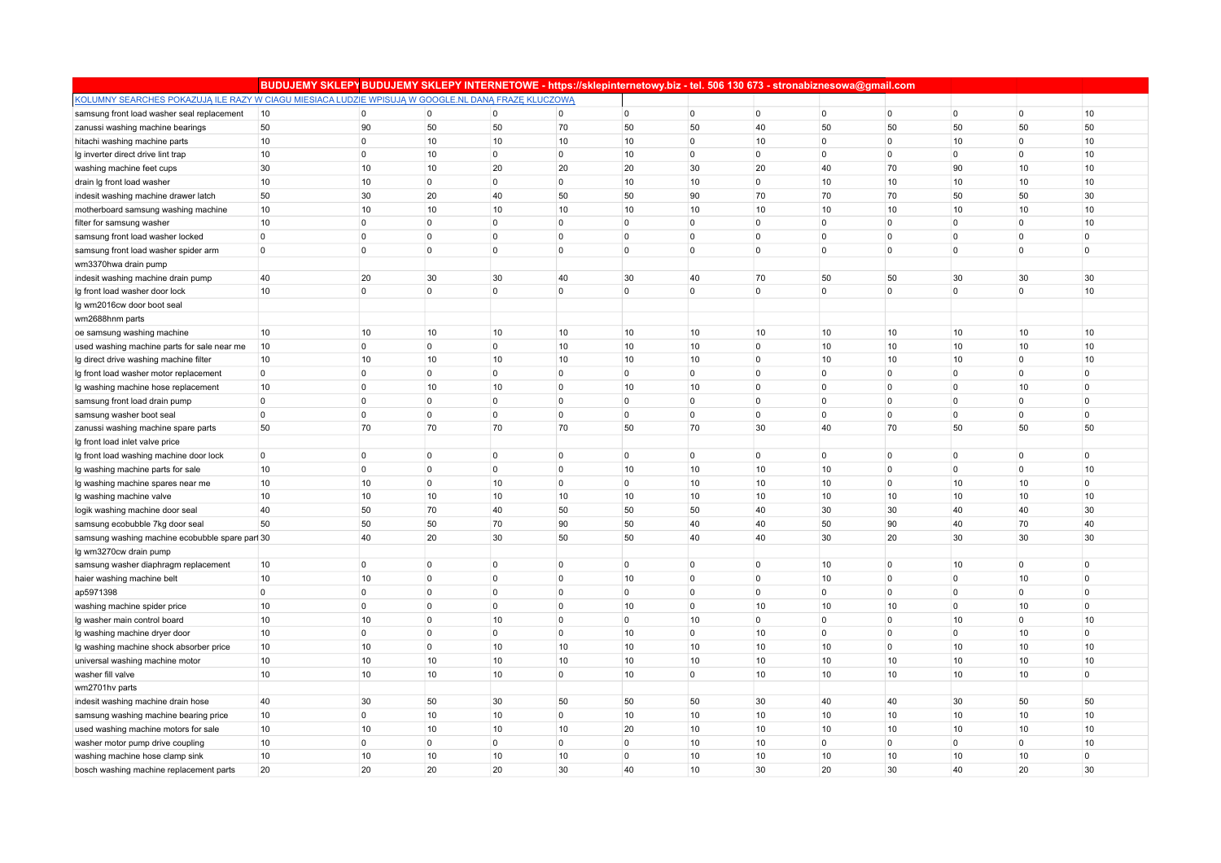|                                                                                                    | BUDUJEMY SKLEPYBUDUJEMY SKLEPY INTERNETOWE - https://sklepinternetowy.biz - tel. 506 130 673 - stronabiznesowa@gmail.com |                      |                                  |                      |                |             |                |                |                |                         |                         |                      |                |
|----------------------------------------------------------------------------------------------------|--------------------------------------------------------------------------------------------------------------------------|----------------------|----------------------------------|----------------------|----------------|-------------|----------------|----------------|----------------|-------------------------|-------------------------|----------------------|----------------|
| KOLUMNY SEARCHES POKAZUJA ILE RAZY W CIAGU MIESIACA LUDZIE WPISUJA W GOOGLE.NL DANA FRAZE KLUCZOWA |                                                                                                                          |                      |                                  |                      |                |             |                |                |                |                         |                         |                      |                |
| samsung front load washer seal replacement                                                         | 10                                                                                                                       | $\overline{0}$       | $\overline{0}$                   | $\mathbf 0$          | $\mathbf 0$    | $\mathbf 0$ | $\overline{0}$ | $\overline{0}$ | $\overline{0}$ | $\mathbf 0$             | $\overline{0}$          | $\overline{0}$       | 10             |
| zanussi washing machine bearings                                                                   | 50                                                                                                                       | 90                   | 50                               | 50                   | 70             | 50          | 50             | 40             | 50             | 50                      | 50                      | 50                   | 50             |
| hitachi washing machine parts                                                                      | 10                                                                                                                       | 0                    | 10                               | 10                   | 10             | 10          | $\mathbf 0$    | 10             | $\mathbf 0$    | 0                       | 10                      | $\overline{0}$       | 10             |
| Ig inverter direct drive lint trap                                                                 | 10                                                                                                                       | 0                    | 10                               | $\mathbf 0$          | $\mathbf 0$    | 10          | $\mathbf 0$    | $\overline{0}$ | $\overline{0}$ | 0                       | 0                       | 0                    | 10             |
| washing machine feet cups                                                                          | 30                                                                                                                       | 10                   | 10                               | 20                   | 20             | 20          | 30             | 20             | 40             | 70                      | 90                      | 10                   | 10             |
| drain Ig front load washer                                                                         | 10                                                                                                                       | 10                   | $\overline{0}$                   | $\mathbf 0$          | $\mathbf 0$    | 10          | 10             | $\Omega$       | 10             | 10                      | 10                      | 10                   | 10             |
| indesit washing machine drawer latch                                                               | 50                                                                                                                       | 30                   | 20                               | 40                   | 50             | 50          | 90             | 70             | 70             | 70                      | 50                      | 50                   | 30             |
| motherboard samsung washing machine                                                                | 10                                                                                                                       | 10                   | 10                               | 10                   | 10             | 10          | 10             | 10             | 10             | 10                      | 10                      | 10                   | 10             |
| filter for samsung washer                                                                          | 10                                                                                                                       | $\overline{0}$       | $\overline{0}$                   | $\mathbf 0$          | $\mathbf 0$    | 0           | $\mathbf 0$    | $\Omega$       | $\overline{0}$ | $\mathbf 0$             | $\Omega$                | 0                    | 10             |
| samsung front load washer locked                                                                   | $\overline{0}$                                                                                                           | 0                    | $\overline{0}$                   | $\mathbf 0$          | $\mathbf 0$    | 0           | $\mathbf 0$    | $\overline{0}$ | $\overline{0}$ | 0                       | 0                       | 0                    | $\overline{0}$ |
| samsung front load washer spider arm                                                               | $\overline{0}$                                                                                                           | $\overline{0}$       | $\overline{0}$                   | $\overline{0}$       | $\mathbf 0$    | 0           | $\mathbf 0$    | $\Omega$       | $\overline{0}$ | $\mathbf 0$             | $\Omega$                | $\overline{0}$       | $\overline{0}$ |
| wm3370hwa drain pump                                                                               |                                                                                                                          |                      |                                  |                      |                |             |                |                |                |                         |                         |                      |                |
| indesit washing machine drain pump                                                                 | 40                                                                                                                       | 20                   | 30                               | 30                   | 40             | 30          | 40             | 70             | 50             | 50                      | 30                      | 30                   | 30             |
| Ig front load washer door lock                                                                     | 10                                                                                                                       | $\overline{0}$       | $\overline{0}$                   | $\mathbf 0$          | $\overline{0}$ | 0           | $\mathbf 0$    | $\mathbf 0$    | $\overline{0}$ | 0                       | $\mathbf 0$             | $\mathbf 0$          | 10             |
| Ig wm2016cw door boot seal                                                                         |                                                                                                                          |                      |                                  |                      |                |             |                |                |                |                         |                         |                      |                |
| wm2688hnm parts                                                                                    |                                                                                                                          |                      |                                  |                      |                |             |                |                |                |                         |                         |                      |                |
| oe samsung washing machine                                                                         | 10                                                                                                                       | 10                   | 10                               | 10                   | 10             | 10          | 10             | 10             | 10             | 10                      | 10                      | 10                   | 10             |
| used washing machine parts for sale near me                                                        | 10                                                                                                                       | $\overline{0}$       | $\overline{0}$                   | $\overline{0}$       | 10             | 10          | 10             | $\Omega$       | 10             | 10                      | 10                      | 10                   | 10             |
| Ig direct drive washing machine filter                                                             | 10                                                                                                                       | 10                   | 10                               | 10                   | 10             | 10          | 10             | $\overline{0}$ | 10             | 10                      | 10                      | $\mathbf 0$          | 10             |
| Ig front load washer motor replacement                                                             | $\overline{0}$                                                                                                           | $\overline{0}$       | $\overline{0}$                   | $\mathbf 0$          | $\mathbf 0$    | 0           | $\mathbf 0$    | $\Omega$       | $\overline{0}$ | $\mathbf 0$             | $\mathbf 0$             | $\mathbf 0$          | $\overline{0}$ |
| Ig washing machine hose replacement                                                                | 10                                                                                                                       | $\overline{0}$       | 10                               | 10                   | $\mathbf 0$    | 10          | 10             | $\Omega$       | $\overline{0}$ | $\mathbf 0$             | 0                       | 10                   | $\overline{0}$ |
| samsung front load drain pump                                                                      | $\overline{0}$                                                                                                           | 0                    | 0                                | 0                    | 0              | 0           | $\Omega$       | $\Omega$       | $\overline{0}$ | $\Omega$                | $\Omega$                | 0                    | $\mathbf 0$    |
| samsung washer boot seal                                                                           | $\overline{0}$                                                                                                           | $\overline{0}$       | $\overline{0}$                   | $\overline{0}$       | $\overline{0}$ | 0           | $\overline{0}$ | $\Omega$       | $\overline{0}$ | $\mathbf 0$             | $\overline{0}$          | $\overline{0}$       | $\overline{0}$ |
| zanussi washing machine spare parts                                                                | 50                                                                                                                       | 70                   | 70                               | 70                   | 70             | 50          | 70             | 30             | 40             | 70                      | 50                      | 50                   | 50             |
| Ig front load inlet valve price                                                                    |                                                                                                                          |                      |                                  |                      |                |             |                |                |                |                         |                         |                      |                |
| Ig front load washing machine door lock                                                            | $\overline{0}$                                                                                                           | $\overline{0}$       | $\overline{0}$                   | $\mathbf 0$          | $\mathbf 0$    | 0           | 0              | $\overline{0}$ | $\overline{0}$ | 0                       | $\mathbf 0$             | 0                    | $\overline{0}$ |
| Ig washing machine parts for sale                                                                  | 10                                                                                                                       | $\overline{0}$       | $\overline{0}$                   | $\mathbf 0$          | $\mathbf 0$    | 10          | 10             | 10             | 10             | 0                       | 0                       | 0                    | 10             |
| Ig washing machine spares near me                                                                  | 10                                                                                                                       | 10                   | $\overline{0}$                   | 10                   | $\Omega$       | $\mathbf 0$ | 10             | 10             | 10             | $\Omega$                | 10                      | 10                   | $\overline{0}$ |
| Ig washing machine valve                                                                           | 10                                                                                                                       | 10                   | 10                               | 10                   | 10             | 10          | 10             | 10             | 10             | 10                      | 10                      | 10                   | 10             |
| logik washing machine door seal                                                                    | 40                                                                                                                       | 50                   | 70                               | 40                   | 50             | 50          | 50             | 40             | 30             | 30                      | 40                      | 40                   | 30             |
| samsung ecobubble 7kg door seal                                                                    | 50                                                                                                                       | 50                   | 50                               | 70                   | 90             | 50          | 40             | 40             | 50             | 90                      | 40                      | 70                   | 40             |
| samsung washing machine ecobubble spare part 30                                                    |                                                                                                                          | 40                   | 20                               | 30                   | 50             | 50          | 40             | 40             | 30             | 20                      | 30                      | 30                   | 30             |
| Ig wm3270cw drain pump                                                                             |                                                                                                                          |                      |                                  |                      |                |             |                |                |                |                         |                         |                      |                |
| samsung washer diaphragm replacement                                                               | 10                                                                                                                       | $\overline{0}$       | $\overline{0}$                   | 0                    | $\overline{0}$ | $\mathbf 0$ | $\Omega$       | $\Omega$       | 10             | $\Omega$                | 10                      | 0                    | 0              |
| haier washing machine belt                                                                         | 10                                                                                                                       | 10                   | $\overline{0}$                   | $\overline{0}$       | $\mathbf{0}$   | 10          | $\mathbf 0$    | $\Omega$       | 10             | $\Omega$                | $\Omega$                | 10                   | $\overline{0}$ |
| ap5971398                                                                                          | $\overline{0}$                                                                                                           | $\overline{0}$       | $\overline{0}$                   | $\overline{0}$       | $\overline{0}$ | $\mathbf 0$ | $\overline{0}$ | $\overline{0}$ | $\overline{0}$ | $\mathbf 0$             | $\mathbf 0$<br>$\Omega$ | $\overline{0}$       | $\overline{0}$ |
| washing machine spider price                                                                       | 10                                                                                                                       | $\overline{0}$       | $\overline{0}$                   | $\overline{0}$       | $\mathbf 0$    | 10          | $\mathbf 0$    | 10<br>$\Omega$ | 10             | 10<br>$\Omega$          |                         | 10                   | $\overline{0}$ |
| Ig washer main control board                                                                       | 10                                                                                                                       | 10                   | $\overline{0}$                   | 10                   | $\mathbf 0$    | 0           | 10             |                | $\mathbf 0$    |                         | 10<br>$\Omega$          | $\overline{0}$       | 10             |
| Ig washing machine dryer door                                                                      | 10                                                                                                                       | $\overline{0}$       | $\overline{0}$<br>$\overline{0}$ | $\overline{0}$       | 0              | 10          | $\mathbf 0$    | 10             | $\overline{0}$ | $\mathbf 0$<br>$\Omega$ |                         | 10                   | $\overline{0}$ |
| Ig washing machine shock absorber price                                                            | 10<br>10                                                                                                                 | 10<br>10             |                                  | 10<br>10             | 10<br>10       | 10<br>10    | 10<br>10       | 10             | 10<br>10       |                         | 10                      | 10<br>10             | 10<br>10       |
| universal washing machine motor                                                                    |                                                                                                                          |                      | 10                               |                      |                |             | $\mathbf 0$    | 10             |                | 10                      | 10                      |                      |                |
| washer fill valve                                                                                  | 10                                                                                                                       | 10                   | 10                               | 10                   | $\overline{0}$ | 10          |                | 10             | 10             | 10                      | 10                      | 10                   | $\overline{0}$ |
| wm2701hv parts                                                                                     |                                                                                                                          |                      |                                  |                      |                |             |                |                | 40             |                         | 30                      |                      | 50             |
| indesit washing machine drain hose                                                                 | 40                                                                                                                       | 30<br>0              | 50<br>10                         | 30<br>10             | 50<br>0        | 50<br>10    | 50<br>10       | 30<br>10       | 10             | 40<br>10                | 10                      | 50<br>10             | 10             |
| samsung washing machine bearing price                                                              | 10                                                                                                                       |                      |                                  |                      | 10             | 20          | 10             |                | 10             |                         | 10                      |                      | 10             |
| used washing machine motors for sale                                                               | 10                                                                                                                       | 10                   | 10<br>$\overline{0}$             | 10<br>$\overline{0}$ | $\overline{0}$ |             |                | 10             |                | 10                      |                         | 10<br>$\overline{0}$ | 10             |
| washer motor pump drive coupling                                                                   | 10                                                                                                                       | $\overline{0}$<br>10 |                                  |                      |                | 0           | 10             | 10             | $\overline{0}$ | 0                       | 0                       |                      | $\overline{0}$ |
| washing machine hose clamp sink                                                                    | 10                                                                                                                       | 20                   | 10                               | 10                   | 10<br>30       | 0           | 10<br>10       | 10<br>30       | 10             | 10<br>30                | 10<br>40                | 10                   | 30             |
| bosch washing machine replacement parts                                                            | 20                                                                                                                       |                      | 20                               | 20                   |                | 40          |                |                | 20             |                         |                         | 20                   |                |